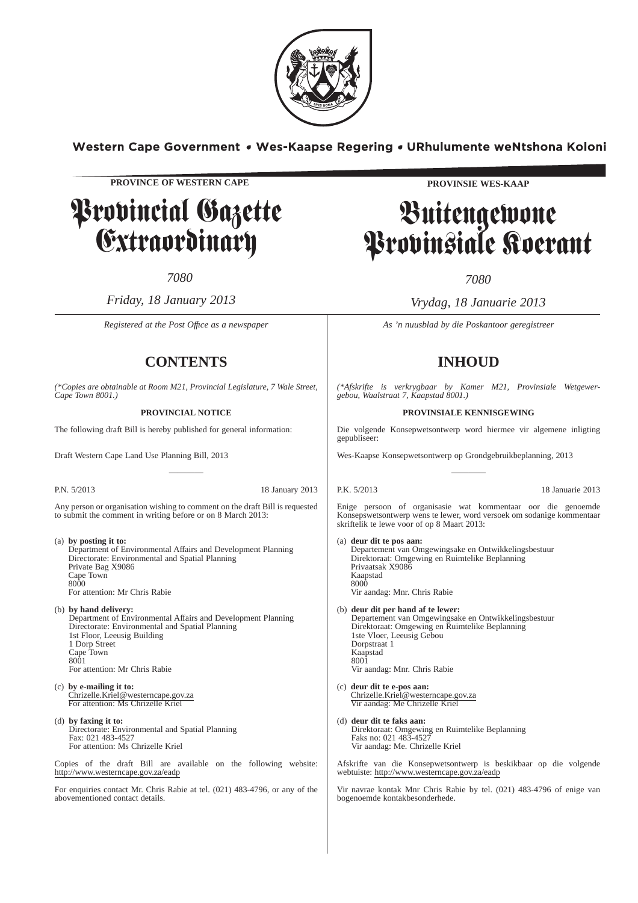

Western Cape Government • Wes-Kaapse Regering • URhulumente weNtshona Koloni

**PROVINCE OF WESTERN CAPE**

# Provincial Gazette Extraordinary

*7080*

## *Friday, 18 January 2013*

*Registered at the Post Offıce as a newspaper*

# **CONTENTS**

*(\*Copies are obtainable at Room M21, Provincial Legislature, 7 Wale Street, Cape Town 8001.)*

## **PROVINCIAL NOTICE**

The following draft Bill is hereby published for general information:

Draft Western Cape Land Use Planning Bill, 2013

P.N. 5/2013 18 January 2013

Any person or organisation wishing to comment on the draft Bill is requested to submit the comment in writing before or on 8 March 2013:

————

(a) **by posting it to:** Department of Environmental Affairs and Development Planning Directorate: Environmental and Spatial Planning Private Bag X9086 Cape Town 8000 For attention: Mr Chris Rabie

- (b) **by hand delivery:** Department of Environmental Affairs and Development Planning Directorate: Environmental and Spatial Planning 1st Floor, Leeusig Building 1 Dorp Street Cape Town 8001 For attention: Mr Chris Rabie
- (c) **by e-mailing it to:** Chrizelle.Kriel@westerncape.gov.za For attention: Ms Chrizelle Kriel
- (d) **by faxing it to:** Directorate: Environmental and Spatial Planning Fax: 021 483-4527 For attention: Ms Chrizelle Kriel

Copies of the draft Bill are available on the following website: http://www.westerncape.gov.za/eadp

For enquiries contact Mr. Chris Rabie at tel. (021) 483-4796, or any of the abovementioned contact details.

**PROVINSIE WES-KAAP**

# Buitengewone Provinsiale Koerant

*7080*

*Vrydag, 18 Januarie 2013*

*As 'n nuusblad by die Poskantoor geregistreer*

# **INHOUD**

*(\*Afskrifte is verkrygbaar by Kamer M21, Provinsiale Wetgewergebou, Waalstraat 7, Kaapstad 8001.)*

## **PROVINSIALE KENNISGEWING**

Die volgende Konsepwetsontwerp word hiermee vir algemene inligting gepubliseer:

Wes-Kaapse Konsepwetsontwerp op Grondgebruikbeplanning, 2013

P.K. 5/2013 18 Januarie 2013

Enige persoon of organisasie wat kommentaar oor die genoemde Konsepswetsontwerp wens te lewer, word versoek om sodanige kommentaar skriftelik te lewe voor of op 8 Maart 2013:

————

(a) **deur dit te pos aan:** Departement van Omgewingsake en Ontwikkelingsbestuur Direktoraat: Omgewing en Ruimtelike Beplanning Privaatsak X9086 Kaapstad 8000 Vir aandag: Mnr. Chris Rabie

- (b) **deur dit per hand af te lewer:** Departement van Omgewingsake en Ontwikkelingsbestuur Direktoraat: Omgewing en Ruimtelike Beplanning 1ste Vloer, Leeusig Gebou Dorpstraat 1 Kaapstad 8001 Vir aandag: Mnr. Chris Rabie
- (c) **deur dit te e-pos aan:** Chrizelle.Kriel@westerncape.gov.za Vir aandag: Me Chrizelle Kriel
- (d) **deur dit te faks aan:** Direktoraat: Omgewing en Ruimtelike Beplanning Faks no: 021 483-4527 Vir aandag: Me. Chrizelle Kriel

Afskrifte van die Konsepwetsontwerp is beskikbaar op die volgende webtuiste: http://www.westerncape.gov.za/eadp

Vir navrae kontak Mnr Chris Rabie by tel. (021) 483-4796 of enige van bogenoemde kontakbesonderhede.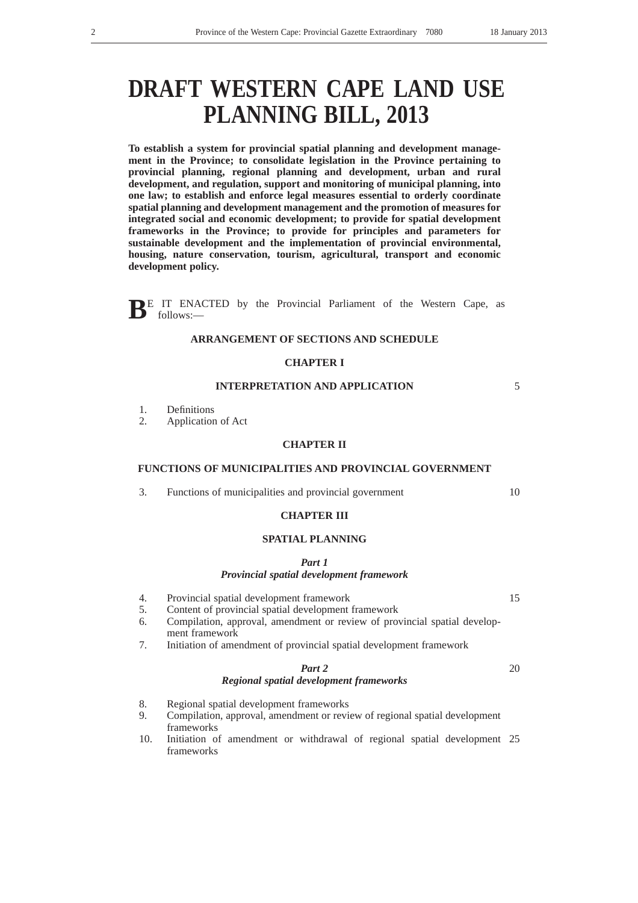# **DRAFT WESTERN CAPE LAND USE PLANNING BILL, 2013**

**To establish a system for provincial spatial planning and development management in the Province; to consolidate legislation in the Province pertaining to provincial planning, regional planning and development, urban and rural development, and regulation, support and monitoring of municipal planning, into one law; to establish and enforce legal measures essential to orderly coordinate spatial planning and development management and the promotion of measures for integrated social and economic development; to provide for spatial development frameworks in the Province; to provide for principles and parameters for sustainable development and the implementation of provincial environmental, housing, nature conservation, tourism, agricultural, transport and economic development policy.**

**BE** IT ENACTED by the Provincial Parliament of the Western Cape, as follows:—

## **ARRANGEMENT OF SECTIONS AND SCHEDULE**

## **CHAPTER I**

## **INTERPRETATION AND APPLICATION**

- 1. Definitions
- 2. Application of Act

## **CHAPTER II**

## **FUNCTIONS OF MUNICIPALITIES AND PROVINCIAL GOVERNMENT**

3. Functions of municipalities and provincial government

## **CHAPTER III**

## **SPATIAL PLANNING**

#### *Part 1*

#### *Provincial spatial development framework*

- 4. Provincial spatial development framework
- 5. Content of provincial spatial development framework
- 6. Compilation, approval, amendment or review of provincial spatial development framework
- 7. Initiation of amendment of provincial spatial development framework

## *Part 2*

## *Regional spatial development frameworks*

- 8. Regional spatial development frameworks
- 9. Compilation, approval, amendment or review of regional spatial development frameworks
- 10. Initiation of amendment or withdrawal of regional spatial development 25frameworks

10

5

15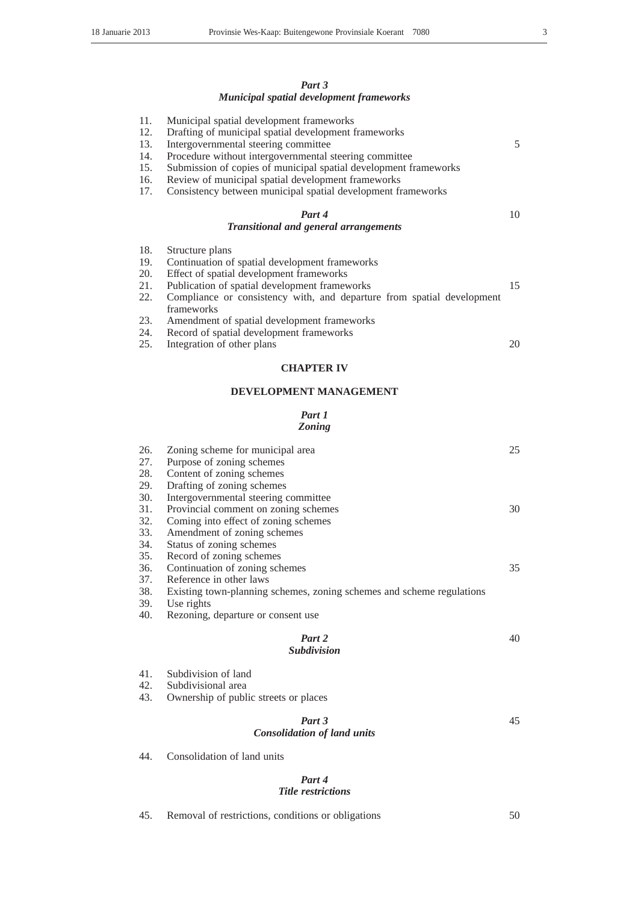## *Part 3 Municipal spatial development frameworks*

| 11.<br>12.<br>13.<br>14.<br>15.<br>16.<br>17. | Municipal spatial development frameworks<br>Drafting of municipal spatial development frameworks<br>Intergovernmental steering committee<br>Procedure without intergovernmental steering committee<br>Submission of copies of municipal spatial development frameworks<br>Review of municipal spatial development frameworks<br>Consistency between municipal spatial development frameworks | 5  |
|-----------------------------------------------|----------------------------------------------------------------------------------------------------------------------------------------------------------------------------------------------------------------------------------------------------------------------------------------------------------------------------------------------------------------------------------------------|----|
|                                               | Part 4<br>Transitional and general arrangements                                                                                                                                                                                                                                                                                                                                              | 10 |
| 18.<br>19.<br>20.<br>21.<br>22.               | Structure plans<br>Continuation of spatial development frameworks<br>Effect of spatial development frameworks<br>Publication of spatial development frameworks<br>Compliance or consistency with, and departure from spatial development<br>frameworks                                                                                                                                       | 15 |
| 23.<br>24.<br>25.                             | Amendment of spatial development frameworks<br>Record of spatial development frameworks<br>Integration of other plans                                                                                                                                                                                                                                                                        | 20 |

## **CHAPTER IV**

## **DEVELOPMENT MANAGEMENT**

## *Part 1 Zoning*

| 26. | Zoning scheme for municipal area                                      | 25 |
|-----|-----------------------------------------------------------------------|----|
| 27. | Purpose of zoning schemes                                             |    |
| 28. | Content of zoning schemes                                             |    |
| 29. | Drafting of zoning schemes                                            |    |
| 30. | Intergovernmental steering committee                                  |    |
| 31. | Provincial comment on zoning schemes                                  | 30 |
| 32. | Coming into effect of zoning schemes                                  |    |
| 33. | Amendment of zoning schemes                                           |    |
| 34. | Status of zoning schemes                                              |    |
| 35. | Record of zoning schemes                                              |    |
| 36. | Continuation of zoning schemes                                        | 35 |
| 37. | Reference in other laws                                               |    |
| 38. | Existing town-planning schemes, zoning schemes and scheme regulations |    |
| 39. | Use rights                                                            |    |
| 40. | Rezoning, departure or consent use.                                   |    |
|     | Part 2                                                                | 40 |
|     | <b>Subdivision</b>                                                    |    |
| 41. | Subdivision of land                                                   |    |

42. Subdivisional area<br>43. Ownership of publi 43. Ownership of public streets or places

#### *Part 3 Consolidation of land units* 45

44. Consolidation of land units

## *Part 4 Title restrictions*

45. Removal of restrictions, conditions or obligations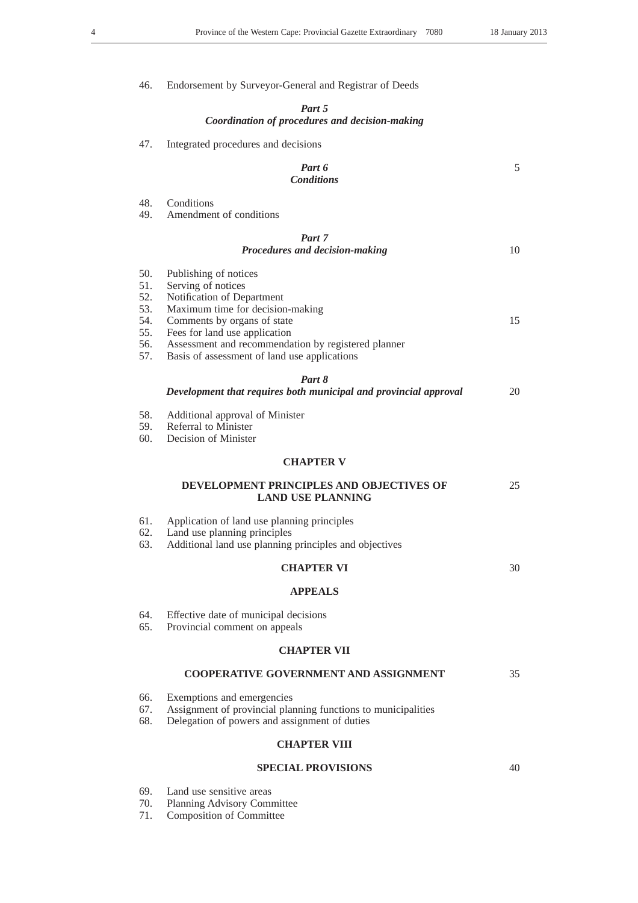5

| 46. |  |  | Endorsement by Surveyor-General and Registrar of Deeds |  |  |  |  |
|-----|--|--|--------------------------------------------------------|--|--|--|--|
|-----|--|--|--------------------------------------------------------|--|--|--|--|

| .<br>controllers. | v |
|-------------------|---|
|-------------------|---|

## *Coordination of procedures and decision-making*

47. Integrated procedures and decisions

*Part 6 Conditions*

48. Conditions<br>49. Amendmen Amendment of conditions

|                                                      | Part 7<br>Procedures and decision-making                                                                                                                                                                                                                                             | 10 |  |
|------------------------------------------------------|--------------------------------------------------------------------------------------------------------------------------------------------------------------------------------------------------------------------------------------------------------------------------------------|----|--|
| 50.<br>51.<br>52.<br>53.<br>54.<br>55.<br>56.<br>57. | Publishing of notices<br>Serving of notices<br>Notification of Department<br>Maximum time for decision-making<br>Comments by organs of state<br>Fees for land use application<br>Assessment and recommendation by registered planner<br>Basis of assessment of land use applications | 15 |  |
|                                                      |                                                                                                                                                                                                                                                                                      |    |  |
|                                                      | Part 8<br>Development that requires both municipal and provincial approval                                                                                                                                                                                                           | 20 |  |
| 58.<br>59.<br>60.                                    | Additional approval of Minister<br>Referral to Minister<br>Decision of Minister                                                                                                                                                                                                      |    |  |
|                                                      | <b>CHAPTER V</b>                                                                                                                                                                                                                                                                     |    |  |
|                                                      | DEVELOPMENT PRINCIPLES AND OBJECTIVES OF<br><b>LAND USE PLANNING</b>                                                                                                                                                                                                                 | 25 |  |
| 61.<br>62.<br>63.                                    | Application of land use planning principles<br>Land use planning principles<br>Additional land use planning principles and objectives                                                                                                                                                |    |  |
|                                                      | <b>CHAPTER VI</b>                                                                                                                                                                                                                                                                    | 30 |  |
|                                                      | <b>APPEALS</b>                                                                                                                                                                                                                                                                       |    |  |
| 64.<br>65.                                           | Effective date of municipal decisions<br>Provincial comment on appeals                                                                                                                                                                                                               |    |  |
|                                                      | <b>CHAPTER VII</b>                                                                                                                                                                                                                                                                   |    |  |
|                                                      | <b>COOPERATIVE GOVERNMENT AND ASSIGNMENT</b>                                                                                                                                                                                                                                         | 35 |  |
| 66.<br>67.<br>68.                                    | Exemptions and emergencies<br>Assignment of provincial planning functions to municipalities<br>Delegation of powers and assignment of duties                                                                                                                                         |    |  |
| <b>CHAPTER VIII</b>                                  |                                                                                                                                                                                                                                                                                      |    |  |
|                                                      | <b>SPECIAL PROVISIONS</b>                                                                                                                                                                                                                                                            | 40 |  |
|                                                      |                                                                                                                                                                                                                                                                                      |    |  |

- 69. Land use sensitive areas<br>70. Planning Advisory Com
- 70. Planning Advisory Committee
- 71. Composition of Committee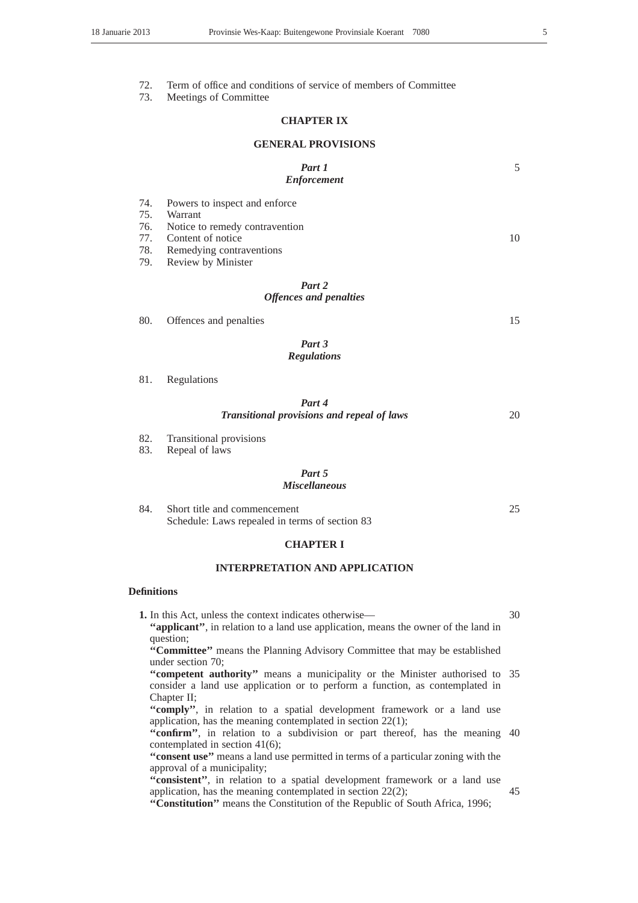75.

77. Content of notice

79.

5

10

15

25

30

## 72. Term of office and conditions of service of members of Committee

73. Meetings of Committee

## **CHAPTER IX**

#### **GENERAL PROVISIONS**

*Part 1*

|     | <b>Enforcement</b>             |
|-----|--------------------------------|
| 74. | Powers to inspect and enforce  |
| 75. | Warrant                        |
| 76. | Notice to remedy contravention |
| 77. | Content of notice              |
| 78. | Remedying contraventions       |
| 79. | Review by Minister             |
|     | Part 2                         |
|     | <b>Offences and penalties</b>  |
| 80. | Offences and penalties         |
|     | Part 3                         |
|     | <b>Regulations</b>             |

| 81.<br>Regulations |  |
|--------------------|--|
|--------------------|--|

| Part 4                                            |    |
|---------------------------------------------------|----|
| <b>Transitional provisions and repeal of laws</b> | 20 |

82. Transitional provisions

83. Repeal of laws

#### *Part 5 Miscellaneous*

| 84. | Short title and commencement                   |
|-----|------------------------------------------------|
|     | Schedule: Laws repealed in terms of section 83 |

## **CHAPTER I**

## **INTERPRETATION AND APPLICATION**

## **Definitions**

**1.** In this Act, unless the context indicates otherwise—

**''applicant''**, in relation to a land use application, means the owner of the land in question;

**''Committee''** means the Planning Advisory Committee that may be established under section 70;

"competent authority" means a municipality or the Minister authorised to 35 consider a land use application or to perform a function, as contemplated in Chapter II;

**''comply''**, in relation to a spatial development framework or a land use application, has the meaning contemplated in section 22(1);

"confirm", in relation to a subdivision or part thereof, has the meaning 40 contemplated in section 41(6);

**''consent use''** means a land use permitted in terms of a particular zoning with the approval of a municipality;

**''consistent''**, in relation to a spatial development framework or a land use application, has the meaning contemplated in section 22(2);

**''Constitution''** means the Constitution of the Republic of South Africa, 1996;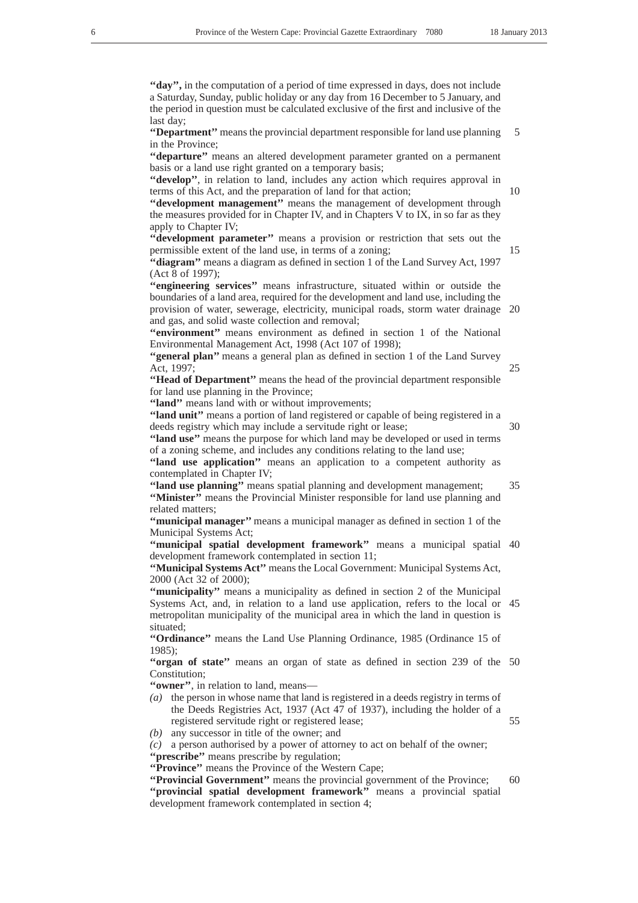**''day'',** in the computation of a period of time expressed in days, does not include a Saturday, Sunday, public holiday or any day from 16 December to 5 January, and the period in question must be calculated exclusive of the first and inclusive of the last day;

**''Department''** means the provincial department responsible for land use planning in the Province; 5

**''departure''** means an altered development parameter granted on a permanent basis or a land use right granted on a temporary basis;

**''develop''**, in relation to land, includes any action which requires approval in terms of this Act, and the preparation of land for that action;

"development management" means the management of development through the measures provided for in Chapter IV, and in Chapters V to IX, in so far as they apply to Chapter IV;

**''development parameter''** means a provision or restriction that sets out the permissible extent of the land use, in terms of a zoning;

**''diagram''** means a diagram as defined in section 1 of the Land Survey Act, 1997 (Act 8 of 1997);

**''engineering services''** means infrastructure, situated within or outside the boundaries of a land area, required for the development and land use, including the provision of water, sewerage, electricity, municipal roads, storm water drainage 20 and gas, and solid waste collection and removal;

**''environment''** means environment as defined in section 1 of the National Environmental Management Act, 1998 (Act 107 of 1998);

**''general plan''** means a general plan as defined in section 1 of the Land Survey Act, 1997;

**''Head of Department''** means the head of the provincial department responsible for land use planning in the Province;

**''land''** means land with or without improvements;

**''land unit''** means a portion of land registered or capable of being registered in a deeds registry which may include a servitude right or lease;

**''land use''** means the purpose for which land may be developed or used in terms of a zoning scheme, and includes any conditions relating to the land use;

**''land use application''** means an application to a competent authority as contemplated in Chapter IV;

"land use planning" means spatial planning and development management; **''Minister''** means the Provincial Minister responsible for land use planning and related matters; 35

**''municipal manager''** means a municipal manager as defined in section 1 of the Municipal Systems Act;

"municipal spatial development framework" means a municipal spatial 40 development framework contemplated in section 11;

**''Municipal Systems Act''** means the Local Government: Municipal Systems Act, 2000 (Act 32 of 2000);

**''municipality''** means a municipality as defined in section 2 of the Municipal Systems Act, and, in relation to a land use application, refers to the local or 45 metropolitan municipality of the municipal area in which the land in question is situated<sup>.</sup>

**''Ordinance''** means the Land Use Planning Ordinance, 1985 (Ordinance 15 of 1985);

"organ of state" means an organ of state as defined in section 239 of the 50 Constitution;

**''owner''**, in relation to land, means—

*(a)* the person in whose name that land is registered in a deeds registry in terms of the Deeds Registries Act, 1937 (Act 47 of 1937), including the holder of a registered servitude right or registered lease;

*(b)* any successor in title of the owner; and

*(c)* a person authorised by a power of attorney to act on behalf of the owner;

**''prescribe''** means prescribe by regulation;

**''Province''** means the Province of the Western Cape;

**''Provincial Government''** means the provincial government of the Province; **''provincial spatial development framework''** means a provincial spatial development framework contemplated in section 4; 60

15

25

30

55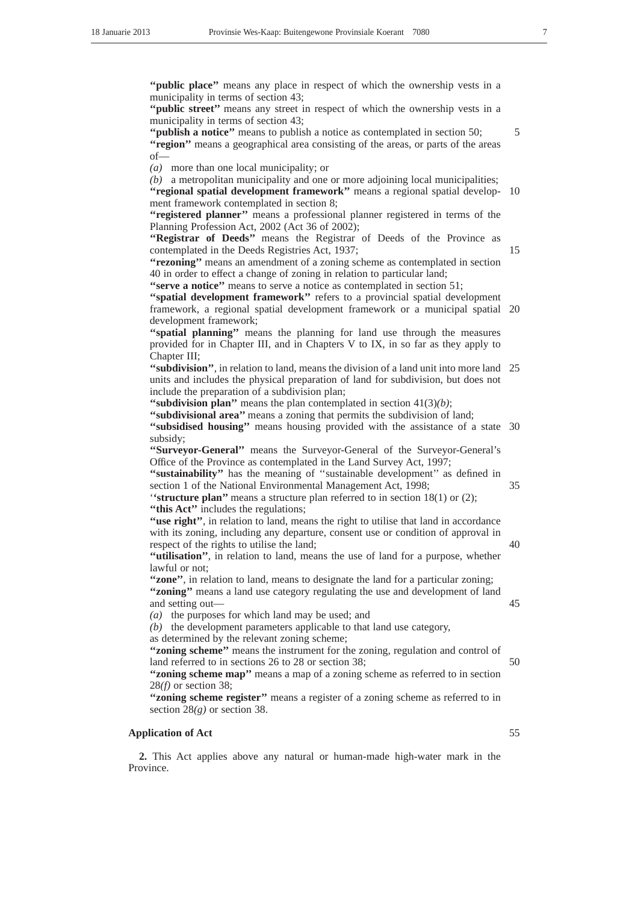5

15

**''public place''** means any place in respect of which the ownership vests in a municipality in terms of section 43;

**''public street''** means any street in respect of which the ownership vests in a municipality in terms of section 43;

**''publish a notice''** means to publish a notice as contemplated in section 50; **''region''** means a geographical area consisting of the areas, or parts of the areas of—

*(a)* more than one local municipality; or

*(b)* a metropolitan municipality and one or more adjoining local municipalities; "regional spatial development framework" means a regional spatial develop- 10 ment framework contemplated in section 8;

**''registered planner''** means a professional planner registered in terms of the Planning Profession Act, 2002 (Act 36 of 2002);

**''Registrar of Deeds''** means the Registrar of Deeds of the Province as contemplated in the Deeds Registries Act, 1937;

**''rezoning''** means an amendment of a zoning scheme as contemplated in section 40 in order to effect a change of zoning in relation to particular land;

**''serve a notice''** means to serve a notice as contemplated in section 51; **''spatial development framework''** refers to a provincial spatial development

framework, a regional spatial development framework or a municipal spatial 20 development framework;

**''spatial planning''** means the planning for land use through the measures provided for in Chapter III, and in Chapters V to IX, in so far as they apply to Chapter III;

**"subdivision"**, in relation to land, means the division of a land unit into more land 25 units and includes the physical preparation of land for subdivision, but does not include the preparation of a subdivision plan;

**''subdivision plan''** means the plan contemplated in section 41(3)*(b)*;

**''subdivisional area''** means a zoning that permits the subdivision of land;

"subsidised housing" means housing provided with the assistance of a state 30 subsidy;

**''Surveyor-General''** means the Surveyor-General of the Surveyor-General's Office of the Province as contemplated in the Land Survey Act, 1997;

**''sustainability''** has the meaning of ''sustainable development'' as defined in section 1 of the National Environmental Management Act, 1998; 35

'**'structure plan''** means a structure plan referred to in section 18(1) or (2); **''this Act''** includes the regulations;

"use right", in relation to land, means the right to utilise that land in accordance with its zoning, including any departure, consent use or condition of approval in respect of the rights to utilise the land;

**''utilisation''**, in relation to land, means the use of land for a purpose, whether lawful or not;

**''zone''**, in relation to land, means to designate the land for a particular zoning; **''zoning''** means a land use category regulating the use and development of land and setting out—

*(a)* the purposes for which land may be used; and

*(b)* the development parameters applicable to that land use category,

as determined by the relevant zoning scheme;

**''zoning scheme''** means the instrument for the zoning, regulation and control of land referred to in sections 26 to 28 or section 38;

**''zoning scheme map''** means a map of a zoning scheme as referred to in section 28*(f)* or section 38;

**''zoning scheme register''** means a register of a zoning scheme as referred to in section 28*(g)* or section 38.

## **Application of Act**

**2.** This Act applies above any natural or human-made high-water mark in the Province.

55

40

45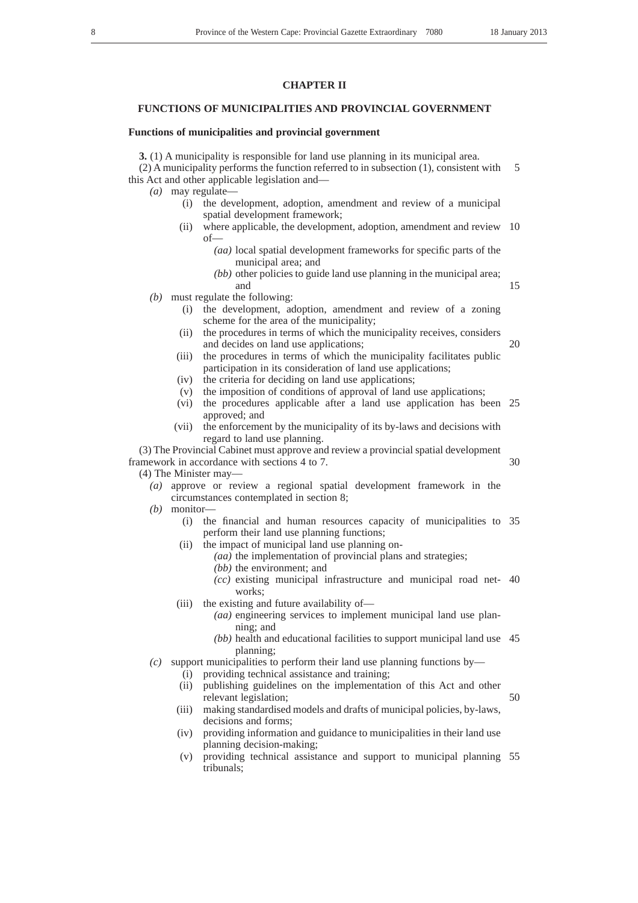## **CHAPTER II**

## **FUNCTIONS OF MUNICIPALITIES AND PROVINCIAL GOVERNMENT**

#### **Functions of municipalities and provincial government**

**3.** (1) A municipality is responsible for land use planning in its municipal area. (2) A municipality performs the function referred to in subsection (1), consistent with this Act and other applicable legislation and— 5

- *(a)* may regulate—
	- (i) the development, adoption, amendment and review of a municipal spatial development framework;
	- (ii) where applicable, the development, adoption, amendment and review of— 10
		- *(aa)* local spatial development frameworks for specific parts of the municipal area; and
		- *(bb)* other policies to guide land use planning in the municipal area; and
- *(b)* must regulate the following:
	- (i) the development, adoption, amendment and review of a zoning scheme for the area of the municipality;
	- (ii) the procedures in terms of which the municipality receives, considers and decides on land use applications;
	- (iii) the procedures in terms of which the municipality facilitates public participation in its consideration of land use applications;
	- (iv) the criteria for deciding on land use applications;
	- (v) the imposition of conditions of approval of land use applications;
	- (vi) the procedures applicable after a land use application has been 25 approved; and
	- (vii) the enforcement by the municipality of its by-laws and decisions with regard to land use planning.

(3) The Provincial Cabinet must approve and review a provincial spatial development framework in accordance with sections 4 to 7.

30

15

20

(4) The Minister may—

- *(a)* approve or review a regional spatial development framework in the circumstances contemplated in section 8;
- *(b)* monitor—
	- (i) the financial and human resources capacity of municipalities to 35 perform their land use planning functions;
	- (ii) the impact of municipal land use planning on-
		- *(aa)* the implementation of provincial plans and strategies;
		- *(bb)* the environment; and
		- *(cc)* existing municipal infrastructure and municipal road net-40 works;
	- (iii) the existing and future availability of—
		- *(aa)* engineering services to implement municipal land use planning; and
		- *(bb)* health and educational facilities to support municipal land use 45 planning;
- *(c)* support municipalities to perform their land use planning functions by—
	- (i) providing technical assistance and training;
	- (ii) publishing guidelines on the implementation of this Act and other relevant legislation;

- (iii) making standardised models and drafts of municipal policies, by-laws, decisions and forms;
- (iv) providing information and guidance to municipalities in their land use planning decision-making;
- (v) providing technical assistance and support to municipal planning 55tribunals;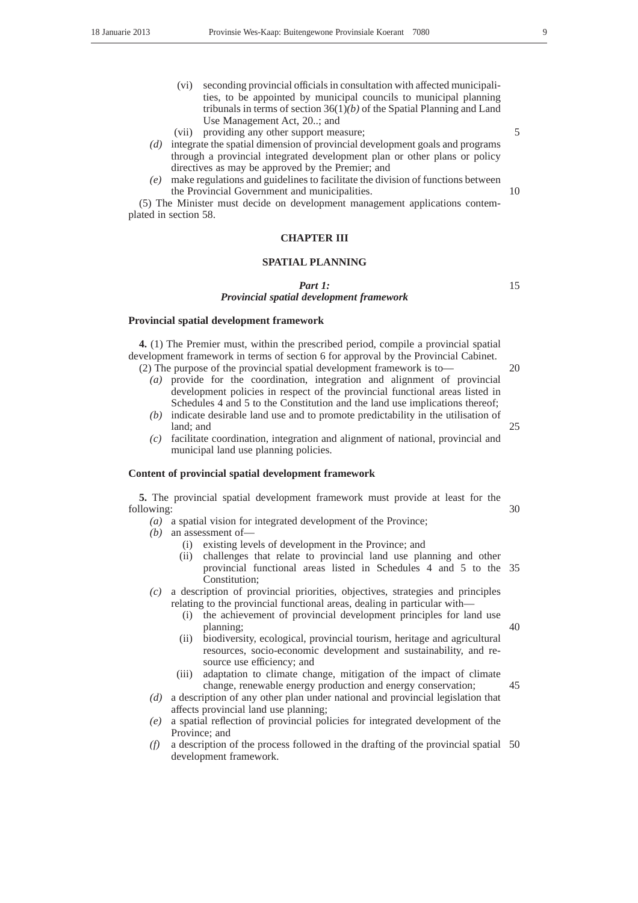- (vi) seconding provincial officials in consultation with affected municipalities, to be appointed by municipal councils to municipal planning tribunals in terms of section 36(1)*(b)* of the Spatial Planning and Land Use Management Act, 20..; and
- (vii) providing any other support measure;
- *(d)* integrate the spatial dimension of provincial development goals and programs through a provincial integrated development plan or other plans or policy directives as may be approved by the Premier; and
- *(e)* make regulations and guidelines to facilitate the division of functions between the Provincial Government and municipalities.

(5) The Minister must decide on development management applications contemplated in section 58.

## **CHAPTER III**

#### **SPATIAL PLANNING**

*Part 1:*

#### *Provincial spatial development framework*

#### **Provincial spatial development framework**

**4.** (1) The Premier must, within the prescribed period, compile a provincial spatial development framework in terms of section 6 for approval by the Provincial Cabinet. (2) The purpose of the provincial spatial development framework is to—

- *(a)* provide for the coordination, integration and alignment of provincial development policies in respect of the provincial functional areas listed in Schedules 4 and 5 to the Constitution and the land use implications thereof;
- *(b)* indicate desirable land use and to promote predictability in the utilisation of land; and
- *(c)* facilitate coordination, integration and alignment of national, provincial and municipal land use planning policies.

#### **Content of provincial spatial development framework**

**5.** The provincial spatial development framework must provide at least for the following:

*(a)* a spatial vision for integrated development of the Province;

- *(b)* an assessment of—
	- (i) existing levels of development in the Province; and
	- (ii) challenges that relate to provincial land use planning and other provincial functional areas listed in Schedules 4 and 5 to the 35 Constitution;
- *(c)* a description of provincial priorities, objectives, strategies and principles relating to the provincial functional areas, dealing in particular with—
	- (i) the achievement of provincial development principles for land use planning;
	- (ii) biodiversity, ecological, provincial tourism, heritage and agricultural resources, socio-economic development and sustainability, and resource use efficiency; and
	- (iii) adaptation to climate change, mitigation of the impact of climate change, renewable energy production and energy conservation; 45
- *(d)* a description of any other plan under national and provincial legislation that affects provincial land use planning;
- *(e)* a spatial reflection of provincial policies for integrated development of the Province; and
- *(f)* a description of the process followed in the drafting of the provincial spatial 50development framework.

5

10

20

15

25

30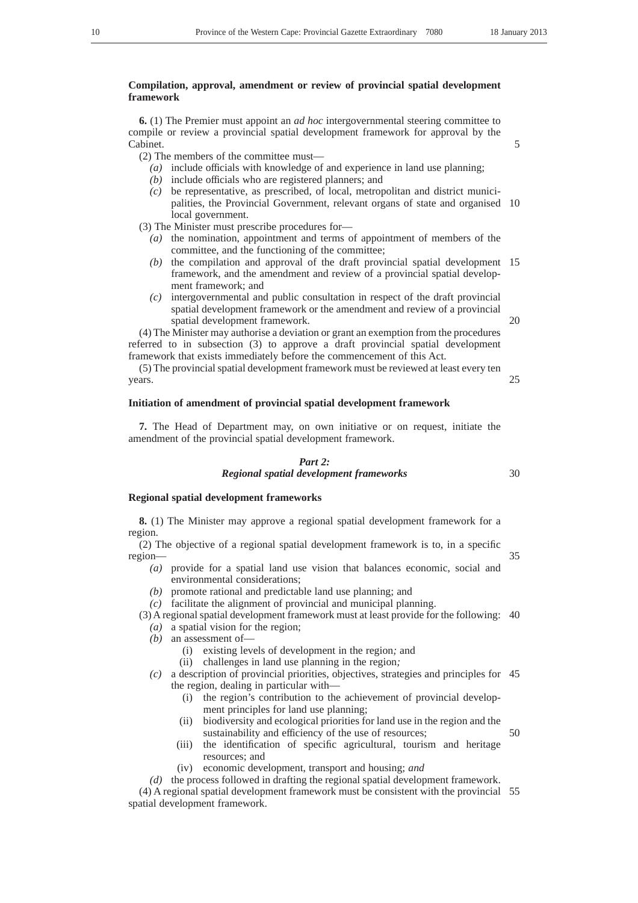## **Compilation, approval, amendment or review of provincial spatial development framework**

**6.** (1) The Premier must appoint an *ad hoc* intergovernmental steering committee to compile or review a provincial spatial development framework for approval by the Cabinet.

(2) The members of the committee must—

- *(a)* include officials with knowledge of and experience in land use planning;
- *(b)* include officials who are registered planners; and
- *(c)* be representative, as prescribed, of local, metropolitan and district municipalities, the Provincial Government, relevant organs of state and organised 10 local government.

(3) The Minister must prescribe procedures for—

- *(a)* the nomination, appointment and terms of appointment of members of the committee, and the functioning of the committee;
- *(b)* the compilation and approval of the draft provincial spatial development 15 framework, and the amendment and review of a provincial spatial development framework; and
- *(c)* intergovernmental and public consultation in respect of the draft provincial spatial development framework or the amendment and review of a provincial spatial development framework.

(4) The Minister may authorise a deviation or grant an exemption from the procedures referred to in subsection (3) to approve a draft provincial spatial development framework that exists immediately before the commencement of this Act.

(5) The provincial spatial development framework must be reviewed at least every ten years.

## **Initiation of amendment of provincial spatial development framework**

**7.** The Head of Department may, on own initiative or on request, initiate the amendment of the provincial spatial development framework.

## *Part 2:*

## *Regional spatial development frameworks*

## **Regional spatial development frameworks**

**8.** (1) The Minister may approve a regional spatial development framework for a region.

(2) The objective of a regional spatial development framework is to, in a specific region—

- *(a)* provide for a spatial land use vision that balances economic, social and environmental considerations;
- *(b)* promote rational and predictable land use planning; and
- *(c)* facilitate the alignment of provincial and municipal planning.

(3) A regional spatial development framework must at least provide for the following: 40

- *(a)* a spatial vision for the region;
- *(b)* an assessment of—
	- (i) existing levels of development in the region*;* and
	- (ii) challenges in land use planning in the region*;*
- *(c)* a description of provincial priorities, objectives, strategies and principles for 45 the region, dealing in particular with—
	- (i) the region's contribution to the achievement of provincial development principles for land use planning;
	- (ii) biodiversity and ecological priorities for land use in the region and the sustainability and efficiency of the use of resources; 50
	- (iii) the identification of specific agricultural, tourism and heritage resources; and
	- (iv) economic development, transport and housing; *and*

*(d)* the process followed in drafting the regional spatial development framework.

(4) A regional spatial development framework must be consistent with the provincial 55spatial development framework.

30

35

20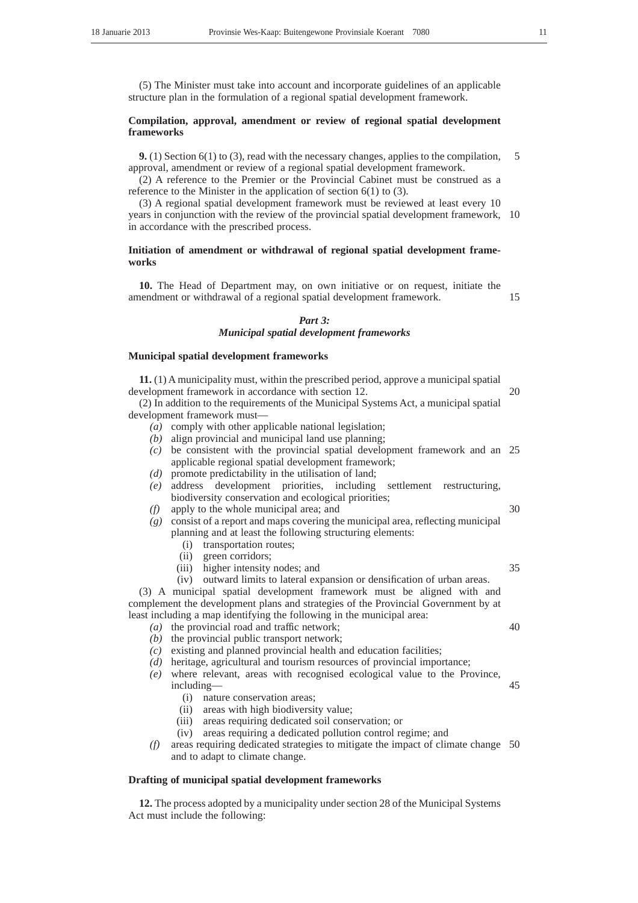(5) The Minister must take into account and incorporate guidelines of an applicable structure plan in the formulation of a regional spatial development framework.

## **Compilation, approval, amendment or review of regional spatial development frameworks**

**9.** (1) Section 6(1) to (3), read with the necessary changes, applies to the compilation, approval, amendment or review of a regional spatial development framework. 5

(2) A reference to the Premier or the Provincial Cabinet must be construed as a reference to the Minister in the application of section 6(1) to (3).

(3) A regional spatial development framework must be reviewed at least every 10 years in conjunction with the review of the provincial spatial development framework, 10 in accordance with the prescribed process.

## **Initiation of amendment or withdrawal of regional spatial development frameworks**

**10.** The Head of Department may, on own initiative or on request, initiate the amendment or withdrawal of a regional spatial development framework.

15

30

35

## *Part 3: Municipal spatial development frameworks*

## **Municipal spatial development frameworks**

**11.** (1) A municipality must, within the prescribed period, approve a municipal spatial development framework in accordance with section 12. 20

(2) In addition to the requirements of the Municipal Systems Act, a municipal spatial development framework must—

- *(a)* comply with other applicable national legislation;
- *(b)* align provincial and municipal land use planning;
- *(c)* be consistent with the provincial spatial development framework and an 25 applicable regional spatial development framework;
- *(d)* promote predictability in the utilisation of land;
- *(e)* address development priorities, including settlement restructuring, biodiversity conservation and ecological priorities;
- *(f)* apply to the whole municipal area; and
- *(g)* consist of a report and maps covering the municipal area, reflecting municipal planning and at least the following structuring elements:
	- (i) transportation routes;
	- (ii) green corridors;
	- (iii) higher intensity nodes; and

(iv) outward limits to lateral expansion or densification of urban areas.

(3) A municipal spatial development framework must be aligned with and complement the development plans and strategies of the Provincial Government by at least including a map identifying the following in the municipal area: 40

- *(a)* the provincial road and traffic network;
- *(b)* the provincial public transport network;
- *(c)* existing and planned provincial health and education facilities;
- *(d)* heritage, agricultural and tourism resources of provincial importance;
- *(e)* where relevant, areas with recognised ecological value to the Province, including— 45
	- (i) nature conservation areas;
	- (ii) areas with high biodiversity value;
	- (iii) areas requiring dedicated soil conservation; or
	- (iv) areas requiring a dedicated pollution control regime; and
- *(f)* areas requiring dedicated strategies to mitigate the impact of climate change 50and to adapt to climate change.

## **Drafting of municipal spatial development frameworks**

**12.** The process adopted by a municipality under section 28 of the Municipal Systems Act must include the following: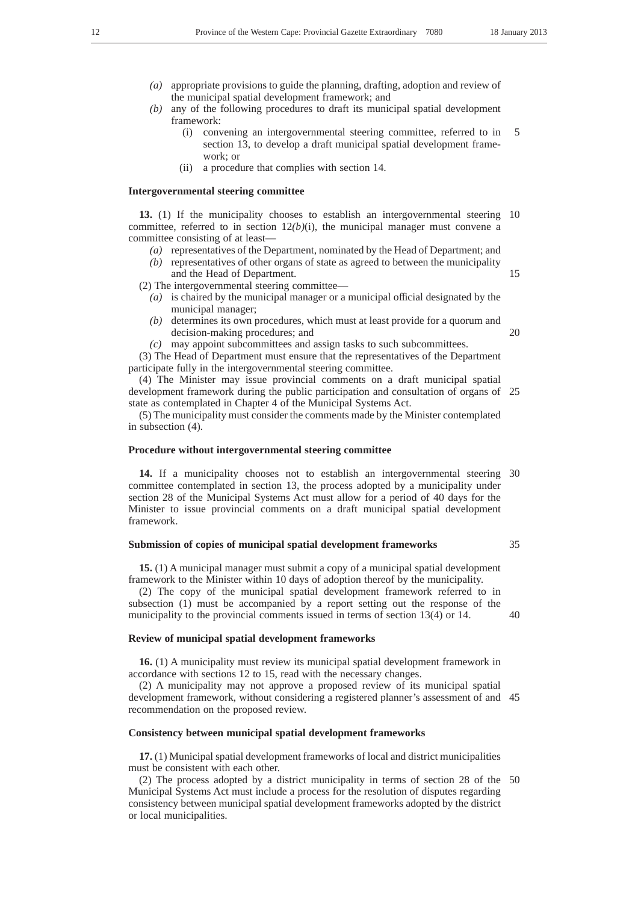- 
- *(a)* appropriate provisions to guide the planning, drafting, adoption and review of the municipal spatial development framework; and
- *(b)* any of the following procedures to draft its municipal spatial development framework:
	- (i) convening an intergovernmental steering committee, referred to in section 13, to develop a draft municipal spatial development framework; or 5
	- (ii) a procedure that complies with section 14.

#### **Intergovernmental steering committee**

**13.** (1) If the municipality chooses to establish an intergovernmental steering 10 committee, referred to in section  $12(b)(i)$ , the municipal manager must convene a committee consisting of at least—

- *(a)* representatives of the Department, nominated by the Head of Department; and
- *(b)* representatives of other organs of state as agreed to between the municipality and the Head of Department.

(2) The intergovernmental steering committee—

- *(a)* is chaired by the municipal manager or a municipal official designated by the municipal manager;
- *(b)* determines its own procedures, which must at least provide for a quorum and decision-making procedures; and 20
- *(c)* may appoint subcommittees and assign tasks to such subcommittees.

(3) The Head of Department must ensure that the representatives of the Department participate fully in the intergovernmental steering committee.

(4) The Minister may issue provincial comments on a draft municipal spatial development framework during the public participation and consultation of organs of 25 state as contemplated in Chapter 4 of the Municipal Systems Act.

(5) The municipality must consider the comments made by the Minister contemplated in subsection (4).

## **Procedure without intergovernmental steering committee**

**14.** If a municipality chooses not to establish an intergovernmental steering 30 committee contemplated in section 13, the process adopted by a municipality under section 28 of the Municipal Systems Act must allow for a period of 40 days for the Minister to issue provincial comments on a draft municipal spatial development framework.

## **Submission of copies of municipal spatial development frameworks**

**15.** (1) A municipal manager must submit a copy of a municipal spatial development framework to the Minister within 10 days of adoption thereof by the municipality.

(2) The copy of the municipal spatial development framework referred to in subsection (1) must be accompanied by a report setting out the response of the municipality to the provincial comments issued in terms of section 13(4) or 14. 40

## **Review of municipal spatial development frameworks**

**16.** (1) A municipality must review its municipal spatial development framework in accordance with sections 12 to 15, read with the necessary changes.

(2) A municipality may not approve a proposed review of its municipal spatial development framework, without considering a registered planner's assessment of and 45 recommendation on the proposed review.

#### **Consistency between municipal spatial development frameworks**

**17.** (1) Municipal spatial development frameworks of local and district municipalities must be consistent with each other.

(2) The process adopted by a district municipality in terms of section 28 of the 50Municipal Systems Act must include a process for the resolution of disputes regarding consistency between municipal spatial development frameworks adopted by the district or local municipalities.

15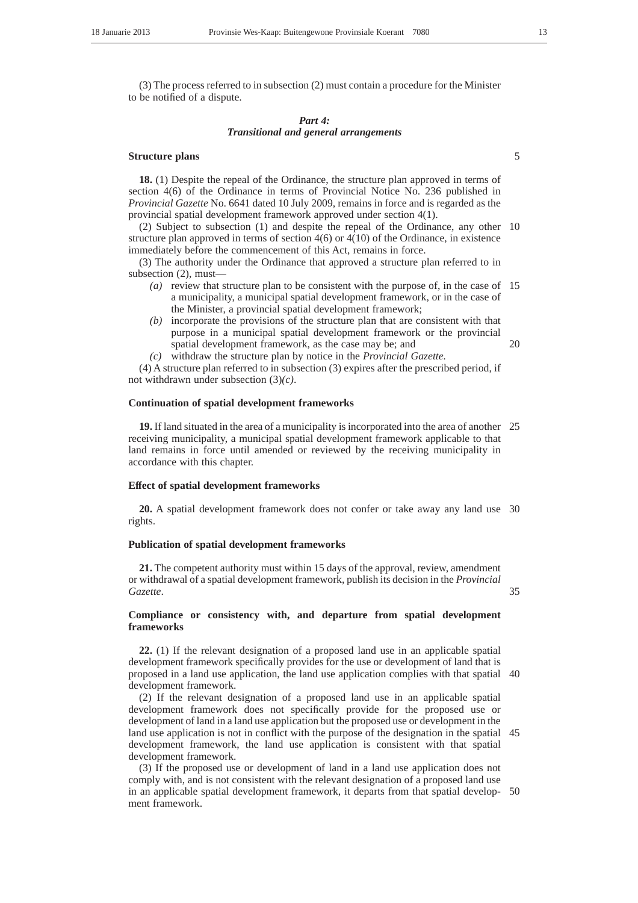(3) The process referred to in subsection (2) must contain a procedure for the Minister to be notified of a dispute.

## *Part 4: Transitional and general arrangements*

#### **Structure plans**

**18.** (1) Despite the repeal of the Ordinance, the structure plan approved in terms of section 4(6) of the Ordinance in terms of Provincial Notice No. 236 published in *Provincial Gazette* No. 6641 dated 10 July 2009, remains in force and is regarded as the provincial spatial development framework approved under section 4(1).

(2) Subject to subsection (1) and despite the repeal of the Ordinance, any other 10 structure plan approved in terms of section 4(6) or  $\frac{4(10)}{6}$  of the Ordinance, in existence immediately before the commencement of this Act, remains in force.

(3) The authority under the Ordinance that approved a structure plan referred to in subsection (2), must—

- *(a)* review that structure plan to be consistent with the purpose of, in the case of 15 a municipality, a municipal spatial development framework, or in the case of the Minister, a provincial spatial development framework;
- *(b)* incorporate the provisions of the structure plan that are consistent with that purpose in a municipal spatial development framework or the provincial spatial development framework, as the case may be; and 20
- *(c)* withdraw the structure plan by notice in the *Provincial Gazette.* (4) A structure plan referred to in subsection (3) expires after the prescribed period, if not withdrawn under subsection (3)*(c)*.

#### **Continuation of spatial development frameworks**

**19.** If land situated in the area of a municipality is incorporated into the area of another 25 receiving municipality, a municipal spatial development framework applicable to that land remains in force until amended or reviewed by the receiving municipality in accordance with this chapter.

#### **Effect of spatial development frameworks**

**20.** A spatial development framework does not confer or take away any land use 30 rights.

#### **Publication of spatial development frameworks**

**21.** The competent authority must within 15 days of the approval, review, amendment or withdrawal of a spatial development framework, publish its decision in the *Provincial Gazette*.

## **Compliance or consistency with, and departure from spatial development frameworks**

**22.** (1) If the relevant designation of a proposed land use in an applicable spatial development framework specifically provides for the use or development of land that is proposed in a land use application, the land use application complies with that spatial 40 development framework.

(2) If the relevant designation of a proposed land use in an applicable spatial development framework does not specifically provide for the proposed use or development of land in a land use application but the proposed use or development in the land use application is not in conflict with the purpose of the designation in the spatial development framework, the land use application is consistent with that spatial development framework. 45

(3) If the proposed use or development of land in a land use application does not comply with, and is not consistent with the relevant designation of a proposed land use in an applicable spatial development framework, it departs from that spatial develop-50ment framework.

5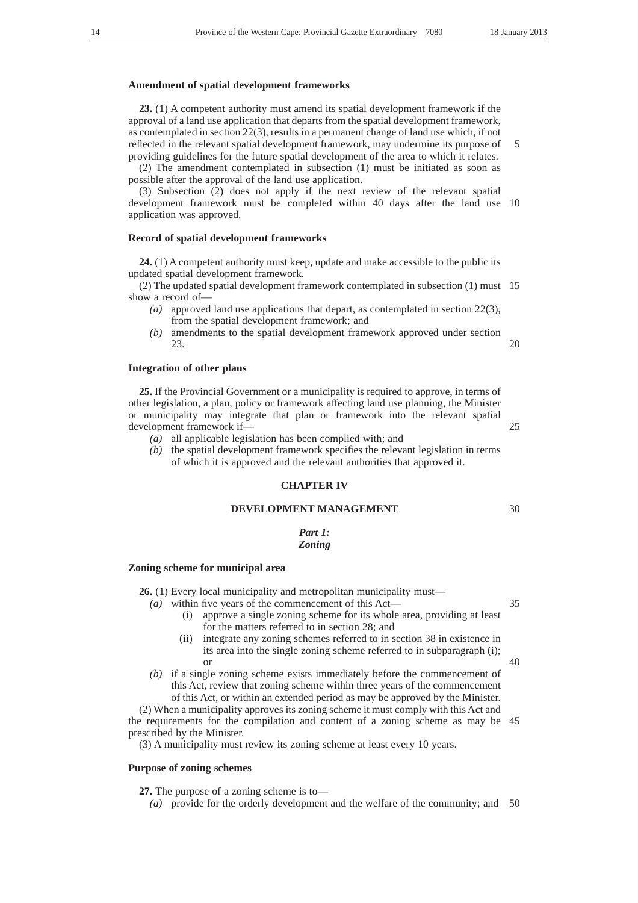#### **Amendment of spatial development frameworks**

**23.** (1) A competent authority must amend its spatial development framework if the approval of a land use application that departs from the spatial development framework, as contemplated in section 22(3), results in a permanent change of land use which, if not reflected in the relevant spatial development framework, may undermine its purpose of providing guidelines for the future spatial development of the area to which it relates.

(2) The amendment contemplated in subsection (1) must be initiated as soon as possible after the approval of the land use application.

(3) Subsection (2) does not apply if the next review of the relevant spatial development framework must be completed within 40 days after the land use 10 application was approved.

## **Record of spatial development frameworks**

**24.** (1) A competent authority must keep, update and make accessible to the public its updated spatial development framework.

(2) The updated spatial development framework contemplated in subsection (1) must 15 show a record of—

- *(a)* approved land use applications that depart, as contemplated in section 22(3), from the spatial development framework; and
- *(b)* amendments to the spatial development framework approved under section 23.

## **Integration of other plans**

**25.** If the Provincial Government or a municipality is required to approve, in terms of other legislation, a plan, policy or framework affecting land use planning, the Minister or municipality may integrate that plan or framework into the relevant spatial development framework if—

- *(a)* all applicable legislation has been complied with; and
- *(b)* the spatial development framework specifies the relevant legislation in terms of which it is approved and the relevant authorities that approved it.

## **CHAPTER IV**

## **DEVELOPMENT MANAGEMENT**

# *Part 1:*

## *Zoning*

#### **Zoning scheme for municipal area**

**26.** (1) Every local municipality and metropolitan municipality must—

*(a)* within five years of the commencement of this Act—

- (i) approve a single zoning scheme for its whole area, providing at least for the matters referred to in section 28; and
- (ii) integrate any zoning schemes referred to in section 38 in existence in its area into the single zoning scheme referred to in subparagraph (i); or
- *(b)* if a single zoning scheme exists immediately before the commencement of this Act, review that zoning scheme within three years of the commencement of this Act, or within an extended period as may be approved by the Minister.

(2) When a municipality approves its zoning scheme it must comply with this Act and the requirements for the compilation and content of a zoning scheme as may be 45 prescribed by the Minister.

(3) A municipality must review its zoning scheme at least every 10 years.

## **Purpose of zoning schemes**

**27.** The purpose of a zoning scheme is to—

*(a)* provide for the orderly development and the welfare of the community; and 50

5

20

25

30

## 40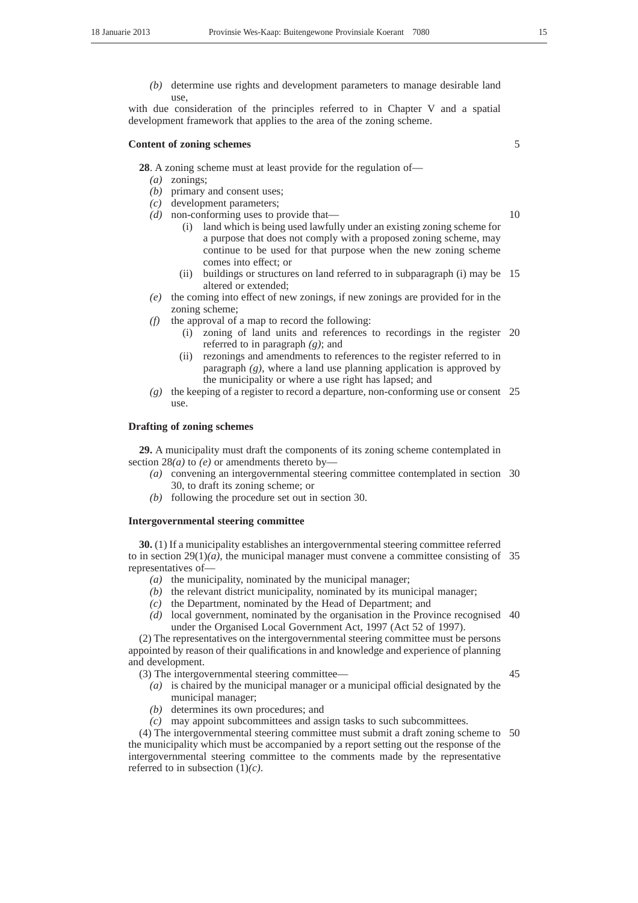*(b)* determine use rights and development parameters to manage desirable land use,

with due consideration of the principles referred to in Chapter V and a spatial development framework that applies to the area of the zoning scheme.

#### **Content of zoning schemes**

**28**. A zoning scheme must at least provide for the regulation of—

- *(a)* zonings;
- *(b)* primary and consent uses;
- *(c)* development parameters;
- *(d)* non-conforming uses to provide that—
	- (i) land which is being used lawfully under an existing zoning scheme for a purpose that does not comply with a proposed zoning scheme, may continue to be used for that purpose when the new zoning scheme comes into effect; or
	- (ii) buildings or structures on land referred to in subparagraph (i) may be 15 altered or extended;
- *(e)* the coming into effect of new zonings, if new zonings are provided for in the zoning scheme;
- *(f)* the approval of a map to record the following:
	- (i) zoning of land units and references to recordings in the register 20 referred to in paragraph *(g)*; and
	- (ii) rezonings and amendments to references to the register referred to in paragraph *(g)*, where a land use planning application is approved by the municipality or where a use right has lapsed; and
- *(g)* the keeping of a register to record a departure, non-conforming use or consent 25 use.

## **Drafting of zoning schemes**

**29.** A municipality must draft the components of its zoning scheme contemplated in section  $28(a)$  to *(e)* or amendments thereto by—

- *(a)* convening an intergovernmental steering committee contemplated in section 30 30, to draft its zoning scheme; or
- *(b)* following the procedure set out in section 30.

## **Intergovernmental steering committee**

**30.** (1) If a municipality establishes an intergovernmental steering committee referred to in section  $29(1)(a)$ , the municipal manager must convene a committee consisting of 35 representatives of—

- *(a)* the municipality, nominated by the municipal manager;
- *(b)* the relevant district municipality, nominated by its municipal manager;
- *(c)* the Department, nominated by the Head of Department; and
- *(d)* local government, nominated by the organisation in the Province recognised 40 under the Organised Local Government Act, 1997 (Act 52 of 1997).

(2) The representatives on the intergovernmental steering committee must be persons appointed by reason of their qualifications in and knowledge and experience of planning and development.

- (3) The intergovernmental steering committee—
	- *(a)* is chaired by the municipal manager or a municipal official designated by the municipal manager;
	- *(b)* determines its own procedures; and
	- *(c)* may appoint subcommittees and assign tasks to such subcommittees.

(4) The intergovernmental steering committee must submit a draft zoning scheme to 50the municipality which must be accompanied by a report setting out the response of the intergovernmental steering committee to the comments made by the representative referred to in subsection (1)*(c)*.

5

10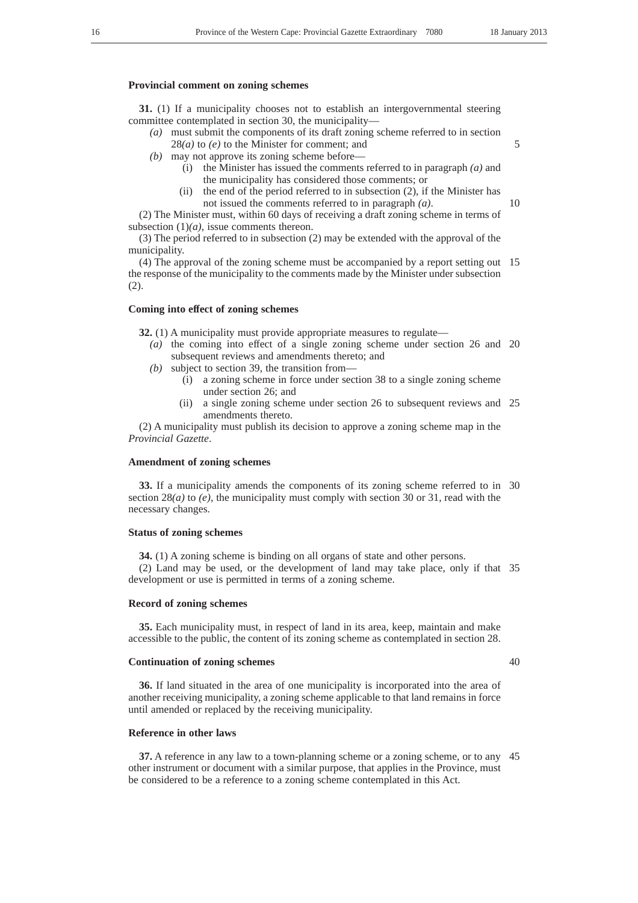## **Provincial comment on zoning schemes**

**31.** (1) If a municipality chooses not to establish an intergovernmental steering committee contemplated in section 30, the municipality—

- *(a)* must submit the components of its draft zoning scheme referred to in section 28*(a)* to *(e)* to the Minister for comment; and
- *(b)* may not approve its zoning scheme before—
	- (i) the Minister has issued the comments referred to in paragraph *(a)* and the municipality has considered those comments; or
	- (ii) the end of the period referred to in subsection (2), if the Minister has not issued the comments referred to in paragraph *(a)*. 10

(2) The Minister must, within 60 days of receiving a draft zoning scheme in terms of subsection  $(1)(a)$ , issue comments thereon.

(3) The period referred to in subsection (2) may be extended with the approval of the municipality.

(4) The approval of the zoning scheme must be accompanied by a report setting out 15 the response of the municipality to the comments made by the Minister under subsection (2).

#### **Coming into effect of zoning schemes**

**32.** (1) A municipality must provide appropriate measures to regulate—

- *(a)* the coming into effect of a single zoning scheme under section 26 and 20 subsequent reviews and amendments thereto; and
- *(b)* subject to section 39, the transition from—
	- (i) a zoning scheme in force under section 38 to a single zoning scheme under section 26; and
	- (ii) a single zoning scheme under section 26 to subsequent reviews and 25 amendments thereto.

(2) A municipality must publish its decision to approve a zoning scheme map in the *Provincial Gazette*.

#### **Amendment of zoning schemes**

**33.** If a municipality amends the components of its zoning scheme referred to in 30 section  $28(a)$  to  $(e)$ , the municipality must comply with section 30 or 31, read with the necessary changes.

#### **Status of zoning schemes**

**34.** (1) A zoning scheme is binding on all organs of state and other persons.

(2) Land may be used, or the development of land may take place, only if that 35 development or use is permitted in terms of a zoning scheme.

## **Record of zoning schemes**

**35.** Each municipality must, in respect of land in its area, keep, maintain and make accessible to the public, the content of its zoning scheme as contemplated in section 28.

#### **Continuation of zoning schemes**

**36.** If land situated in the area of one municipality is incorporated into the area of another receiving municipality, a zoning scheme applicable to that land remains in force until amended or replaced by the receiving municipality.

#### **Reference in other laws**

**37.** A reference in any law to a town-planning scheme or a zoning scheme, or to any 45other instrument or document with a similar purpose, that applies in the Province, must be considered to be a reference to a zoning scheme contemplated in this Act.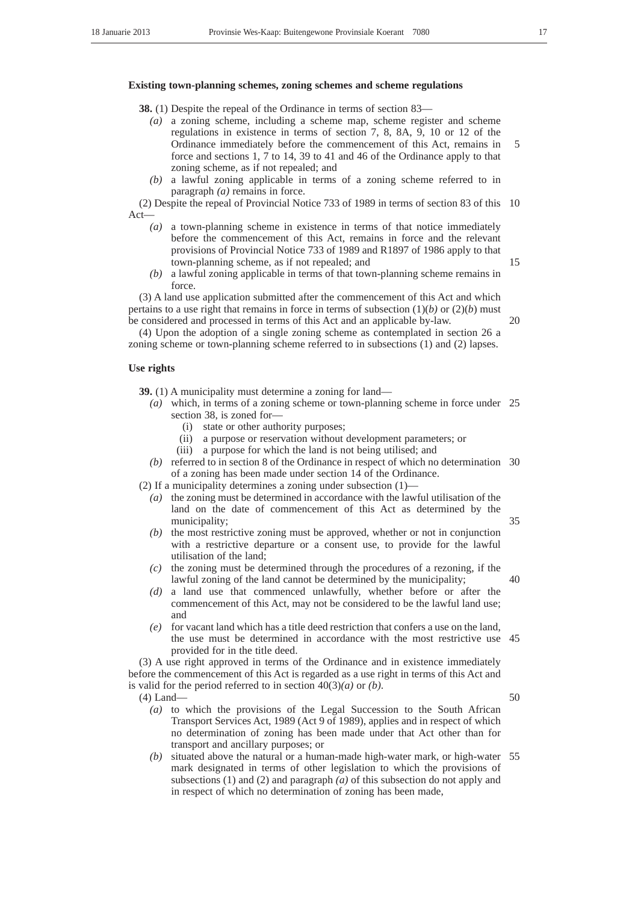#### **Existing town-planning schemes, zoning schemes and scheme regulations**

**38.** (1) Despite the repeal of the Ordinance in terms of section 83—

- *(a)* a zoning scheme, including a scheme map, scheme register and scheme regulations in existence in terms of section 7, 8, 8A, 9, 10 or 12 of the Ordinance immediately before the commencement of this Act, remains in force and sections 1, 7 to 14, 39 to 41 and 46 of the Ordinance apply to that zoning scheme, as if not repealed; and 5
- *(b)* a lawful zoning applicable in terms of a zoning scheme referred to in paragraph *(a)* remains in force.

(2) Despite the repeal of Provincial Notice 733 of 1989 in terms of section 83 of this 10 Act—

- *(a)* a town-planning scheme in existence in terms of that notice immediately before the commencement of this Act, remains in force and the relevant provisions of Provincial Notice 733 of 1989 and R1897 of 1986 apply to that town-planning scheme, as if not repealed; and
- *(b)* a lawful zoning applicable in terms of that town-planning scheme remains in force.

(3) A land use application submitted after the commencement of this Act and which pertains to a use right that remains in force in terms of subsection  $(1)(b)$  or  $(2)(b)$  must be considered and processed in terms of this Act and an applicable by-law.

(4) Upon the adoption of a single zoning scheme as contemplated in section 26 a zoning scheme or town-planning scheme referred to in subsections (1) and (2) lapses.

#### **Use rights**

**39.** (1) A municipality must determine a zoning for land—

- *(a)* which, in terms of a zoning scheme or town-planning scheme in force under 25 section 38, is zoned for—
	- (i) state or other authority purposes;
	- (ii) a purpose or reservation without development parameters; or
	- (iii) a purpose for which the land is not being utilised; and
- *(b)* referred to in section 8 of the Ordinance in respect of which no determination 30 of a zoning has been made under section 14 of the Ordinance.
- (2) If a municipality determines a zoning under subsection (1)—
	- *(a)* the zoning must be determined in accordance with the lawful utilisation of the land on the date of commencement of this Act as determined by the municipality;
	- *(b)* the most restrictive zoning must be approved, whether or not in conjunction with a restrictive departure or a consent use, to provide for the lawful utilisation of the land;
	- *(c)* the zoning must be determined through the procedures of a rezoning, if the lawful zoning of the land cannot be determined by the municipality; 40
	- *(d)* a land use that commenced unlawfully, whether before or after the commencement of this Act, may not be considered to be the lawful land use; and
	- *(e)* for vacant land which has a title deed restriction that confers a use on the land, the use must be determined in accordance with the most restrictive use 45 provided for in the title deed.

(3) A use right approved in terms of the Ordinance and in existence immediately before the commencement of this Act is regarded as a use right in terms of this Act and is valid for the period referred to in section 40(3)*(a)* or *(b)*.

(4) Land—

- *(a)* to which the provisions of the Legal Succession to the South African Transport Services Act, 1989 (Act 9 of 1989), applies and in respect of which no determination of zoning has been made under that Act other than for transport and ancillary purposes; or
- *(b)* situated above the natural or a human-made high-water mark, or high-water 55mark designated in terms of other legislation to which the provisions of subsections (1) and (2) and paragraph *(a)* of this subsection do not apply and in respect of which no determination of zoning has been made,

15

 $20$ 

50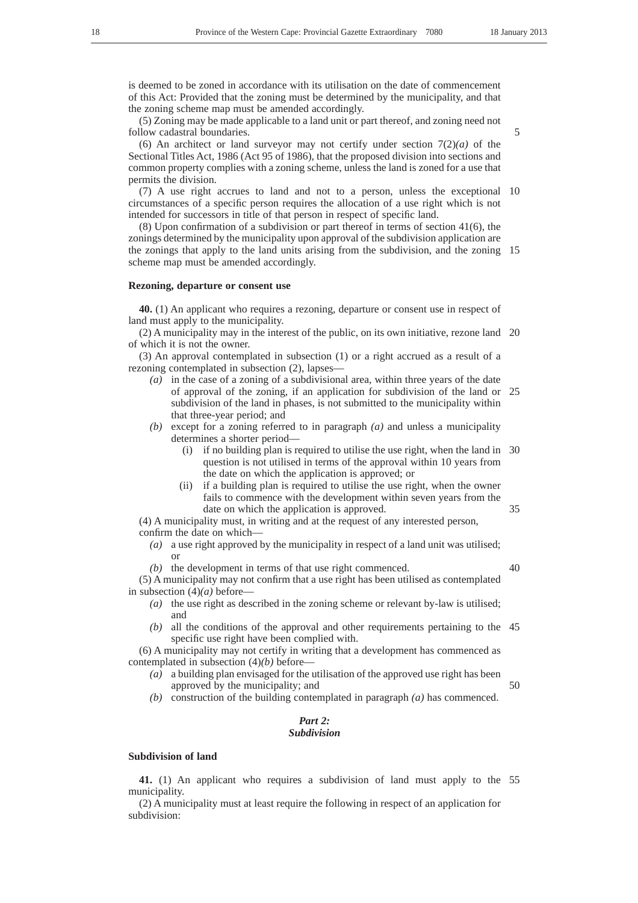is deemed to be zoned in accordance with its utilisation on the date of commencement of this Act: Provided that the zoning must be determined by the municipality, and that the zoning scheme map must be amended accordingly.

(5) Zoning may be made applicable to a land unit or part thereof, and zoning need not follow cadastral boundaries.

(6) An architect or land surveyor may not certify under section  $7(2)(a)$  of the Sectional Titles Act, 1986 (Act 95 of 1986), that the proposed division into sections and common property complies with a zoning scheme, unless the land is zoned for a use that permits the division.

(7) A use right accrues to land and not to a person, unless the exceptional 10 circumstances of a specific person requires the allocation of a use right which is not intended for successors in title of that person in respect of specific land.

(8) Upon confirmation of a subdivision or part thereof in terms of section 41(6), the zonings determined by the municipality upon approval of the subdivision application are the zonings that apply to the land units arising from the subdivision, and the zoning 15 scheme map must be amended accordingly.

#### **Rezoning, departure or consent use**

**40.** (1) An applicant who requires a rezoning, departure or consent use in respect of land must apply to the municipality.

(2) A municipality may in the interest of the public, on its own initiative, rezone land 20 of which it is not the owner.

(3) An approval contemplated in subsection (1) or a right accrued as a result of a rezoning contemplated in subsection (2), lapses—

- *(a)* in the case of a zoning of a subdivisional area, within three years of the date of approval of the zoning, if an application for subdivision of the land or 25 subdivision of the land in phases, is not submitted to the municipality within that three-year period; and
- *(b)* except for a zoning referred to in paragraph *(a)* and unless a municipality determines a shorter period—
	- (i) if no building plan is required to utilise the use right, when the land in 30 question is not utilised in terms of the approval within 10 years from the date on which the application is approved; or
	- (ii) if a building plan is required to utilise the use right, when the owner fails to commence with the development within seven years from the date on which the application is approved.

(4) A municipality must, in writing and at the request of any interested person, confirm the date on which—

*(a)* a use right approved by the municipality in respect of a land unit was utilised; or

*(b)* the development in terms of that use right commenced.

40

50

35

(5) A municipality may not confirm that a use right has been utilised as contemplated in subsection (4)*(a)* before—

- *(a)* the use right as described in the zoning scheme or relevant by-law is utilised; and
- *(b)* all the conditions of the approval and other requirements pertaining to the 45 specific use right have been complied with.

(6) A municipality may not certify in writing that a development has commenced as contemplated in subsection (4)*(b)* before—

- *(a)* a building plan envisaged for the utilisation of the approved use right has been approved by the municipality; and
- *(b)* construction of the building contemplated in paragraph *(a)* has commenced.

## *Part 2: Subdivision*

## **Subdivision of land**

**41.** (1) An applicant who requires a subdivision of land must apply to the 55municipality.

(2) A municipality must at least require the following in respect of an application for subdivision: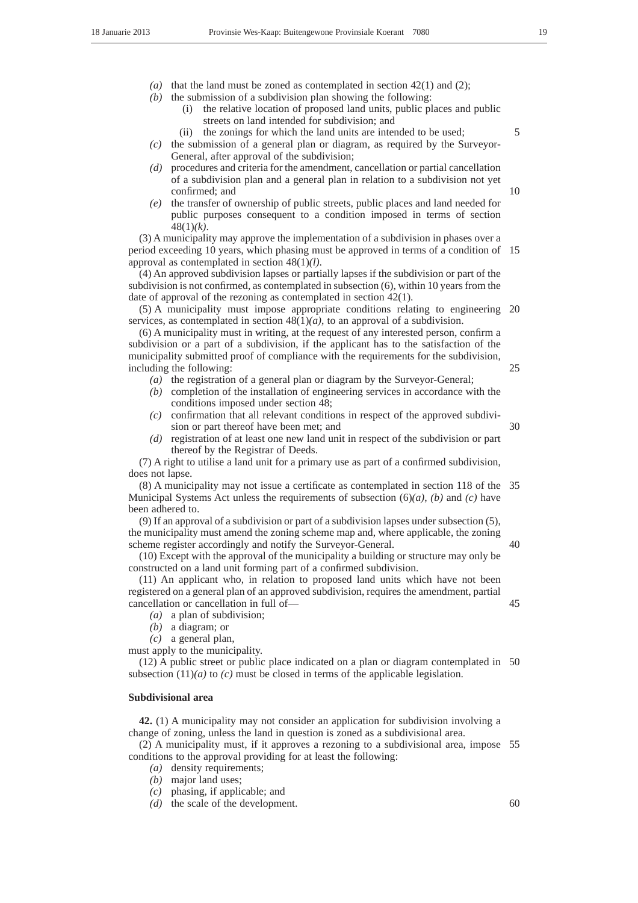5

10

- *(a)* that the land must be zoned as contemplated in section 42(1) and (2);
- *(b)* the submission of a subdivision plan showing the following:
	- (i) the relative location of proposed land units, public places and public streets on land intended for subdivision; and
	- (ii) the zonings for which the land units are intended to be used;
- *(c)* the submission of a general plan or diagram, as required by the Surveyor-General, after approval of the subdivision;
- *(d)* procedures and criteria for the amendment, cancellation or partial cancellation of a subdivision plan and a general plan in relation to a subdivision not yet confirmed; and
- *(e)* the transfer of ownership of public streets, public places and land needed for public purposes consequent to a condition imposed in terms of section 48(1)*(k)*.

(3) A municipality may approve the implementation of a subdivision in phases over a period exceeding 10 years, which phasing must be approved in terms of a condition of 15 approval as contemplated in section 48(1)*(l)*.

(4) An approved subdivision lapses or partially lapses if the subdivision or part of the subdivision is not confirmed, as contemplated in subsection (6), within 10 years from the date of approval of the rezoning as contemplated in section 42(1).

(5) A municipality must impose appropriate conditions relating to engineering 20 services, as contemplated in section  $48(1)(a)$ , to an approval of a subdivision.

(6) A municipality must in writing, at the request of any interested person, confirm a subdivision or a part of a subdivision, if the applicant has to the satisfaction of the municipality submitted proof of compliance with the requirements for the subdivision, including the following:

- *(a)* the registration of a general plan or diagram by the Surveyor-General;
- *(b)* completion of the installation of engineering services in accordance with the conditions imposed under section 48;
- *(c)* confirmation that all relevant conditions in respect of the approved subdivision or part thereof have been met; and
- *(d)* registration of at least one new land unit in respect of the subdivision or part thereof by the Registrar of Deeds.

(7) A right to utilise a land unit for a primary use as part of a confirmed subdivision, does not lapse.

(8) A municipality may not issue a certificate as contemplated in section 118 of the 35 Municipal Systems Act unless the requirements of subsection (6)*(a)*, *(b)* and *(c)* have been adhered to.

(9) If an approval of a subdivision or part of a subdivision lapses under subsection (5), the municipality must amend the zoning scheme map and, where applicable, the zoning scheme register accordingly and notify the Surveyor-General.

(10) Except with the approval of the municipality a building or structure may only be constructed on a land unit forming part of a confirmed subdivision.

(11) An applicant who, in relation to proposed land units which have not been registered on a general plan of an approved subdivision, requires the amendment, partial cancellation or cancellation in full of— 45

- *(a)* a plan of subdivision;
- *(b)* a diagram; or
- *(c)* a general plan,

must apply to the municipality.

(12) A public street or public place indicated on a plan or diagram contemplated in 50 subsection (11)*(a)* to *(c)* must be closed in terms of the applicable legislation.

#### **Subdivisional area**

**42.** (1) A municipality may not consider an application for subdivision involving a change of zoning, unless the land in question is zoned as a subdivisional area.

(2) A municipality must, if it approves a rezoning to a subdivisional area, impose 55 conditions to the approval providing for at least the following:

- *(a)* density requirements;
- *(b)* major land uses;
- *(c)* phasing, if applicable; and
- *(d)* the scale of the development.

25

30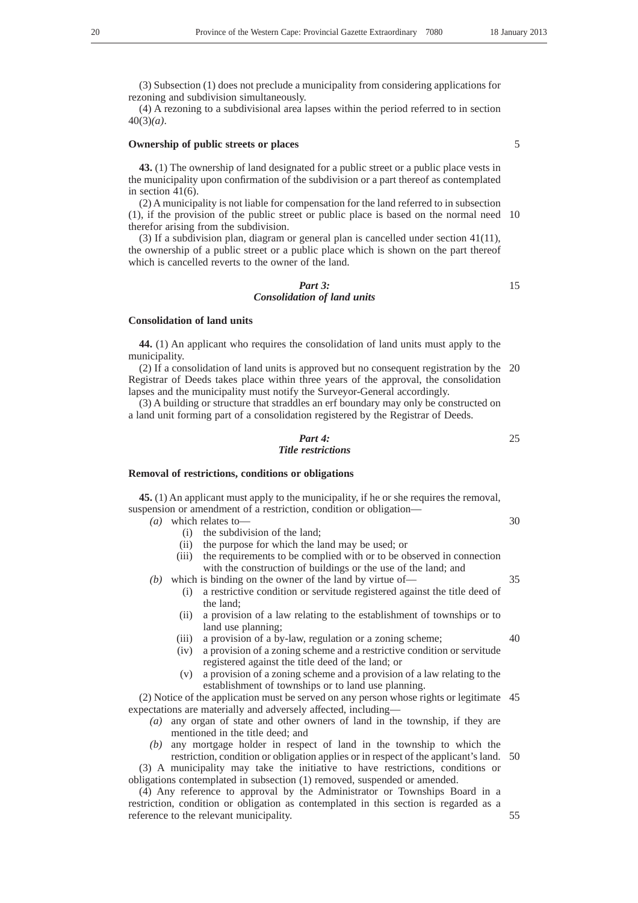(3) Subsection (1) does not preclude a municipality from considering applications for rezoning and subdivision simultaneously.

(4) A rezoning to a subdivisional area lapses within the period referred to in section 40(3)*(a)*.

#### **Ownership of public streets or places**

**43.** (1) The ownership of land designated for a public street or a public place vests in the municipality upon confirmation of the subdivision or a part thereof as contemplated in section  $41(6)$ .

(2) A municipality is not liable for compensation for the land referred to in subsection (1), if the provision of the public street or public place is based on the normal need 10 therefor arising from the subdivision.

(3) If a subdivision plan, diagram or general plan is cancelled under section 41(11), the ownership of a public street or a public place which is shown on the part thereof which is cancelled reverts to the owner of the land.

## *Part 3: Consolidation of land units*

## **Consolidation of land units**

**44.** (1) An applicant who requires the consolidation of land units must apply to the municipality.

(2) If a consolidation of land units is approved but no consequent registration by the 20 Registrar of Deeds takes place within three years of the approval, the consolidation lapses and the municipality must notify the Surveyor-General accordingly.

(3) A building or structure that straddles an erf boundary may only be constructed on a land unit forming part of a consolidation registered by the Registrar of Deeds.

*Part 4: Title restrictions* 25

#### **Removal of restrictions, conditions or obligations**

**45.** (1) An applicant must apply to the municipality, if he or she requires the removal, suspension or amendment of a restriction, condition or obligation—

- *(a)* which relates to—
	- (i) the subdivision of the land;
	- (ii) the purpose for which the land may be used; or
	- (iii) the requirements to be complied with or to be observed in connection with the construction of buildings or the use of the land; and

*(b)* which is binding on the owner of the land by virtue of—

- (i) a restrictive condition or servitude registered against the title deed of the land;
- (ii) a provision of a law relating to the establishment of townships or to land use planning;
- (iii) a provision of a by-law, regulation or a zoning scheme;
- (iv) a provision of a zoning scheme and a restrictive condition or servitude registered against the title deed of the land; or
- (v) a provision of a zoning scheme and a provision of a law relating to the establishment of townships or to land use planning.

(2) Notice of the application must be served on any person whose rights or legitimate 45 expectations are materially and adversely affected, including—

- *(a)* any organ of state and other owners of land in the township, if they are mentioned in the title deed; and
- *(b)* any mortgage holder in respect of land in the township to which the restriction, condition or obligation applies or in respect of the applicant's land. 50

(3) A municipality may take the initiative to have restrictions, conditions or obligations contemplated in subsection (1) removed, suspended or amended.

(4) Any reference to approval by the Administrator or Townships Board in a restriction, condition or obligation as contemplated in this section is regarded as a reference to the relevant municipality. 55

15

30

35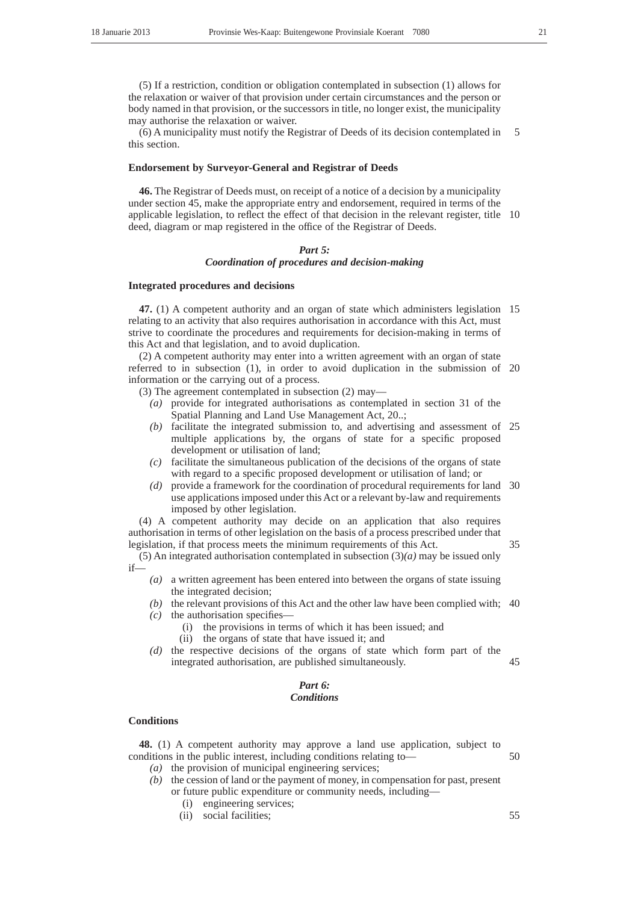(5) If a restriction, condition or obligation contemplated in subsection (1) allows for the relaxation or waiver of that provision under certain circumstances and the person or body named in that provision, or the successors in title, no longer exist, the municipality may authorise the relaxation or waiver.

(6) A municipality must notify the Registrar of Deeds of its decision contemplated in this section. 5

#### **Endorsement by Surveyor-General and Registrar of Deeds**

**46.** The Registrar of Deeds must, on receipt of a notice of a decision by a municipality under section 45, make the appropriate entry and endorsement, required in terms of the applicable legislation, to reflect the effect of that decision in the relevant register, title 10 deed, diagram or map registered in the office of the Registrar of Deeds.

## *Part 5:*

## *Coordination of procedures and decision-making*

#### **Integrated procedures and decisions**

**47.** (1) A competent authority and an organ of state which administers legislation 15 relating to an activity that also requires authorisation in accordance with this Act, must strive to coordinate the procedures and requirements for decision-making in terms of this Act and that legislation, and to avoid duplication.

(2) A competent authority may enter into a written agreement with an organ of state referred to in subsection (1), in order to avoid duplication in the submission of 20 information or the carrying out of a process.

- (3) The agreement contemplated in subsection (2) may—
	- *(a)* provide for integrated authorisations as contemplated in section 31 of the Spatial Planning and Land Use Management Act, 20..;
	- *(b)* facilitate the integrated submission to, and advertising and assessment of 25 multiple applications by, the organs of state for a specific proposed development or utilisation of land;
	- *(c)* facilitate the simultaneous publication of the decisions of the organs of state with regard to a specific proposed development or utilisation of land; or
	- *(d)* provide a framework for the coordination of procedural requirements for land 30 use applications imposed under this Act or a relevant by-law and requirements imposed by other legislation.

(4) A competent authority may decide on an application that also requires authorisation in terms of other legislation on the basis of a process prescribed under that legislation, if that process meets the minimum requirements of this Act. 35

- *(a)* a written agreement has been entered into between the organs of state issuing the integrated decision;
- *(b)* the relevant provisions of this Act and the other law have been complied with; 40 *(c)* the authorisation specifies—
	- (i) the provisions in terms of which it has been issued; and
	- (ii) the organs of state that have issued it; and
- *(d)* the respective decisions of the organs of state which form part of the integrated authorisation, are published simultaneously. 45

# *Part 6:*

## *Conditions*

## **Conditions**

**48.** (1) A competent authority may approve a land use application, subject to conditions in the public interest, including conditions relating to— 50

- *(a)* the provision of municipal engineering services;
- *(b)* the cession of land or the payment of money, in compensation for past, present or future public expenditure or community needs, including—
	- (i) engineering services;
	- (ii) social facilities;

<sup>(5)</sup> An integrated authorisation contemplated in subsection (3)*(a)* may be issued only if—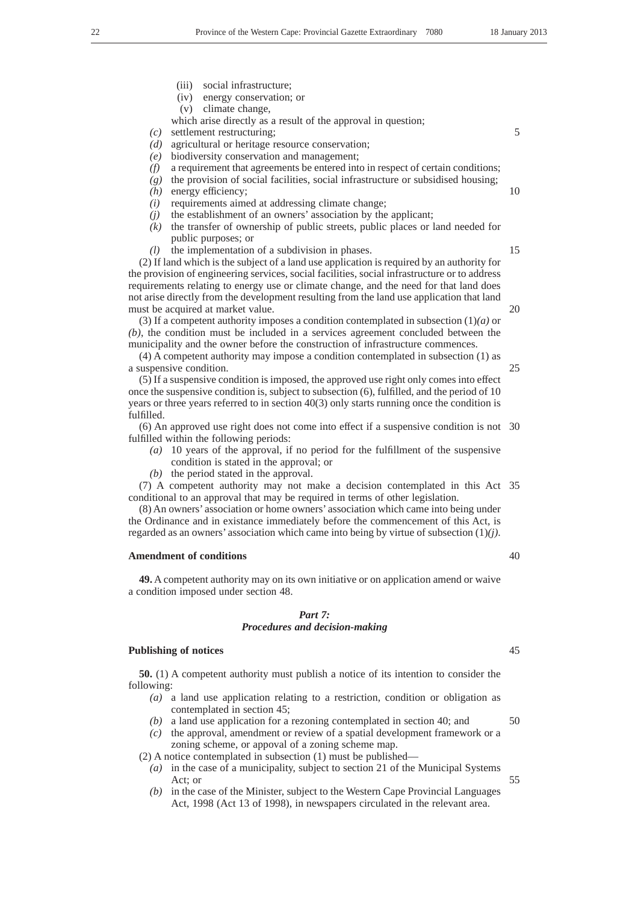5

- (iii) social infrastructure;
- (iv) energy conservation; or
- (v) climate change,
- which arise directly as a result of the approval in question;
- *(c)* settlement restructuring;
- *(d)* agricultural or heritage resource conservation;
- *(e)* biodiversity conservation and management;
- *(f)* a requirement that agreements be entered into in respect of certain conditions;
- *(g)* the provision of social facilities, social infrastructure or subsidised housing;
- *(h)* energy efficiency;
- *(i)* requirements aimed at addressing climate change;
- *(j)* the establishment of an owners' association by the applicant;
- *(k)* the transfer of ownership of public streets, public places or land needed for public purposes; or
- *(l)* the implementation of a subdivision in phases.

(2) If land which is the subject of a land use application is required by an authority for the provision of engineering services, social facilities, social infrastructure or to address requirements relating to energy use or climate change, and the need for that land does not arise directly from the development resulting from the land use application that land must be acquired at market value.

(3) If a competent authority imposes a condition contemplated in subsection (1)*(a)* or *(b)*, the condition must be included in a services agreement concluded between the municipality and the owner before the construction of infrastructure commences.

(4) A competent authority may impose a condition contemplated in subsection (1) as a suspensive condition.

(5) If a suspensive condition is imposed, the approved use right only comes into effect once the suspensive condition is, subject to subsection (6), fulfilled, and the period of 10 years or three years referred to in section 40(3) only starts running once the condition is fulfilled.

(6) An approved use right does not come into effect if a suspensive condition is not 30 fulfilled within the following periods:

- *(a)* 10 years of the approval, if no period for the fulfillment of the suspensive condition is stated in the approval; or
- *(b)* the period stated in the approval.

(7) A competent authority may not make a decision contemplated in this Act 35 conditional to an approval that may be required in terms of other legislation.

(8) An owners' association or home owners' association which came into being under the Ordinance and in existance immediately before the commencement of this Act, is regarded as an owners' association which came into being by virtue of subsection (1)*(j)*.

#### **Amendment of conditions**

**49.** A competent authority may on its own initiative or on application amend or waive a condition imposed under section 48.

## *Part 7: Procedures and decision-making*

#### **Publishing of notices**

**50.** (1) A competent authority must publish a notice of its intention to consider the following:

- *(a)* a land use application relating to a restriction, condition or obligation as contemplated in section 45;
- *(b)* a land use application for a rezoning contemplated in section 40; and
- *(c)* the approval, amendment or review of a spatial development framework or a zoning scheme, or appoval of a zoning scheme map.

(2) A notice contemplated in subsection (1) must be published—

- *(a)* in the case of a municipality, subject to section 21 of the Municipal Systems Act; or 55
- *(b)* in the case of the Minister, subject to the Western Cape Provincial Languages Act, 1998 (Act 13 of 1998), in newspapers circulated in the relevant area.

45

50

40

10

15

20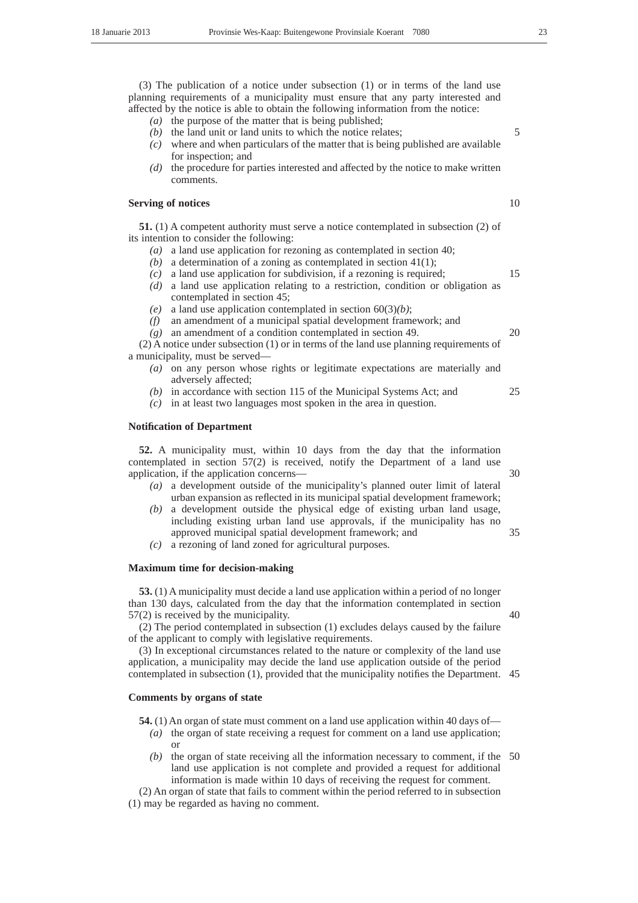(3) The publication of a notice under subsection (1) or in terms of the land use planning requirements of a municipality must ensure that any party interested and affected by the notice is able to obtain the following information from the notice:

- *(a)* the purpose of the matter that is being published;
- *(b)* the land unit or land units to which the notice relates;
- *(c)* where and when particulars of the matter that is being published are available for inspection; and
- *(d)* the procedure for parties interested and affected by the notice to make written comments.

#### **Serving of notices**

**51.** (1) A competent authority must serve a notice contemplated in subsection (2) of its intention to consider the following:

- *(a)* a land use application for rezoning as contemplated in section 40;
- *(b)* a determination of a zoning as contemplated in section 41(1);
- *(c)* a land use application for subdivision, if a rezoning is required;
- *(d)* a land use application relating to a restriction, condition or obligation as contemplated in section 45;
- *(e)* a land use application contemplated in section 60(3)*(b)*;
- *(f)* an amendment of a municipal spatial development framework; and
- *(g)* an amendment of a condition contemplated in section 49.

(2) A notice under subsection (1) or in terms of the land use planning requirements of a municipality, must be served—

- *(a)* on any person whose rights or legitimate expectations are materially and adversely affected;
- *(b)* in accordance with section 115 of the Municipal Systems Act; and
- *(c)* in at least two languages most spoken in the area in question.

## **Notification of Department**

**52.** A municipality must, within 10 days from the day that the information contemplated in section 57(2) is received, notify the Department of a land use application, if the application concerns—

- *(a)* a development outside of the municipality's planned outer limit of lateral urban expansion as reflected in its municipal spatial development framework;
- *(b)* a development outside the physical edge of existing urban land usage, including existing urban land use approvals, if the municipality has no approved municipal spatial development framework; and 35
- *(c)* a rezoning of land zoned for agricultural purposes.

## **Maximum time for decision-making**

**53.** (1) A municipality must decide a land use application within a period of no longer than 130 days, calculated from the day that the information contemplated in section 57(2) is received by the municipality.

(2) The period contemplated in subsection (1) excludes delays caused by the failure of the applicant to comply with legislative requirements.

(3) In exceptional circumstances related to the nature or complexity of the land use application, a municipality may decide the land use application outside of the period contemplated in subsection (1), provided that the municipality notifies the Department. 45

## **Comments by organs of state**

**54.** (1) An organ of state must comment on a land use application within 40 days of—

- *(a)* the organ of state receiving a request for comment on a land use application; or
- *(b)* the organ of state receiving all the information necessary to comment, if the 50land use application is not complete and provided a request for additional information is made within 10 days of receiving the request for comment.

(2) An organ of state that fails to comment within the period referred to in subsection (1) may be regarded as having no comment.

#### 10

15

20

5

25

30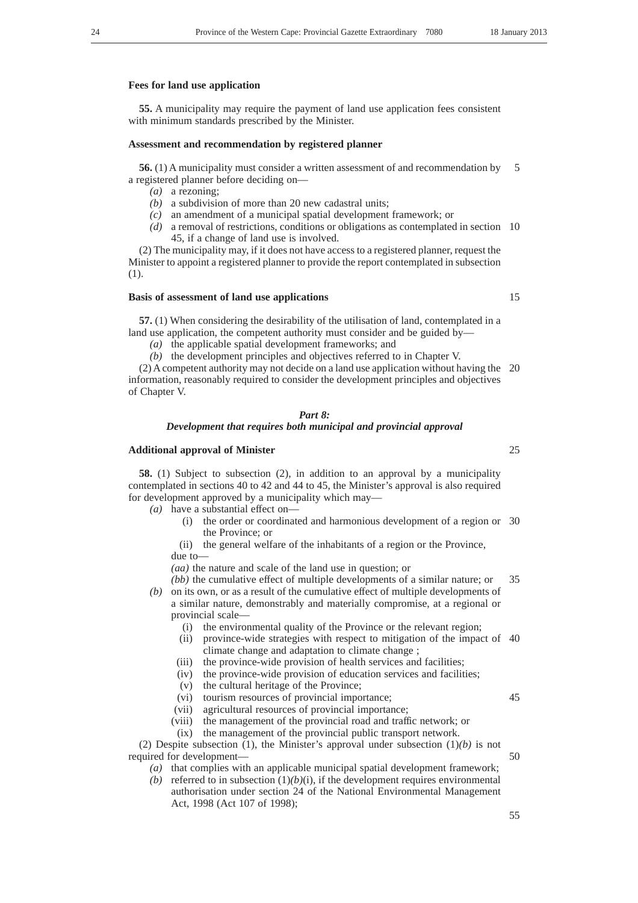#### **Fees for land use application**

**55.** A municipality may require the payment of land use application fees consistent with minimum standards prescribed by the Minister.

## **Assessment and recommendation by registered planner**

**56.** (1) A municipality must consider a written assessment of and recommendation by a registered planner before deciding on— 5

- *(a)* a rezoning;
- *(b)* a subdivision of more than 20 new cadastral units;
- *(c)* an amendment of a municipal spatial development framework; or
- *(d)* a removal of restrictions, conditions or obligations as contemplated in section 10 45, if a change of land use is involved.

(2) The municipality may, if it does not have access to a registered planner, request the Minister to appoint a registered planner to provide the report contemplated in subsection (1).

## **Basis of assessment of land use applications**

**57.** (1) When considering the desirability of the utilisation of land, contemplated in a land use application, the competent authority must consider and be guided by—

*(a)* the applicable spatial development frameworks; and

*(b)* the development principles and objectives referred to in Chapter V.

(2) A competent authority may not decide on a land use application without having the 20 information, reasonably required to consider the development principles and objectives of Chapter V.

## *Part 8: Development that requires both municipal and provincial approval*

## **Additional approval of Minister**

**58.** (1) Subject to subsection (2), in addition to an approval by a municipality contemplated in sections 40 to 42 and 44 to 45, the Minister's approval is also required for development approved by a municipality which may—

*(a)* have a substantial effect on—

- (i) the order or coordinated and harmonious development of a region or 30 the Province; or
- (ii) the general welfare of the inhabitants of a region or the Province, due to—

*(aa)* the nature and scale of the land use in question; or

- *(bb)* the cumulative effect of multiple developments of a similar nature; or *(b)* on its own, or as a result of the cumulative effect of multiple developments of 35
- a similar nature, demonstrably and materially compromise, at a regional or provincial scale—
	- (i) the environmental quality of the Province or the relevant region;
	- (ii) province-wide strategies with respect to mitigation of the impact of 40 climate change and adaptation to climate change ;
	- (iii) the province-wide provision of health services and facilities;
	- (iv) the province-wide provision of education services and facilities;
	- (v) the cultural heritage of the Province;
	- (vi) tourism resources of provincial importance;
		-
	- (vii) agricultural resources of provincial importance; (viii) the management of the provincial road and traffic network; or
	- (ix) the management of the provincial public transport network.

(2) Despite subsection (1), the Minister's approval under subsection (1)*(b)* is not required for development— 50

- *(a)* that complies with an applicable municipal spatial development framework;
- *(b)* referred to in subsection  $(1)(b)(i)$ , if the development requires environmental authorisation under section 24 of the National Environmental Management Act, 1998 (Act 107 of 1998);

45

15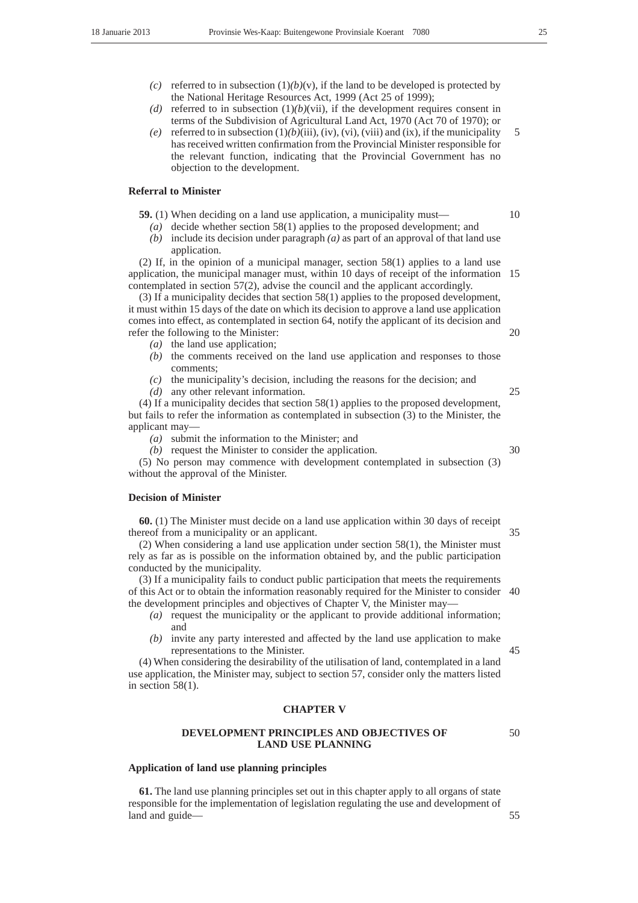- *(c)* referred to in subsection  $(1)(b)(v)$ , if the land to be developed is protected by the National Heritage Resources Act, 1999 (Act 25 of 1999);
- *(d)* referred to in subsection  $(1)(b)(vii)$ , if the development requires consent in terms of the Subdivision of Agricultural Land Act, 1970 (Act 70 of 1970); or
- *(e)* referred to in subsection  $(1)(b)(iii)$ ,  $(iv)$ ,  $(vii)$ ,  $(viii)$  and  $(ix)$ , if the municipality has received written confirmation from the Provincial Minister responsible for the relevant function, indicating that the Provincial Government has no objection to the development. 5

#### **Referral to Minister**

**59.** (1) When deciding on a land use application, a municipality must—

- *(a)* decide whether section 58(1) applies to the proposed development; and
- *(b)* include its decision under paragraph *(a)* as part of an approval of that land use application.

(2) If, in the opinion of a municipal manager, section 58(1) applies to a land use application, the municipal manager must, within 10 days of receipt of the information 15 contemplated in section 57(2), advise the council and the applicant accordingly.

(3) If a municipality decides that section 58(1) applies to the proposed development, it must within 15 days of the date on which its decision to approve a land use application comes into effect, as contemplated in section 64, notify the applicant of its decision and refer the following to the Minister:

- *(a)* the land use application;
- *(b)* the comments received on the land use application and responses to those comments;
- *(c)* the municipality's decision, including the reasons for the decision; and
- *(d)* any other relevant information.

(4) If a municipality decides that section 58(1) applies to the proposed development, but fails to refer the information as contemplated in subsection (3) to the Minister, the applicant may—

*(a)* submit the information to the Minister; and

*(b)* request the Minister to consider the application.

(5) No person may commence with development contemplated in subsection (3) without the approval of the Minister.

## **Decision of Minister**

**60.** (1) The Minister must decide on a land use application within 30 days of receipt thereof from a municipality or an applicant.

(2) When considering a land use application under section  $58(1)$ , the Minister must rely as far as is possible on the information obtained by, and the public participation conducted by the municipality.

(3) If a municipality fails to conduct public participation that meets the requirements of this Act or to obtain the information reasonably required for the Minister to consider 40 the development principles and objectives of Chapter V, the Minister may—

- *(a)* request the municipality or the applicant to provide additional information; and
- *(b)* invite any party interested and affected by the land use application to make representations to the Minister.

(4) When considering the desirability of the utilisation of land, contemplated in a land use application, the Minister may, subject to section 57, consider only the matters listed in section 58(1).

## **CHAPTER V**

## **DEVELOPMENT PRINCIPLES AND OBJECTIVES OF LAND USE PLANNING**

50

45

## **Application of land use planning principles**

**61.** The land use planning principles set out in this chapter apply to all organs of state responsible for the implementation of legislation regulating the use and development of land and guide—

20

25

- 30
- 35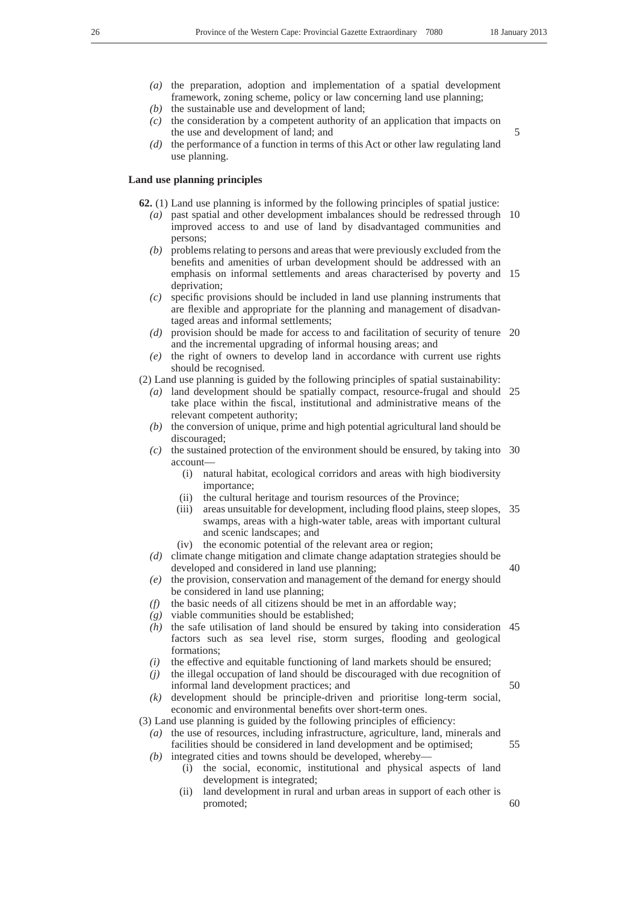- *(a)* the preparation, adoption and implementation of a spatial development framework, zoning scheme, policy or law concerning land use planning;
- *(b)* the sustainable use and development of land;
- *(c)* the consideration by a competent authority of an application that impacts on the use and development of land; and

*(d)* the performance of a function in terms of this Act or other law regulating land use planning.

## **Land use planning principles**

- **62.** (1) Land use planning is informed by the following principles of spatial justice:
	- *(a)* past spatial and other development imbalances should be redressed through 10 improved access to and use of land by disadvantaged communities and persons;
	- *(b)* problems relating to persons and areas that were previously excluded from the benefits and amenities of urban development should be addressed with an emphasis on informal settlements and areas characterised by poverty and 15 deprivation;
	- *(c)* specific provisions should be included in land use planning instruments that are flexible and appropriate for the planning and management of disadvantaged areas and informal settlements;
	- *(d)* provision should be made for access to and facilitation of security of tenure 20 and the incremental upgrading of informal housing areas; and
	- *(e)* the right of owners to develop land in accordance with current use rights should be recognised.
- (2) Land use planning is guided by the following principles of spatial sustainability:
	- *(a)* land development should be spatially compact, resource-frugal and should 25 take place within the fiscal, institutional and administrative means of the relevant competent authority;
	- *(b)* the conversion of unique, prime and high potential agricultural land should be discouraged;
	- *(c)* the sustained protection of the environment should be ensured, by taking into 30 account—
		- (i) natural habitat, ecological corridors and areas with high biodiversity importance;
		- (ii) the cultural heritage and tourism resources of the Province;
		- (iii) areas unsuitable for development, including flood plains, steep slopes, 35 swamps, areas with a high-water table, areas with important cultural and scenic landscapes; and
		- (iv) the economic potential of the relevant area or region;
	- *(d)* climate change mitigation and climate change adaptation strategies should be developed and considered in land use planning;
	- *(e)* the provision, conservation and management of the demand for energy should be considered in land use planning;
	- *(f)* the basic needs of all citizens should be met in an affordable way;
	- *(g)* viable communities should be established;
	- *(h)* the safe utilisation of land should be ensured by taking into consideration 45 factors such as sea level rise, storm surges, flooding and geological formations;
	- *(i)* the effective and equitable functioning of land markets should be ensured;
	- *(j)* the illegal occupation of land should be discouraged with due recognition of informal land development practices; and 50
	- *(k)* development should be principle-driven and prioritise long-term social, economic and environmental benefits over short-term ones.

(3) Land use planning is guided by the following principles of efficiency:

- *(a)* the use of resources, including infrastructure, agriculture, land, minerals and facilities should be considered in land development and be optimised; 55
- *(b)* integrated cities and towns should be developed, whereby-
	- (i) the social, economic, institutional and physical aspects of land development is integrated;
	- (ii) land development in rural and urban areas in support of each other is promoted;

5

60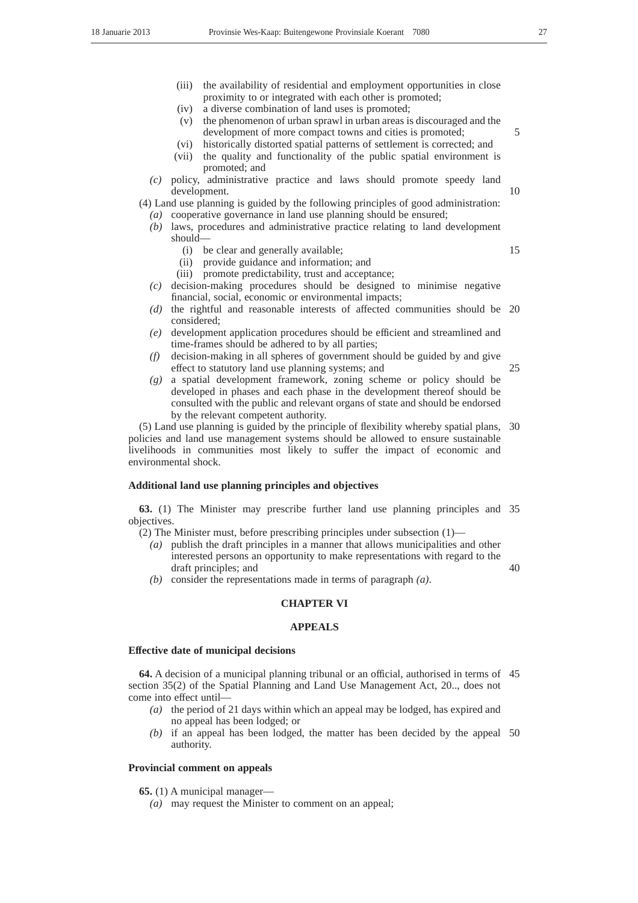5

10

15

40

- (iii) the availability of residential and employment opportunities in close proximity to or integrated with each other is promoted;
- (iv) a diverse combination of land uses is promoted;
- (v) the phenomenon of urban sprawl in urban areas is discouraged and the development of more compact towns and cities is promoted;
- (vi) historically distorted spatial patterns of settlement is corrected; and (vii) the quality and functionality of the public spatial environment is promoted; and
- *(c)* policy, administrative practice and laws should promote speedy land development.
- (4) Land use planning is guided by the following principles of good administration:
	- *(a)* cooperative governance in land use planning should be ensured; *(b)* laws, procedures and administrative practice relating to land development
		- should—
			- (i) be clear and generally available;
			- (ii) provide guidance and information; and
			- (iii) promote predictability, trust and acceptance;
	- *(c)* decision-making procedures should be designed to minimise negative financial, social, economic or environmental impacts;
	- *(d)* the rightful and reasonable interests of affected communities should be 20 considered;
	- *(e)* development application procedures should be efficient and streamlined and time-frames should be adhered to by all parties;
	- *(f)* decision-making in all spheres of government should be guided by and give effect to statutory land use planning systems; and 25
	- *(g)* a spatial development framework, zoning scheme or policy should be developed in phases and each phase in the development thereof should be consulted with the public and relevant organs of state and should be endorsed by the relevant competent authority.

(5) Land use planning is guided by the principle of flexibility whereby spatial plans, 30 policies and land use management systems should be allowed to ensure sustainable livelihoods in communities most likely to suffer the impact of economic and environmental shock.

## **Additional land use planning principles and objectives**

**63.** (1) The Minister may prescribe further land use planning principles and 35 objectives.

- (2) The Minister must, before prescribing principles under subsection (1)—
	- *(a)* publish the draft principles in a manner that allows municipalities and other interested persons an opportunity to make representations with regard to the draft principles; and
	- *(b)* consider the representations made in terms of paragraph *(a)*.

## **CHAPTER VI**

## **APPEALS**

## **Effective date of municipal decisions**

**64.** A decision of a municipal planning tribunal or an official, authorised in terms of 45 section 35(2) of the Spatial Planning and Land Use Management Act, 20.., does not come into effect until—

- *(a)* the period of 21 days within which an appeal may be lodged, has expired and no appeal has been lodged; or
- *(b)* if an appeal has been lodged, the matter has been decided by the appeal 50authority.

## **Provincial comment on appeals**

**65.** (1) A municipal manager—

*(a)* may request the Minister to comment on an appeal;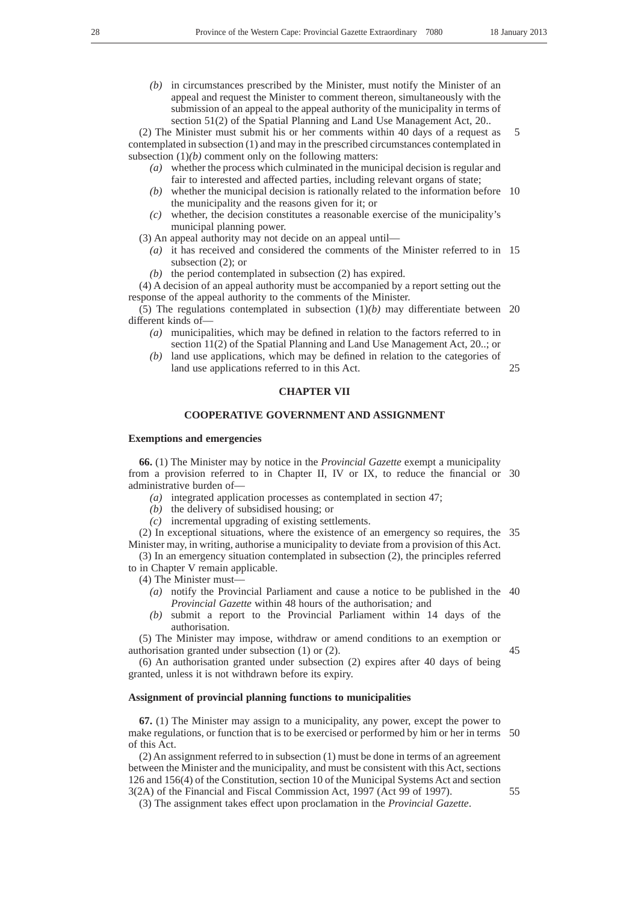*(b)* in circumstances prescribed by the Minister, must notify the Minister of an appeal and request the Minister to comment thereon, simultaneously with the submission of an appeal to the appeal authority of the municipality in terms of section 51(2) of the Spatial Planning and Land Use Management Act, 20..

(2) The Minister must submit his or her comments within 40 days of a request as contemplated in subsection (1) and may in the prescribed circumstances contemplated in subsection  $(1)(b)$  comment only on the following matters: 5

- *(a)* whether the process which culminated in the municipal decision is regular and fair to interested and affected parties, including relevant organs of state;
- *(b)* whether the municipal decision is rationally related to the information before 10 the municipality and the reasons given for it; or
- *(c)* whether, the decision constitutes a reasonable exercise of the municipality's municipal planning power.
- (3) An appeal authority may not decide on an appeal until—
	- *(a)* it has received and considered the comments of the Minister referred to in 15 subsection (2); or
	- *(b)* the period contemplated in subsection (2) has expired.

(4) A decision of an appeal authority must be accompanied by a report setting out the response of the appeal authority to the comments of the Minister.

(5) The regulations contemplated in subsection  $(1)(b)$  may differentiate between 20 different kinds of—

- *(a)* municipalities, which may be defined in relation to the factors referred to in section 11(2) of the Spatial Planning and Land Use Management Act, 20..; or
- *(b)* land use applications, which may be defined in relation to the categories of land use applications referred to in this Act. 25

#### **CHAPTER VII**

## **COOPERATIVE GOVERNMENT AND ASSIGNMENT**

#### **Exemptions and emergencies**

**66.** (1) The Minister may by notice in the *Provincial Gazette* exempt a municipality from a provision referred to in Chapter II, IV or IX, to reduce the financial or 30 administrative burden of—

- *(a)* integrated application processes as contemplated in section 47;
- *(b)* the delivery of subsidised housing; or
- *(c)* incremental upgrading of existing settlements.

(2) In exceptional situations, where the existence of an emergency so requires, the 35 Minister may, in writing, authorise a municipality to deviate from a provision of this Act.

(3) In an emergency situation contemplated in subsection (2), the principles referred to in Chapter V remain applicable.

- (4) The Minister must—
	- *(a)* notify the Provincial Parliament and cause a notice to be published in the 40 *Provincial Gazette* within 48 hours of the authorisation*;* and
	- *(b)* submit a report to the Provincial Parliament within 14 days of the authorisation.

(5) The Minister may impose, withdraw or amend conditions to an exemption or authorisation granted under subsection (1) or (2).

(6) An authorisation granted under subsection (2) expires after 40 days of being granted, unless it is not withdrawn before its expiry.

#### **Assignment of provincial planning functions to municipalities**

**67.** (1) The Minister may assign to a municipality, any power, except the power to make regulations, or function that is to be exercised or performed by him or her in terms 50 of this Act.

(2) An assignment referred to in subsection (1) must be done in terms of an agreement between the Minister and the municipality, and must be consistent with this Act, sections 126 and 156(4) of the Constitution, section 10 of the Municipal Systems Act and section 3(2A) of the Financial and Fiscal Commission Act, 1997 (Act 99 of 1997).

(3) The assignment takes effect upon proclamation in the *Provincial Gazette*.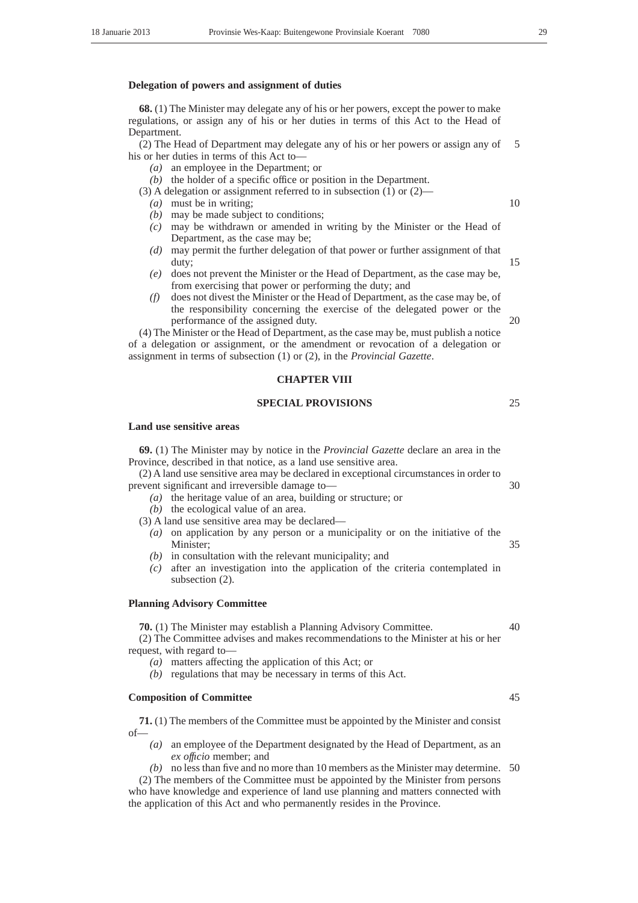#### **Delegation of powers and assignment of duties**

**68.** (1) The Minister may delegate any of his or her powers, except the power to make regulations, or assign any of his or her duties in terms of this Act to the Head of Department.

(2) The Head of Department may delegate any of his or her powers or assign any of his or her duties in terms of this Act to— 5

- *(a)* an employee in the Department; or
- *(b)* the holder of a specific office or position in the Department.
- (3) A delegation or assignment referred to in subsection (1) or (2)—
	- *(a)* must be in writing;
	- *(b)* may be made subject to conditions;
	- *(c)* may be withdrawn or amended in writing by the Minister or the Head of Department, as the case may be;
	- *(d)* may permit the further delegation of that power or further assignment of that duty;
	- *(e)* does not prevent the Minister or the Head of Department, as the case may be, from exercising that power or performing the duty; and
	- does not divest the Minister or the Head of Department, as the case may be, of the responsibility concerning the exercise of the delegated power or the performance of the assigned duty.

(4) The Minister or the Head of Department, as the case may be, must publish a notice of a delegation or assignment, or the amendment or revocation of a delegation or assignment in terms of subsection (1) or (2), in the *Provincial Gazette*.

## **CHAPTER VIII**

## **SPECIAL PROVISIONS**

#### **Land use sensitive areas**

**69.** (1) The Minister may by notice in the *Provincial Gazette* declare an area in the Province, described in that notice, as a land use sensitive area.

(2) A land use sensitive area may be declared in exceptional circumstances in order to prevent significant and irreversible damage to— 30

- *(a)* the heritage value of an area, building or structure; or
- *(b)* the ecological value of an area.
- (3) A land use sensitive area may be declared—
	- *(a)* on application by any person or a municipality or on the initiative of the Minister;
	- *(b)* in consultation with the relevant municipality; and
	- *(c)* after an investigation into the application of the criteria contemplated in subsection (2).

#### **Planning Advisory Committee**

**70.** (1) The Minister may establish a Planning Advisory Committee.

(2) The Committee advises and makes recommendations to the Minister at his or her request, with regard to—

- *(a)* matters affecting the application of this Act; or
- *(b)* regulations that may be necessary in terms of this Act.

## **Composition of Committee**

**71.** (1) The members of the Committee must be appointed by the Minister and consist of—

*(a)* an employee of the Department designated by the Head of Department, as an *ex offıcio* member; and

*(b)* no less than five and no more than 10 members as the Minister may determine. 50

(2) The members of the Committee must be appointed by the Minister from persons who have knowledge and experience of land use planning and matters connected with the application of this Act and who permanently resides in the Province.

25

10

15

20

35

45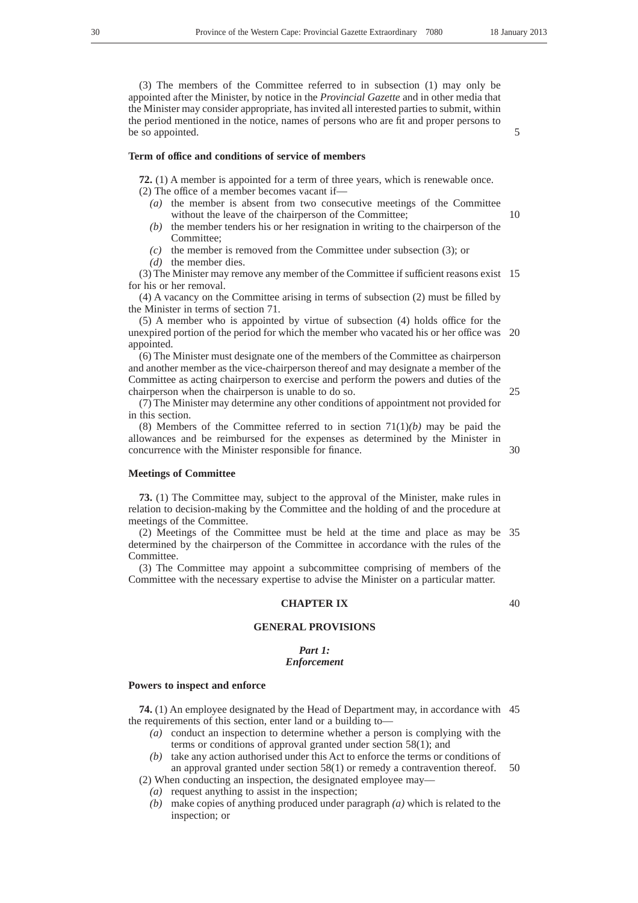(3) The members of the Committee referred to in subsection (1) may only be appointed after the Minister, by notice in the *Provincial Gazette* and in other media that the Minister may consider appropriate, has invited all interested parties to submit, within the period mentioned in the notice, names of persons who are fit and proper persons to be so appointed.

#### **Term of office and conditions of service of members**

**72.** (1) A member is appointed for a term of three years, which is renewable once. (2) The office of a member becomes vacant if—

- *(a)* the member is absent from two consecutive meetings of the Committee without the leave of the chairperson of the Committee;
- *(b)* the member tenders his or her resignation in writing to the chairperson of the Committee<sup>.</sup>
- *(c)* the member is removed from the Committee under subsection (3); or
- *(d)* the member dies.

(3) The Minister may remove any member of the Committee if sufficient reasons exist 15 for his or her removal.

(4) A vacancy on the Committee arising in terms of subsection (2) must be filled by the Minister in terms of section 71.

(5) A member who is appointed by virtue of subsection (4) holds office for the unexpired portion of the period for which the member who vacated his or her office was 20 appointed.

(6) The Minister must designate one of the members of the Committee as chairperson and another member as the vice-chairperson thereof and may designate a member of the Committee as acting chairperson to exercise and perform the powers and duties of the chairperson when the chairperson is unable to do so.

(7) The Minister may determine any other conditions of appointment not provided for in this section.

(8) Members of the Committee referred to in section  $71(1)/b$ ) may be paid the allowances and be reimbursed for the expenses as determined by the Minister in concurrence with the Minister responsible for finance. 30

#### **Meetings of Committee**

**73.** (1) The Committee may, subject to the approval of the Minister, make rules in relation to decision-making by the Committee and the holding of and the procedure at meetings of the Committee.

(2) Meetings of the Committee must be held at the time and place as may be 35 determined by the chairperson of the Committee in accordance with the rules of the Committee.

(3) The Committee may appoint a subcommittee comprising of members of the Committee with the necessary expertise to advise the Minister on a particular matter.

## **CHAPTER IX**

## **GENERAL PROVISIONS**

# *Part 1:*

## *Enforcement*

#### **Powers to inspect and enforce**

**74.** (1) An employee designated by the Head of Department may, in accordance with 45 the requirements of this section, enter land or a building to—

- *(a)* conduct an inspection to determine whether a person is complying with the terms or conditions of approval granted under section 58(1); and
- *(b)* take any action authorised under this Act to enforce the terms or conditions of an approval granted under section 58(1) or remedy a contravention thereof. 50

(2) When conducting an inspection, the designated employee may—

- *(a)* request anything to assist in the inspection;
- *(b)* make copies of anything produced under paragraph *(a)* which is related to the inspection; or

10

25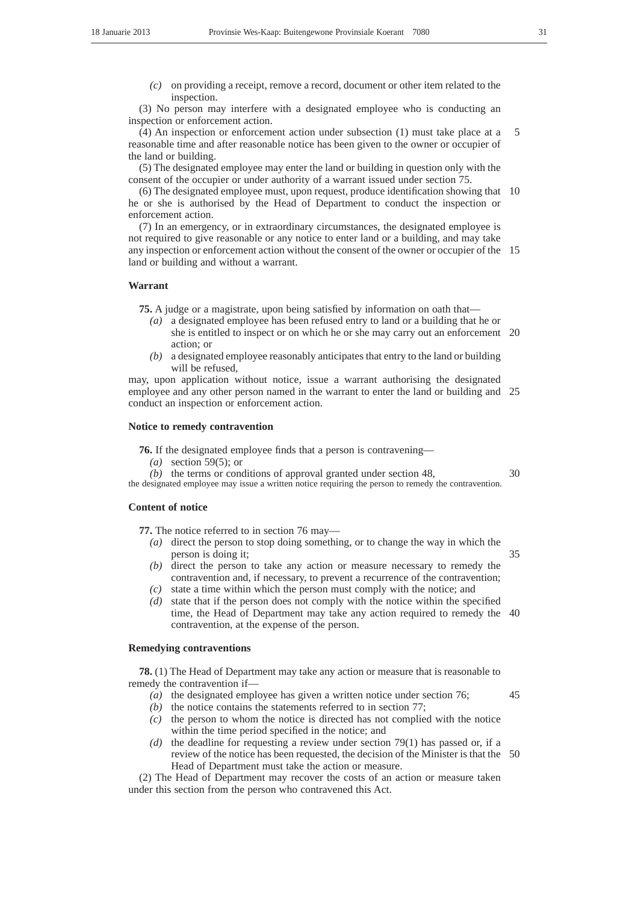*(c)* on providing a receipt, remove a record, document or other item related to the inspection.

(3) No person may interfere with a designated employee who is conducting an inspection or enforcement action.

(4) An inspection or enforcement action under subsection (1) must take place at a reasonable time and after reasonable notice has been given to the owner or occupier of the land or building. 5

(5) The designated employee may enter the land or building in question only with the consent of the occupier or under authority of a warrant issued under section 75.

(6) The designated employee must, upon request, produce identification showing that 10 he or she is authorised by the Head of Department to conduct the inspection or enforcement action.

(7) In an emergency, or in extraordinary circumstances, the designated employee is not required to give reasonable or any notice to enter land or a building, and may take any inspection or enforcement action without the consent of the owner or occupier of the 15 land or building and without a warrant.

#### **Warrant**

**75.** A judge or a magistrate, upon being satisfied by information on oath that—

- *(a)* a designated employee has been refused entry to land or a building that he or she is entitled to inspect or on which he or she may carry out an enforcement 20 action; or
- *(b)* a designated employee reasonably anticipates that entry to the land or building will be refused,

may, upon application without notice, issue a warrant authorising the designated employee and any other person named in the warrant to enter the land or building and 25 conduct an inspection or enforcement action.

#### **Notice to remedy contravention**

**76.** If the designated employee finds that a person is contravening—

- *(a)* section 59(5); or
- *(b)* the terms or conditions of approval granted under section 48, the designated employee may issue a written notice requiring the person to remedy the contravention. 30

#### **Content of notice**

**77.** The notice referred to in section 76 may—

- *(a)* direct the person to stop doing something, or to change the way in which the person is doing it; 35
- *(b)* direct the person to take any action or measure necessary to remedy the contravention and, if necessary, to prevent a recurrence of the contravention;
- *(c)* state a time within which the person must comply with the notice; and
- *(d)* state that if the person does not comply with the notice within the specified time, the Head of Department may take any action required to remedy the 40 contravention, at the expense of the person.

#### **Remedying contraventions**

**78.** (1) The Head of Department may take any action or measure that is reasonable to remedy the contravention if—

- *(a)* the designated employee has given a written notice under section 76;
- *(b)* the notice contains the statements referred to in section 77;
- *(c)* the person to whom the notice is directed has not complied with the notice within the time period specified in the notice; and
- *(d)* the deadline for requesting a review under section 79(1) has passed or, if a review of the notice has been requested, the decision of the Minister is that the 50Head of Department must take the action or measure.

(2) The Head of Department may recover the costs of an action or measure taken under this section from the person who contravened this Act.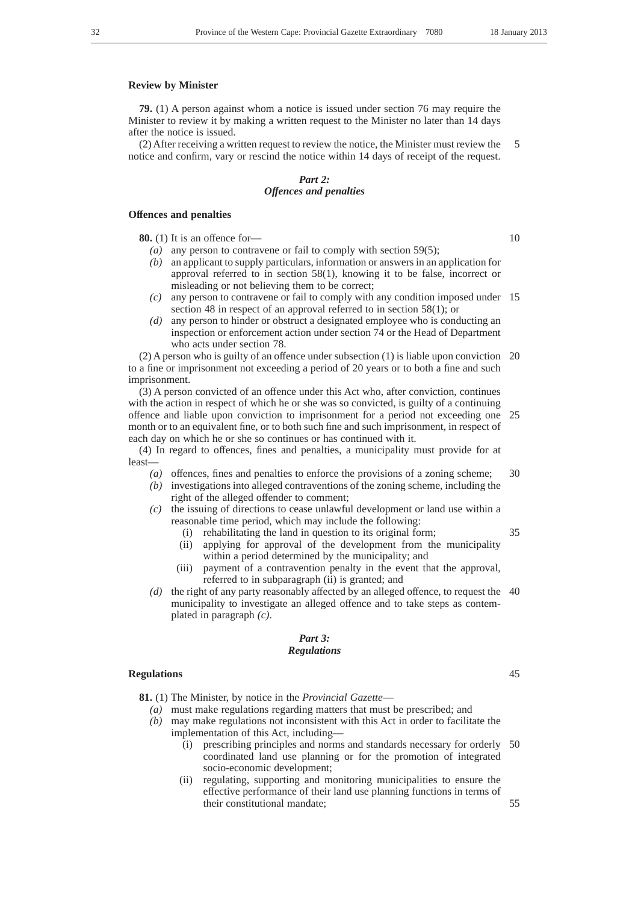#### **Review by Minister**

**79.** (1) A person against whom a notice is issued under section 76 may require the Minister to review it by making a written request to the Minister no later than 14 days after the notice is issued.

(2) After receiving a written request to review the notice, the Minister must review the notice and confirm, vary or rescind the notice within 14 days of receipt of the request. 5

#### *Part 2: Offences and penalties*

#### **Offences and penalties**

**80.** (1) It is an offence for—

- *(a)* any person to contravene or fail to comply with section 59(5);
- *(b)* an applicant to supply particulars, information or answers in an application for approval referred to in section 58(1), knowing it to be false, incorrect or misleading or not believing them to be correct;
- *(c)* any person to contravene or fail to comply with any condition imposed under 15 section 48 in respect of an approval referred to in section 58(1); or
- *(d)* any person to hinder or obstruct a designated employee who is conducting an inspection or enforcement action under section 74 or the Head of Department who acts under section 78.

(2) A person who is guilty of an offence under subsection (1) is liable upon conviction 20 to a fine or imprisonment not exceeding a period of 20 years or to both a fine and such imprisonment.

(3) A person convicted of an offence under this Act who, after conviction, continues with the action in respect of which he or she was so convicted, is guilty of a continuing offence and liable upon conviction to imprisonment for a period not exceeding one month or to an equivalent fine, or to both such fine and such imprisonment, in respect of each day on which he or she so continues or has continued with it. 25

(4) In regard to offences, fines and penalties, a municipality must provide for at least—

- *(a)* offences, fines and penalties to enforce the provisions of a zoning scheme; 30
- *(b)* investigations into alleged contraventions of the zoning scheme, including the right of the alleged offender to comment;
- *(c)* the issuing of directions to cease unlawful development or land use within a reasonable time period, which may include the following:
	- (i) rehabilitating the land in question to its original form;
	- (ii) applying for approval of the development from the municipality within a period determined by the municipality; and
	- (iii) payment of a contravention penalty in the event that the approval, referred to in subparagraph (ii) is granted; and
- *(d)* the right of any party reasonably affected by an alleged offence, to request the 40 municipality to investigate an alleged offence and to take steps as contemplated in paragraph *(c)*.

#### *Part 3: Regulations*

## **Regulations**

- **81.** (1) The Minister, by notice in the *Provincial Gazette*
	- *(a)* must make regulations regarding matters that must be prescribed; and
	- *(b)* may make regulations not inconsistent with this Act in order to facilitate the implementation of this Act, including—
		- (i) prescribing principles and norms and standards necessary for orderly 50 coordinated land use planning or for the promotion of integrated socio-economic development;
		- (ii) regulating, supporting and monitoring municipalities to ensure the effective performance of their land use planning functions in terms of their constitutional mandate;

45

55

35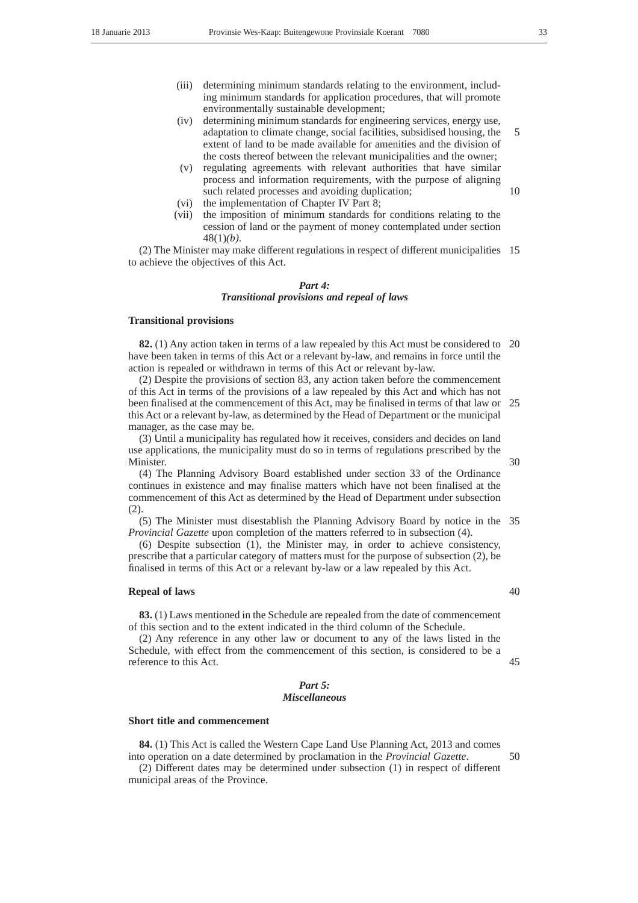- (iii) determining minimum standards relating to the environment, including minimum standards for application procedures, that will promote environmentally sustainable development;
- (iv) determining minimum standards for engineering services, energy use, adaptation to climate change, social facilities, subsidised housing, the extent of land to be made available for amenities and the division of the costs thereof between the relevant municipalities and the owner; 5
- (v) regulating agreements with relevant authorities that have similar process and information requirements, with the purpose of aligning such related processes and avoiding duplication;
- (vi) the implementation of Chapter IV Part 8;
- (vii) the imposition of minimum standards for conditions relating to the cession of land or the payment of money contemplated under section 48(1)*(b)*.

(2) The Minister may make different regulations in respect of different municipalities 15 to achieve the objectives of this Act.

## *Part 4: Transitional provisions and repeal of laws*

## **Transitional provisions**

**82.** (1) Any action taken in terms of a law repealed by this Act must be considered to 20 have been taken in terms of this Act or a relevant by-law, and remains in force until the action is repealed or withdrawn in terms of this Act or relevant by-law.

(2) Despite the provisions of section 83, any action taken before the commencement of this Act in terms of the provisions of a law repealed by this Act and which has not been finalised at the commencement of this Act, may be finalised in terms of that law or this Act or a relevant by-law, as determined by the Head of Department or the municipal manager, as the case may be. 25

(3) Until a municipality has regulated how it receives, considers and decides on land use applications, the municipality must do so in terms of regulations prescribed by the Minister.

(4) The Planning Advisory Board established under section 33 of the Ordinance continues in existence and may finalise matters which have not been finalised at the commencement of this Act as determined by the Head of Department under subsection (2).

(5) The Minister must disestablish the Planning Advisory Board by notice in the 35 *Provincial Gazette* upon completion of the matters referred to in subsection (4).

(6) Despite subsection (1), the Minister may, in order to achieve consistency, prescribe that a particular category of matters must for the purpose of subsection (2), be finalised in terms of this Act or a relevant by-law or a law repealed by this Act.

#### **Repeal of laws**

**83.** (1) Laws mentioned in the Schedule are repealed from the date of commencement of this section and to the extent indicated in the third column of the Schedule.

(2) Any reference in any other law or document to any of the laws listed in the Schedule, with effect from the commencement of this section, is considered to be a reference to this Act.

## *Part 5: Miscellaneous*

#### **Short title and commencement**

**84.** (1) This Act is called the Western Cape Land Use Planning Act, 2013 and comes into operation on a date determined by proclamation in the *Provincial Gazette*.

(2) Different dates may be determined under subsection (1) in respect of different municipal areas of the Province.

10

## 40

45

50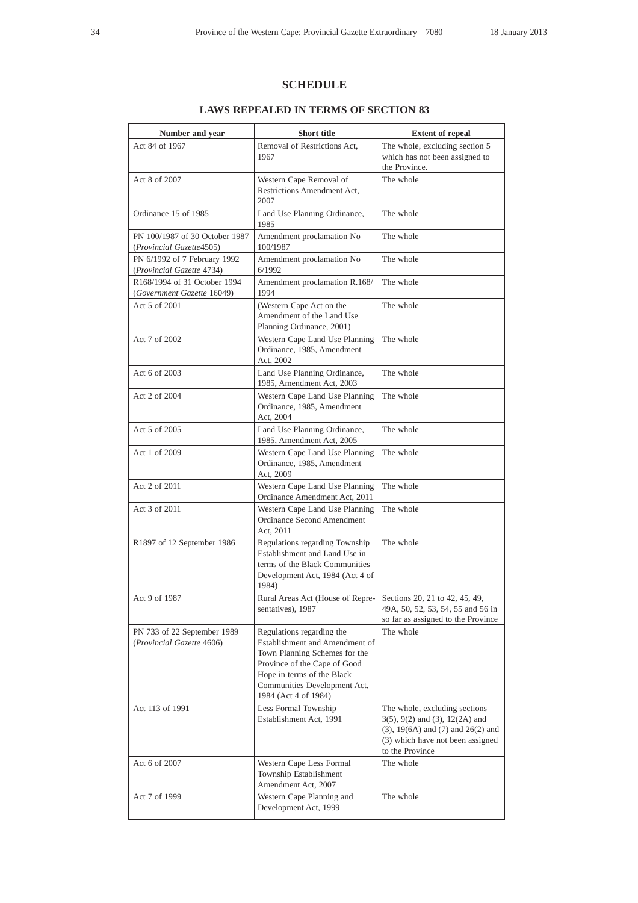## **SCHEDULE**

## **LAWS REPEALED IN TERMS OF SECTION 83**

| Number and year                                            | <b>Short title</b>                                                                                                                                                                                                 | <b>Extent of repeal</b>                                                                                                                                                          |
|------------------------------------------------------------|--------------------------------------------------------------------------------------------------------------------------------------------------------------------------------------------------------------------|----------------------------------------------------------------------------------------------------------------------------------------------------------------------------------|
| Act 84 of 1967                                             | Removal of Restrictions Act.<br>1967                                                                                                                                                                               | The whole, excluding section 5<br>which has not been assigned to<br>the Province.                                                                                                |
| Act 8 of 2007                                              | Western Cape Removal of<br>Restrictions Amendment Act.<br>2007                                                                                                                                                     | The whole                                                                                                                                                                        |
| Ordinance 15 of 1985                                       | Land Use Planning Ordinance,<br>1985                                                                                                                                                                               | The whole                                                                                                                                                                        |
| PN 100/1987 of 30 October 1987<br>(Provincial Gazette4505) | Amendment proclamation No<br>100/1987                                                                                                                                                                              | The whole                                                                                                                                                                        |
| PN 6/1992 of 7 February 1992<br>(Provincial Gazette 4734)  | Amendment proclamation No<br>6/1992                                                                                                                                                                                | The whole                                                                                                                                                                        |
| R168/1994 of 31 October 1994<br>(Government Gazette 16049) | Amendment proclamation R.168/<br>1994                                                                                                                                                                              | The whole                                                                                                                                                                        |
| Act 5 of 2001                                              | (Western Cape Act on the<br>Amendment of the Land Use<br>Planning Ordinance, 2001)                                                                                                                                 | The whole                                                                                                                                                                        |
| Act 7 of 2002                                              | Western Cape Land Use Planning<br>Ordinance, 1985, Amendment<br>Act, 2002                                                                                                                                          | The whole                                                                                                                                                                        |
| Act 6 of 2003                                              | Land Use Planning Ordinance,<br>1985, Amendment Act, 2003                                                                                                                                                          | The whole                                                                                                                                                                        |
| Act 2 of 2004                                              | Western Cape Land Use Planning<br>Ordinance, 1985, Amendment<br>Act, 2004                                                                                                                                          | The whole                                                                                                                                                                        |
| Act 5 of 2005                                              | Land Use Planning Ordinance,<br>1985, Amendment Act, 2005                                                                                                                                                          | The whole                                                                                                                                                                        |
| Act 1 of 2009                                              | Western Cape Land Use Planning<br>Ordinance, 1985, Amendment<br>Act, 2009                                                                                                                                          | The whole                                                                                                                                                                        |
| Act 2 of 2011                                              | Western Cape Land Use Planning<br>Ordinance Amendment Act, 2011                                                                                                                                                    | The whole                                                                                                                                                                        |
| Act 3 of 2011                                              | Western Cape Land Use Planning<br>Ordinance Second Amendment<br>Act, 2011                                                                                                                                          | The whole                                                                                                                                                                        |
| R1897 of 12 September 1986                                 | Regulations regarding Township<br>Establishment and Land Use in<br>terms of the Black Communities<br>Development Act, 1984 (Act 4 of<br>1984)                                                                      | The whole                                                                                                                                                                        |
| Act 9 of 1987                                              | Rural Areas Act (House of Repre-<br>sentatives), 1987                                                                                                                                                              | Sections 20, 21 to 42, 45, 49,<br>49A, 50, 52, 53, 54, 55 and 56 in<br>so far as assigned to the Province                                                                        |
| PN 733 of 22 September 1989<br>(Provincial Gazette 4606)   | Regulations regarding the<br>Establishment and Amendment of<br>Town Planning Schemes for the<br>Province of the Cape of Good<br>Hope in terms of the Black<br>Communities Development Act,<br>1984 (Act 4 of 1984) | The whole                                                                                                                                                                        |
| Act 113 of 1991                                            | Less Formal Township<br>Establishment Act, 1991                                                                                                                                                                    | The whole, excluding sections<br>$3(5)$ , $9(2)$ and $(3)$ , $12(2A)$ and<br>$(3)$ , 19 $(6A)$ and $(7)$ and 26 $(2)$ and<br>(3) which have not been assigned<br>to the Province |
| Act 6 of 2007                                              | Western Cape Less Formal<br>Township Establishment<br>Amendment Act, 2007                                                                                                                                          | The whole                                                                                                                                                                        |
| Act 7 of 1999                                              | Western Cape Planning and<br>Development Act, 1999                                                                                                                                                                 | The whole                                                                                                                                                                        |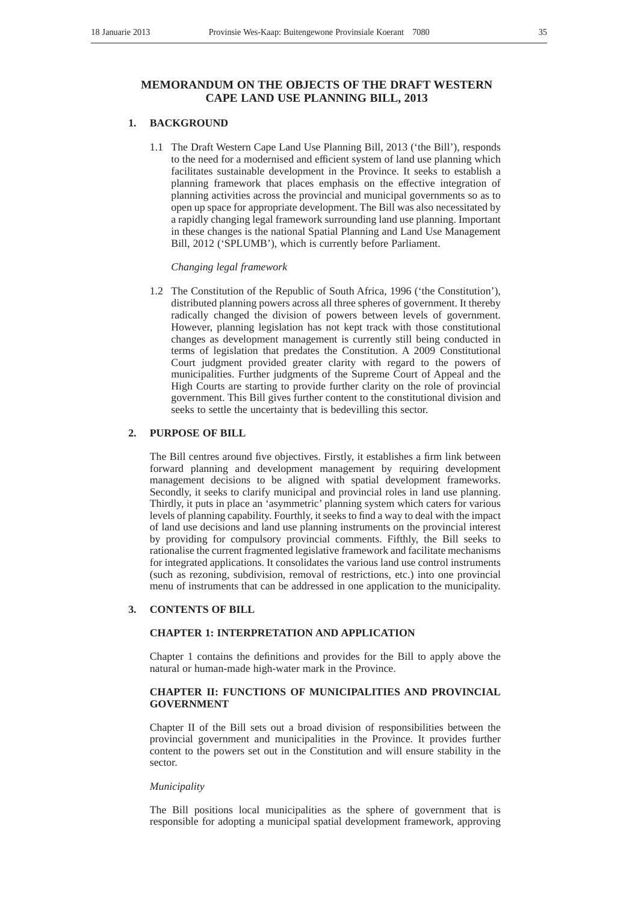## **MEMORANDUM ON THE OBJECTS OF THE DRAFT WESTERN CAPE LAND USE PLANNING BILL, 2013**

## **1. BACKGROUND**

1.1 The Draft Western Cape Land Use Planning Bill, 2013 ('the Bill'), responds to the need for a modernised and efficient system of land use planning which facilitates sustainable development in the Province. It seeks to establish a planning framework that places emphasis on the effective integration of planning activities across the provincial and municipal governments so as to open up space for appropriate development. The Bill was also necessitated by a rapidly changing legal framework surrounding land use planning. Important in these changes is the national Spatial Planning and Land Use Management Bill, 2012 ('SPLUMB'), which is currently before Parliament.

#### *Changing legal framework*

1.2 The Constitution of the Republic of South Africa, 1996 ('the Constitution'), distributed planning powers across all three spheres of government. It thereby radically changed the division of powers between levels of government. However, planning legislation has not kept track with those constitutional changes as development management is currently still being conducted in terms of legislation that predates the Constitution. A 2009 Constitutional Court judgment provided greater clarity with regard to the powers of municipalities. Further judgments of the Supreme Court of Appeal and the High Courts are starting to provide further clarity on the role of provincial government. This Bill gives further content to the constitutional division and seeks to settle the uncertainty that is bedevilling this sector.

#### **2. PURPOSE OF BILL**

The Bill centres around five objectives. Firstly, it establishes a firm link between forward planning and development management by requiring development management decisions to be aligned with spatial development frameworks. Secondly, it seeks to clarify municipal and provincial roles in land use planning. Thirdly, it puts in place an 'asymmetric' planning system which caters for various levels of planning capability. Fourthly, it seeks to find a way to deal with the impact of land use decisions and land use planning instruments on the provincial interest by providing for compulsory provincial comments. Fifthly, the Bill seeks to rationalise the current fragmented legislative framework and facilitate mechanisms for integrated applications. It consolidates the various land use control instruments (such as rezoning, subdivision, removal of restrictions, etc.) into one provincial menu of instruments that can be addressed in one application to the municipality.

#### **3. CONTENTS OF BILL**

## **CHAPTER 1: INTERPRETATION AND APPLICATION**

Chapter 1 contains the definitions and provides for the Bill to apply above the natural or human-made high-water mark in the Province.

## **CHAPTER II: FUNCTIONS OF MUNICIPALITIES AND PROVINCIAL GOVERNMENT**

Chapter II of the Bill sets out a broad division of responsibilities between the provincial government and municipalities in the Province. It provides further content to the powers set out in the Constitution and will ensure stability in the sector.

#### *Municipality*

The Bill positions local municipalities as the sphere of government that is responsible for adopting a municipal spatial development framework, approving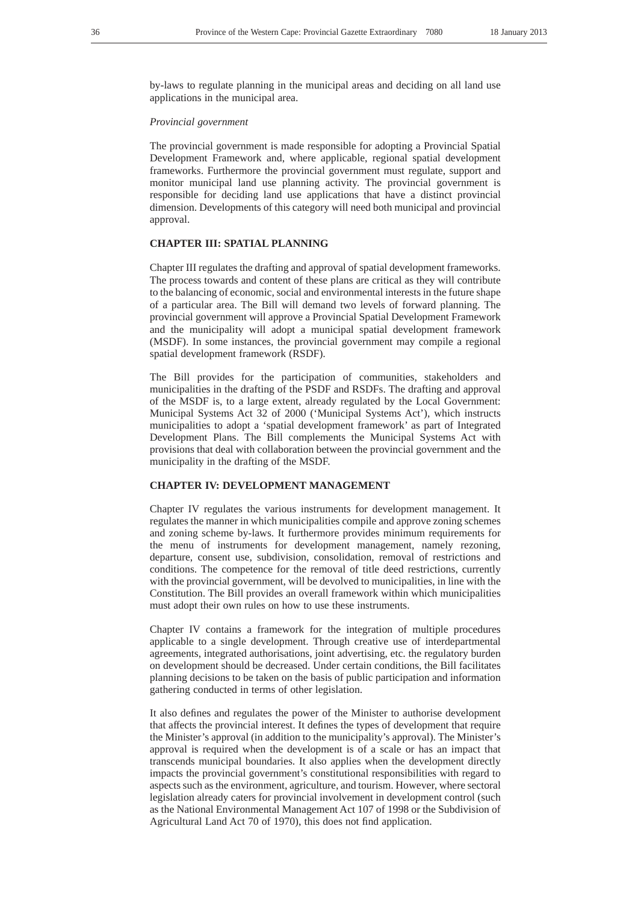by-laws to regulate planning in the municipal areas and deciding on all land use applications in the municipal area.

## *Provincial government*

The provincial government is made responsible for adopting a Provincial Spatial Development Framework and, where applicable, regional spatial development frameworks. Furthermore the provincial government must regulate, support and monitor municipal land use planning activity. The provincial government is responsible for deciding land use applications that have a distinct provincial dimension. Developments of this category will need both municipal and provincial approval.

## **CHAPTER III: SPATIAL PLANNING**

Chapter III regulates the drafting and approval of spatial development frameworks. The process towards and content of these plans are critical as they will contribute to the balancing of economic, social and environmental interests in the future shape of a particular area. The Bill will demand two levels of forward planning. The provincial government will approve a Provincial Spatial Development Framework and the municipality will adopt a municipal spatial development framework (MSDF). In some instances, the provincial government may compile a regional spatial development framework (RSDF).

The Bill provides for the participation of communities, stakeholders and municipalities in the drafting of the PSDF and RSDFs. The drafting and approval of the MSDF is, to a large extent, already regulated by the Local Government: Municipal Systems Act 32 of 2000 ('Municipal Systems Act'), which instructs municipalities to adopt a 'spatial development framework' as part of Integrated Development Plans. The Bill complements the Municipal Systems Act with provisions that deal with collaboration between the provincial government and the municipality in the drafting of the MSDF.

## **CHAPTER IV: DEVELOPMENT MANAGEMENT**

Chapter IV regulates the various instruments for development management. It regulates the manner in which municipalities compile and approve zoning schemes and zoning scheme by-laws. It furthermore provides minimum requirements for the menu of instruments for development management, namely rezoning, departure, consent use, subdivision, consolidation, removal of restrictions and conditions. The competence for the removal of title deed restrictions, currently with the provincial government, will be devolved to municipalities, in line with the Constitution. The Bill provides an overall framework within which municipalities must adopt their own rules on how to use these instruments.

Chapter IV contains a framework for the integration of multiple procedures applicable to a single development. Through creative use of interdepartmental agreements, integrated authorisations, joint advertising, etc. the regulatory burden on development should be decreased. Under certain conditions, the Bill facilitates planning decisions to be taken on the basis of public participation and information gathering conducted in terms of other legislation.

It also defines and regulates the power of the Minister to authorise development that affects the provincial interest. It defines the types of development that require the Minister's approval (in addition to the municipality's approval). The Minister's approval is required when the development is of a scale or has an impact that transcends municipal boundaries. It also applies when the development directly impacts the provincial government's constitutional responsibilities with regard to aspects such as the environment, agriculture, and tourism. However, where sectoral legislation already caters for provincial involvement in development control (such as the National Environmental Management Act 107 of 1998 or the Subdivision of Agricultural Land Act 70 of 1970), this does not find application.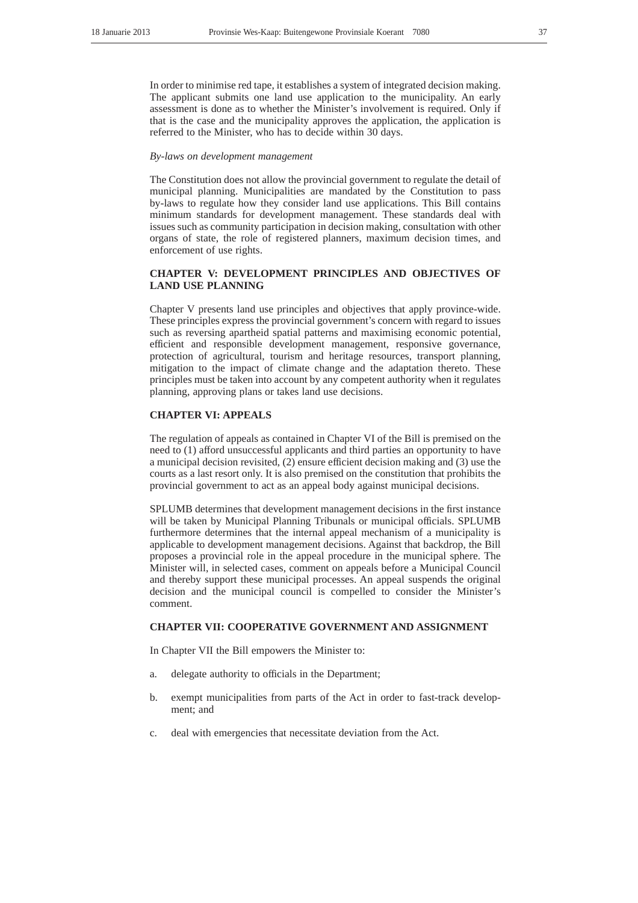In order to minimise red tape, it establishes a system of integrated decision making. The applicant submits one land use application to the municipality. An early assessment is done as to whether the Minister's involvement is required. Only if that is the case and the municipality approves the application, the application is referred to the Minister, who has to decide within 30 days.

#### *By-laws on development management*

The Constitution does not allow the provincial government to regulate the detail of municipal planning. Municipalities are mandated by the Constitution to pass by-laws to regulate how they consider land use applications. This Bill contains minimum standards for development management. These standards deal with issues such as community participation in decision making, consultation with other organs of state, the role of registered planners, maximum decision times, and enforcement of use rights.

# **CHAPTER V: DEVELOPMENT PRINCIPLES AND OBJECTIVES OF LAND USE PLANNING**

Chapter V presents land use principles and objectives that apply province-wide. These principles express the provincial government's concern with regard to issues such as reversing apartheid spatial patterns and maximising economic potential, efficient and responsible development management, responsive governance, protection of agricultural, tourism and heritage resources, transport planning, mitigation to the impact of climate change and the adaptation thereto. These principles must be taken into account by any competent authority when it regulates planning, approving plans or takes land use decisions.

# **CHAPTER VI: APPEALS**

The regulation of appeals as contained in Chapter VI of the Bill is premised on the need to (1) afford unsuccessful applicants and third parties an opportunity to have a municipal decision revisited, (2) ensure efficient decision making and (3) use the courts as a last resort only. It is also premised on the constitution that prohibits the provincial government to act as an appeal body against municipal decisions.

SPLUMB determines that development management decisions in the first instance will be taken by Municipal Planning Tribunals or municipal officials. SPLUMB furthermore determines that the internal appeal mechanism of a municipality is applicable to development management decisions. Against that backdrop, the Bill proposes a provincial role in the appeal procedure in the municipal sphere. The Minister will, in selected cases, comment on appeals before a Municipal Council and thereby support these municipal processes. An appeal suspends the original decision and the municipal council is compelled to consider the Minister's comment.

# **CHAPTER VII: COOPERATIVE GOVERNMENT AND ASSIGNMENT**

In Chapter VII the Bill empowers the Minister to:

- a. delegate authority to officials in the Department;
- b. exempt municipalities from parts of the Act in order to fast-track development; and
- c. deal with emergencies that necessitate deviation from the Act.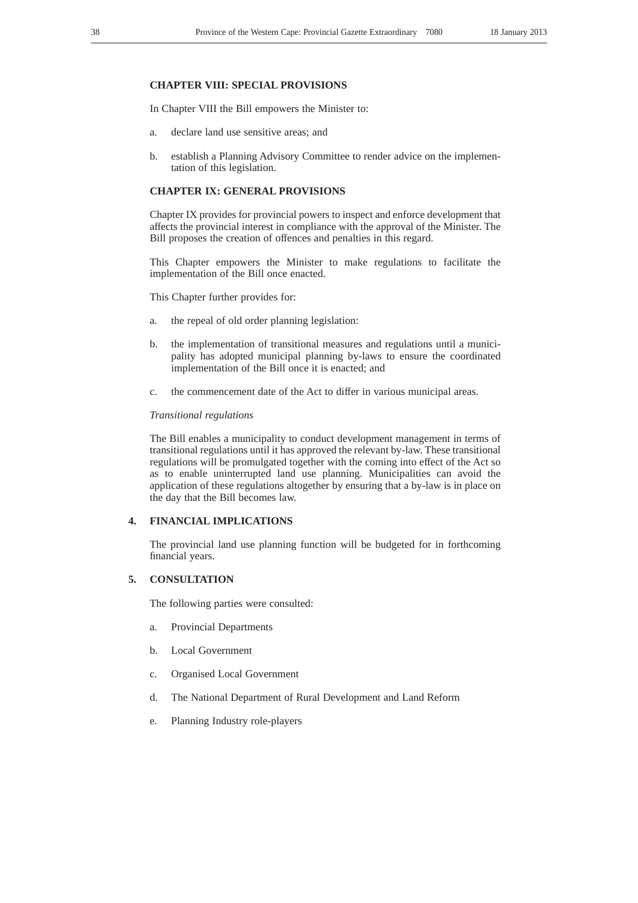## **CHAPTER VIII: SPECIAL PROVISIONS**

In Chapter VIII the Bill empowers the Minister to:

- a. declare land use sensitive areas; and
- b. establish a Planning Advisory Committee to render advice on the implementation of this legislation.

# **CHAPTER IX: GENERAL PROVISIONS**

Chapter IX provides for provincial powers to inspect and enforce development that affects the provincial interest in compliance with the approval of the Minister. The Bill proposes the creation of offences and penalties in this regard.

This Chapter empowers the Minister to make regulations to facilitate the implementation of the Bill once enacted.

This Chapter further provides for:

- a. the repeal of old order planning legislation:
- b. the implementation of transitional measures and regulations until a municipality has adopted municipal planning by-laws to ensure the coordinated implementation of the Bill once it is enacted; and
- c. the commencement date of the Act to differ in various municipal areas.

## *Transitional regulations*

The Bill enables a municipality to conduct development management in terms of transitional regulations until it has approved the relevant by-law. These transitional regulations will be promulgated together with the coming into effect of the Act so as to enable uninterrupted land use planning. Municipalities can avoid the application of these regulations altogether by ensuring that a by-law is in place on the day that the Bill becomes law.

# **4. FINANCIAL IMPLICATIONS**

The provincial land use planning function will be budgeted for in forthcoming financial years.

# **5. CONSULTATION**

The following parties were consulted:

- a. Provincial Departments
- b. Local Government
- c. Organised Local Government
- d. The National Department of Rural Development and Land Reform
- e. Planning Industry role-players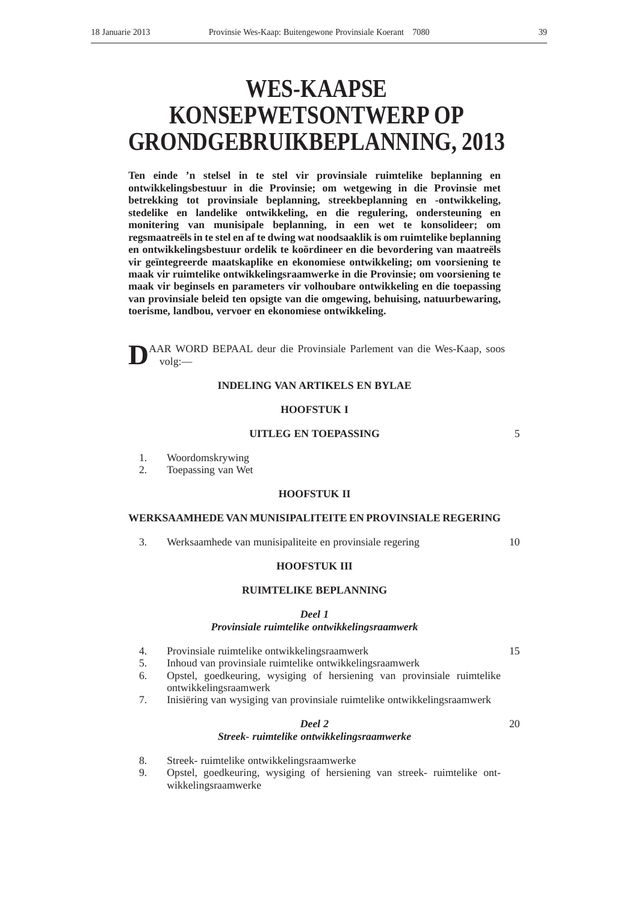# **WES-KAAPSE KONSEPWETSONTWERP OP GRONDGEBRUIKBEPLANNING, 2013**

**Ten einde 'n stelsel in te stel vir provinsiale ruimtelike beplanning en ontwikkelingsbestuur in die Provinsie; om wetgewing in die Provinsie met betrekking tot provinsiale beplanning, streekbeplanning en -ontwikkeling, stedelike en landelike ontwikkeling, en die regulering, ondersteuning en monitering van munisipale beplanning, in een wet te konsolideer; om regsmaatreëls in te stel en af te dwing wat noodsaaklik is om ruimtelike beplanning en ontwikkelingsbestuur ordelik te koördineer en die bevordering van maatreëls vir geïntegreerde maatskaplike en ekonomiese ontwikkeling; om voorsiening te maak vir ruimtelike ontwikkelingsraamwerke in die Provinsie; om voorsiening te maak vir beginsels en parameters vir volhoubare ontwikkeling en die toepassing van provinsiale beleid ten opsigte van die omgewing, behuising, natuurbewaring, toerisme, landbou, vervoer en ekonomiese ontwikkeling.**

**D**AAR WORD BEPAAL deur die Provinsiale Parlement van die Wes-Kaap, soos volg:—

# **INDELING VAN ARTIKELS EN BYLAE**

# **HOOFSTUK I**

# **UITLEG EN TOEPASSING**

1. Woordomskrywing

2. Toepassing van Wet

## **HOOFSTUK II**

#### **WERKSAAMHEDE VAN MUNISIPALITEITE EN PROVINSIALE REGERING**

3. Werksaamhede van munisipaliteite en provinsiale regering

# **HOOFSTUK III**

# **RUIMTELIKE BEPLANNING**

# *Deel 1*

# *Provinsiale ruimtelike ontwikkelingsraamwerk*

- 4. Provinsiale ruimtelike ontwikkelingsraamwerk<br>5. Inhoud van provinsiale ruimtelike ontwikkeling
- 5. Inhoud van provinsiale ruimtelike ontwikkelingsraamwerk
- 6. Opstel, goedkeuring, wysiging of hersiening van provinsiale ruimtelike ontwikkelingsraamwerk
- 7. Inisiëring van wysiging van provinsiale ruimtelike ontwikkelingsraamwerk

## *Deel 2 Streek- ruimtelike ontwikkelingsraamwerke*

- 8. Streek- ruimtelike ontwikkelingsraamwerke
- 9. Opstel, goedkeuring, wysiging of hersiening van streek- ruimtelike ontwikkelingsraamwerke

# 15

20

10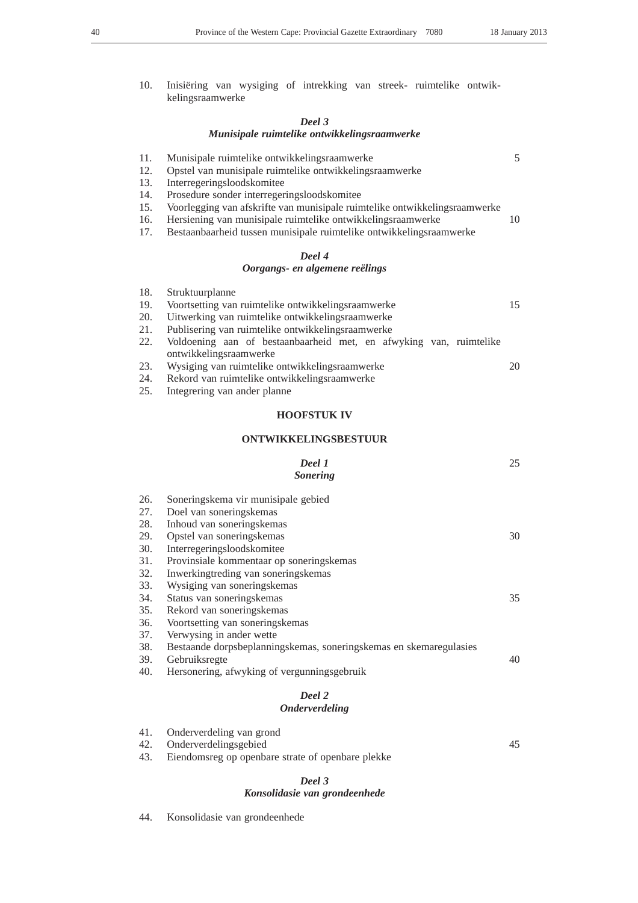10

10. Inisiëring van wysiging of intrekking van streek- ruimtelike ontwikkelingsraamwerke

# *Deel 3 Munisipale ruimtelike ontwikkelingsraamwerke*

| 11. | Munisipale ruimtelike ontwikkelingsraamwerke |  |  |
|-----|----------------------------------------------|--|--|
|-----|----------------------------------------------|--|--|

- 12. Opstel van munisipale ruimtelike ontwikkelingsraamwerke
- 13. Interregeringsloodskomitee
- 14. Prosedure sonder interregeringsloodskomitee
- 15. Voorlegging van afskrifte van munisipale ruimtelike ontwikkelingsraamwerke
- 16. Hersiening van munisipale ruimtelike ontwikkelingsraamwerke
- 17. Bestaanbaarheid tussen munisipale ruimtelike ontwikkelingsraamwerke

# *Deel 4*

# *Oorgangs- en algemene reëlings*

| 18. | Struktuurplanne                                                                              |    |
|-----|----------------------------------------------------------------------------------------------|----|
| 19. | Voortsetting van ruimtelike ontwikkelingsraamwerke                                           | 15 |
| 20. | Uitwerking van ruimtelike ontwikkelingsraamwerke                                             |    |
| 21. | Publisering van ruimtelike ontwikkelingsraamwerke                                            |    |
| 22. | Voldoening aan of bestaanbaarheid met, en afwyking van, ruimtelike<br>ontwikkelingsraamwerke |    |
| 23. | Wysiging van ruimtelike ontwikkelingsraamwerke                                               | 20 |
| 24. | Rekord van ruimtelike ontwikkelingsraamwerke                                                 |    |

25. Integrering van ander planne

# **HOOFSTUK IV**

# **ONTWIKKELINGSBESTUUR**

|     | Deel 1<br><b>Sonering</b>                                          | 25 |
|-----|--------------------------------------------------------------------|----|
| 26. | Soneringskema vir munisipale gebied                                |    |
| 27. | Doel van soneringskemas                                            |    |
| 28. | Inhoud van soneringskemas                                          |    |
| 29. | Opstel van soneringskemas                                          | 30 |
| 30. | Interregeringsloodskomitee                                         |    |
| 31. | Provinsiale kommentaar op soneringskemas                           |    |
| 32. | Inwerkingtreding van soneringskemas                                |    |
| 33. | Wysiging van soneringskemas                                        |    |
| 34. | Status van soneringskemas                                          | 35 |
| 35. | Rekord van soneringskemas                                          |    |
| 36. | Voortsetting van soneringskemas                                    |    |
| 37. | Verwysing in ander wette                                           |    |
| 38. | Bestaande dorpsbeplanningskemas, soneringskemas en skemaregulasies |    |
| 39. | Gebruiksregte                                                      | 40 |
| 40. | Hersonering, afwyking of vergunningsgebruik                        |    |
|     | Deel 2                                                             |    |

# *Onderverdeling*

| 41. Onderverdeling van grond |  |
|------------------------------|--|
| 42. Onderverdelingsgebied    |  |
|                              |  |

43. Eiendomsreg op openbare strate of openbare plekke

# *Deel 3*

# *Konsolidasie van grondeenhede*

44. Konsolidasie van grondeenhede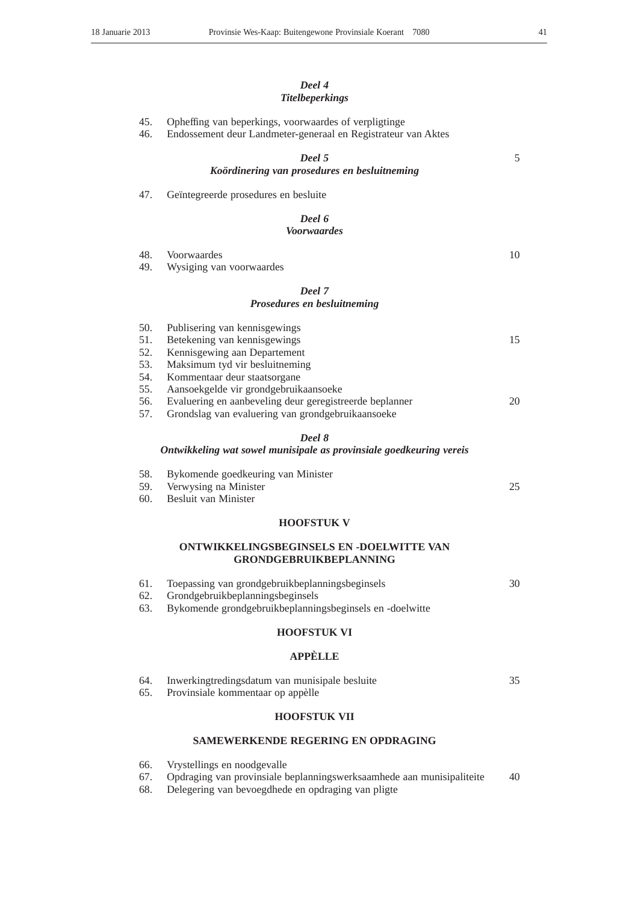# *Deel 4 Titelbeperkings*

| 45.<br>46. | Opheffing van beperkings, voorwaardes of verpligtinge<br>Endossement deur Landmeter-generaal en Registrateur van Aktes |    |
|------------|------------------------------------------------------------------------------------------------------------------------|----|
|            | Deel 5                                                                                                                 | 5  |
|            | Koördinering van prosedures en besluitneming                                                                           |    |
| 47.        | Geïntegreerde prosedures en besluite                                                                                   |    |
|            | Deel 6<br><b>Voorwaardes</b>                                                                                           |    |
| 48.        | Voorwaardes                                                                                                            | 10 |
| 49.        | Wysiging van voorwaardes                                                                                               |    |
|            | Deel 7                                                                                                                 |    |
|            | Prosedures en besluitneming                                                                                            |    |
| 50.        | Publisering van kennisgewings                                                                                          |    |
| 51.        | Betekening van kennisgewings                                                                                           | 15 |
| 52.        | Kennisgewing aan Departement                                                                                           |    |
| 53.<br>54. | Maksimum tyd vir besluitneming                                                                                         |    |
| 55.        | Kommentaar deur staatsorgane<br>Aansoekgelde vir grondgebruikaansoeke                                                  |    |
| 56.        | Evaluering en aanbeveling deur geregistreerde beplanner                                                                | 20 |
| 57.        | Grondslag van evaluering van grondgebruikaansoeke                                                                      |    |
|            | Deel 8                                                                                                                 |    |
|            | Ontwikkeling wat sowel munisipale as provinsiale goedkeuring vereis                                                    |    |
| 58.        | Bykomende goedkeuring van Minister                                                                                     |    |
| 59.        | Verwysing na Minister                                                                                                  | 25 |
| 60.        | Besluit van Minister                                                                                                   |    |
|            | <b>HOOFSTUK V</b>                                                                                                      |    |
|            | ONTWIKKELINGSBEGINSELS EN -DOELWITTE VAN<br><b>GRONDGEBRUIKBEPLANNING</b>                                              |    |
| 61.        | Toepassing van grondgebruikbeplanningsbeginsels                                                                        | 30 |
| 62.        | Grondgebruikbeplanningsbeginsels                                                                                       |    |
| 63.        | Bykomende grondgebruikbeplanningsbeginsels en -doelwitte                                                               |    |
|            | <b>HOOFSTUK VI</b>                                                                                                     |    |
|            | <b>APPÈLLE</b>                                                                                                         |    |
| 64.        | Inwerkingtredingsdatum van munisipale besluite                                                                         | 35 |
|            |                                                                                                                        |    |

**HOOFSTUK VII**

**SAMEWERKENDE REGERING EN OPDRAGING**

67. Opdraging van provinsiale beplanningswerksaamhede aan munisipaliteite

68. Delegering van bevoegdhede en opdraging van pligte

65. Provinsiale kommentaar op appèlle

66. Vrystellings en noodgevalle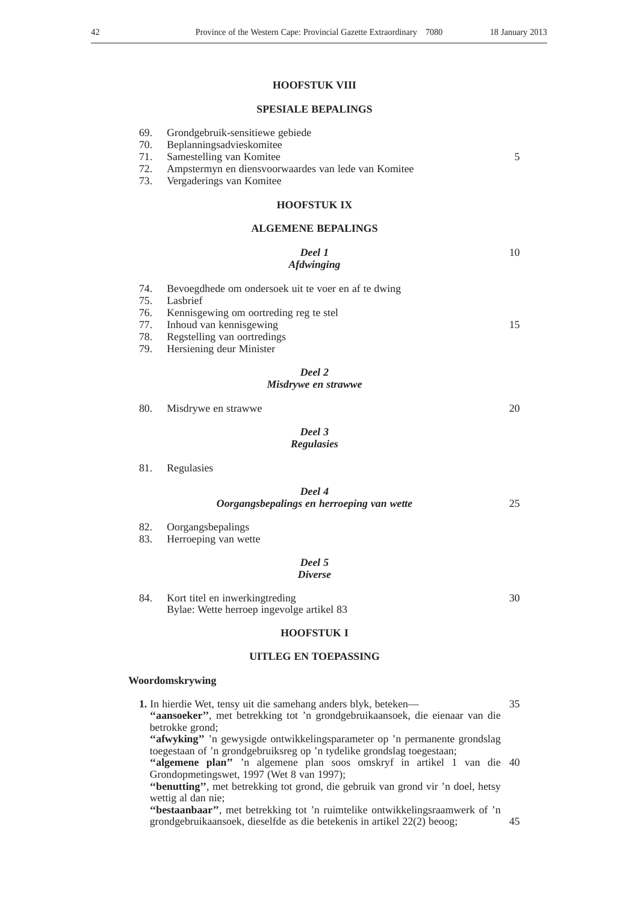25

30

# **HOOFSTUK VIII**

# **SPESIALE BEPALINGS**

| Grondgebruik-sensitiewe gebiede<br>Beplanningsadvieskomitee<br>Samestelling van Komitee<br>Ampstermyn en diensvoorwaardes van lede van Komitee<br>Vergaderings van Komitee | 5                                                                                  |
|----------------------------------------------------------------------------------------------------------------------------------------------------------------------------|------------------------------------------------------------------------------------|
| <b>HOOFSTUK IX</b>                                                                                                                                                         |                                                                                    |
| <b>ALGEMENE BEPALINGS</b>                                                                                                                                                  |                                                                                    |
| Deel 1<br><i><b>Afdwinging</b></i>                                                                                                                                         | 10                                                                                 |
| Bevoegdhede om ondersoek uit te voer en af te dwing<br>Lasbrief                                                                                                            |                                                                                    |
| Kennisgewing om oortreding reg te stel                                                                                                                                     |                                                                                    |
|                                                                                                                                                                            | 15                                                                                 |
|                                                                                                                                                                            |                                                                                    |
|                                                                                                                                                                            |                                                                                    |
| Deel 2<br>Misdrywe en strawwe                                                                                                                                              |                                                                                    |
| Misdrywe en strawwe                                                                                                                                                        | 20                                                                                 |
|                                                                                                                                                                            | Inhoud van kennisgewing<br>Regstelling van oortredings<br>Hersiening deur Minister |

# *Deel 3 Regulasies*

|  | 81. | Regulasies |  |
|--|-----|------------|--|
|--|-----|------------|--|

# *Deel 4 Oorgangsbepalings en herroeping van wette*

- 82. Oorgangsbepalings<br>83. Herroeping van we
- Herroeping van wette

# *Deel 5 Diverse*

84. Kort titel en inwerkingtreding Bylae: Wette herroep ingevolge artikel 83

# **HOOFSTUK I**

# **UITLEG EN TOEPASSING**

# **Woordomskrywing**

| 1. In hierdie Wet, tensy uit die samehang anders blyk, beteken—                 | 35 |
|---------------------------------------------------------------------------------|----|
| "aansoeker", met betrekking tot 'n grondgebruikaansoek, die eienaar van die     |    |
| betrokke grond;                                                                 |    |
| "afwyking" 'n gewysigde ontwikkelingsparameter op 'n permanente grondslag       |    |
| toegestaan of 'n grondgebruiksreg op 'n tydelike grondslag toegestaan;          |    |
| "algemene plan" 'n algemene plan soos omskryf in artikel 1 van die 40           |    |
| Grondopmetingswet, 1997 (Wet 8 van 1997);                                       |    |
| "benutting", met betrekking tot grond, die gebruik van grond vir 'n doel, hetsy |    |
| wettig al dan nie;                                                              |    |
| "bestaanbaar", met betrekking tot 'n ruimtelike ontwikkelingsraamwerk of 'n     |    |
| grondgebruikaansoek, dieselfde as die betekenis in artikel 22(2) beoog;         | 45 |
|                                                                                 |    |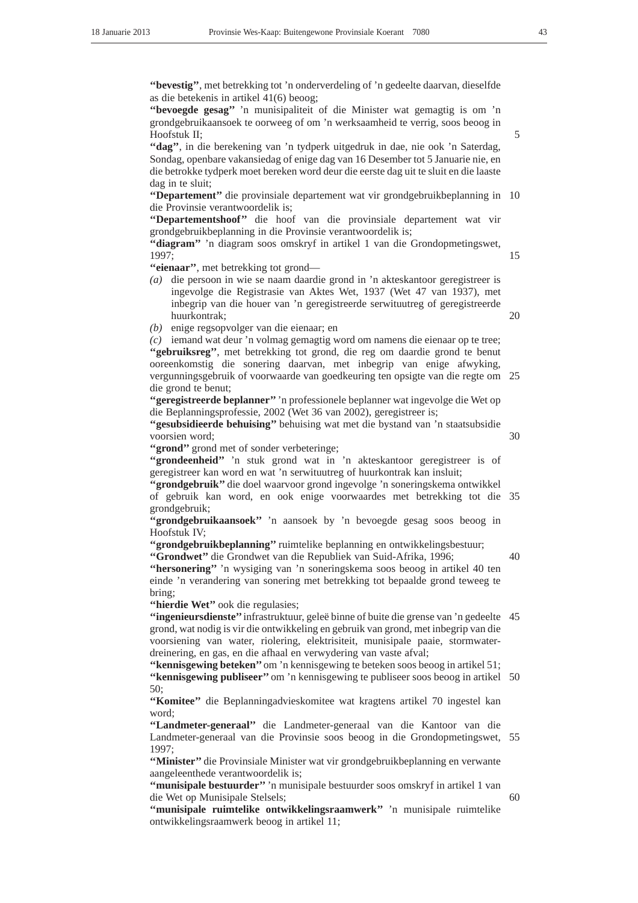**''bevestig''**, met betrekking tot 'n onderverdeling of 'n gedeelte daarvan, dieselfde as die betekenis in artikel 41(6) beoog;

**''bevoegde gesag''** 'n munisipaliteit of die Minister wat gemagtig is om 'n grondgebruikaansoek te oorweeg of om 'n werksaamheid te verrig, soos beoog in Hoofstuk II;

**''dag''**, in die berekening van 'n tydperk uitgedruk in dae, nie ook 'n Saterdag, Sondag, openbare vakansiedag of enige dag van 16 Desember tot 5 Januarie nie, en die betrokke tydperk moet bereken word deur die eerste dag uit te sluit en die laaste dag in te sluit;

**''Departement''** die provinsiale departement wat vir grondgebruikbeplanning in 10 die Provinsie verantwoordelik is;

**''Departementshoof''** die hoof van die provinsiale departement wat vir grondgebruikbeplanning in die Provinsie verantwoordelik is;

**''diagram''** 'n diagram soos omskryf in artikel 1 van die Grondopmetingswet, 1997;

**''eienaar''**, met betrekking tot grond—

*(a)* die persoon in wie se naam daardie grond in 'n akteskantoor geregistreer is ingevolge die Registrasie van Aktes Wet, 1937 (Wet 47 van 1937), met inbegrip van die houer van 'n geregistreerde serwituutreg of geregistreerde huurkontrak;

*(b)* enige regsopvolger van die eienaar; en

*(c)* iemand wat deur 'n volmag gemagtig word om namens die eienaar op te tree; **''gebruiksreg''**, met betrekking tot grond, die reg om daardie grond te benut ooreenkomstig die sonering daarvan, met inbegrip van enige afwyking, vergunningsgebruik of voorwaarde van goedkeuring ten opsigte van die regte om 25 die grond te benut;

**''geregistreerde beplanner''**'n professionele beplanner wat ingevolge die Wet op die Beplanningsprofessie, 2002 (Wet 36 van 2002), geregistreer is;

**''gesubsidieerde behuising''** behuising wat met die bystand van 'n staatsubsidie voorsien word;

**''grond''** grond met of sonder verbeteringe;

"grondeenheid" 'n stuk grond wat in 'n akteskantoor geregistreer is of geregistreer kan word en wat 'n serwituutreg of huurkontrak kan insluit;

**''grondgebruik''** die doel waarvoor grond ingevolge 'n soneringskema ontwikkel of gebruik kan word, en ook enige voorwaardes met betrekking tot die 35 grondgebruik;

# **''grondgebruikaansoek''** 'n aansoek by 'n bevoegde gesag soos beoog in Hoofstuk IV;

**''grondgebruikbeplanning''** ruimtelike beplanning en ontwikkelingsbestuur; **''Grondwet''** die Grondwet van die Republiek van Suid-Afrika, 1996;

**''hersonering''** 'n wysiging van 'n soneringskema soos beoog in artikel 40 ten einde 'n verandering van sonering met betrekking tot bepaalde grond teweeg te bring;

**''hierdie Wet''** ook die regulasies;

**''ingenieursdienste''**infrastruktuur, geleë binne of buite die grense van 'n gedeelte 45 grond, wat nodig is vir die ontwikkeling en gebruik van grond, met inbegrip van die voorsiening van water, riolering, elektrisiteit, munisipale paaie, stormwaterdreinering, en gas, en die afhaal en verwydering van vaste afval;

**''kennisgewing beteken''** om 'n kennisgewing te beteken soos beoog in artikel 51; **''kennisgewing publiseer''** om 'n kennisgewing te publiseer soos beoog in artikel 50 50;

**''Komitee''** die Beplanningadvieskomitee wat kragtens artikel 70 ingestel kan word;

**''Landmeter-generaal''** die Landmeter-generaal van die Kantoor van die Landmeter-generaal van die Provinsie soos beoog in die Grondopmetingswet, 55 1997;

**''Minister''** die Provinsiale Minister wat vir grondgebruikbeplanning en verwante aangeleenthede verantwoordelik is;

**''munisipale bestuurder''** 'n munisipale bestuurder soos omskryf in artikel 1 van die Wet op Munisipale Stelsels;

**''munisipale ruimtelike ontwikkelingsraamwerk''** 'n munisipale ruimtelike ontwikkelingsraamwerk beoog in artikel 11;

5

20

30

40

60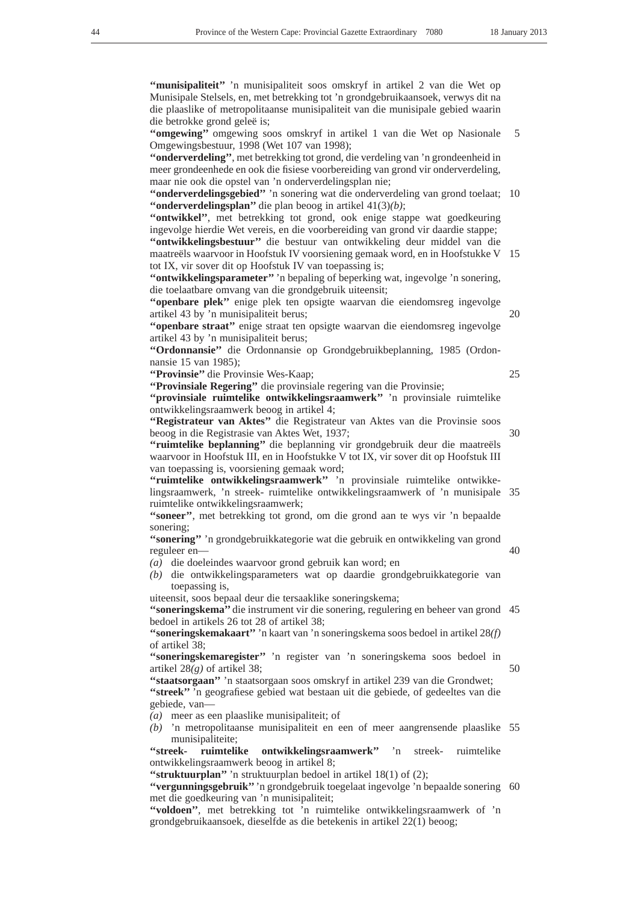**''munisipaliteit''** 'n munisipaliteit soos omskryf in artikel 2 van die Wet op Munisipale Stelsels, en, met betrekking tot 'n grondgebruikaansoek, verwys dit na die plaaslike of metropolitaanse munisipaliteit van die munisipale gebied waarin die betrokke grond geleë is;

**''omgewing''** omgewing soos omskryf in artikel 1 van die Wet op Nasionale Omgewingsbestuur, 1998 (Wet 107 van 1998); 5

**''onderverdeling''**, met betrekking tot grond, die verdeling van 'n grondeenheid in meer grondeenhede en ook die fisiese voorbereiding van grond vir onderverdeling, maar nie ook die opstel van 'n onderverdelingsplan nie;

**''onderverdelingsgebied''** 'n sonering wat die onderverdeling van grond toelaat; 10 **''onderverdelingsplan''** die plan beoog in artikel 41(3)*(b)*;

**''ontwikkel''**, met betrekking tot grond, ook enige stappe wat goedkeuring ingevolge hierdie Wet vereis, en die voorbereiding van grond vir daardie stappe; **''ontwikkelingsbestuur''** die bestuur van ontwikkeling deur middel van die

maatreëls waarvoor in Hoofstuk IV voorsiening gemaak word, en in Hoofstukke V 15 tot IX, vir sover dit op Hoofstuk IV van toepassing is;

**''ontwikkelingsparameter''** 'n bepaling of beperking wat, ingevolge 'n sonering, die toelaatbare omvang van die grondgebruik uiteensit;

**''openbare plek''** enige plek ten opsigte waarvan die eiendomsreg ingevolge artikel 43 by 'n munisipaliteit berus; 20

**''openbare straat''** enige straat ten opsigte waarvan die eiendomsreg ingevolge artikel 43 by 'n munisipaliteit berus;

**''Ordonnansie''** die Ordonnansie op Grondgebruikbeplanning, 1985 (Ordonnansie 15 van 1985);

**''Provinsie''** die Provinsie Wes-Kaap;

**''Provinsiale Regering''** die provinsiale regering van die Provinsie;

**''provinsiale ruimtelike ontwikkelingsraamwerk''** 'n provinsiale ruimtelike ontwikkelingsraamwerk beoog in artikel 4;

**''Registrateur van Aktes''** die Registrateur van Aktes van die Provinsie soos beoog in die Registrasie van Aktes Wet, 1937; 30

**''ruimtelike beplanning''** die beplanning vir grondgebruik deur die maatreëls waarvoor in Hoofstuk III, en in Hoofstukke V tot IX, vir sover dit op Hoofstuk III van toepassing is, voorsiening gemaak word;

**''ruimtelike ontwikkelingsraamwerk''** 'n provinsiale ruimtelike ontwikkelingsraamwerk, 'n streek- ruimtelike ontwikkelingsraamwerk of 'n munisipale 35 ruimtelike ontwikkelingsraamwerk;

**''soneer''**, met betrekking tot grond, om die grond aan te wys vir 'n bepaalde sonering;

**''sonering''** 'n grondgebruikkategorie wat die gebruik en ontwikkeling van grond reguleer en—

*(a)* die doeleindes waarvoor grond gebruik kan word; en

*(b)* die ontwikkelingsparameters wat op daardie grondgebruikkategorie van toepassing is,

uiteensit, soos bepaal deur die tersaaklike soneringskema;

**''soneringskema''** die instrument vir die sonering, regulering en beheer van grond 45 bedoel in artikels 26 tot 28 of artikel 38;

**''soneringskemakaart''** 'n kaart van 'n soneringskema soos bedoel in artikel 28*(f)* of artikel 38;

**''soneringskemaregister''** 'n register van 'n soneringskema soos bedoel in artikel 28*(g)* of artikel 38;

**''staatsorgaan''** 'n staatsorgaan soos omskryf in artikel 239 van die Grondwet; **''streek''** 'n geografiese gebied wat bestaan uit die gebiede, of gedeeltes van die gebiede, van—

*(a)* meer as een plaaslike munisipaliteit; of

*(b)* 'n metropolitaanse munisipaliteit en een of meer aangrensende plaaslike 55 munisipaliteite;<br>"streek- ruimtelil"

**ruimtelike ontwikkelingsraamwerk''** 'n streek- ruimtelike ontwikkelingsraamwerk beoog in artikel 8;

**"struktuurplan"** 'n struktuurplan bedoel in artikel 18(1) of (2);

**''vergunningsgebruik''**'n grondgebruik toegelaat ingevolge 'n bepaalde sonering 60met die goedkeuring van 'n munisipaliteit;

**''voldoen''**, met betrekking tot 'n ruimtelike ontwikkelingsraamwerk of 'n grondgebruikaansoek, dieselfde as die betekenis in artikel 22(1) beoog;

25

40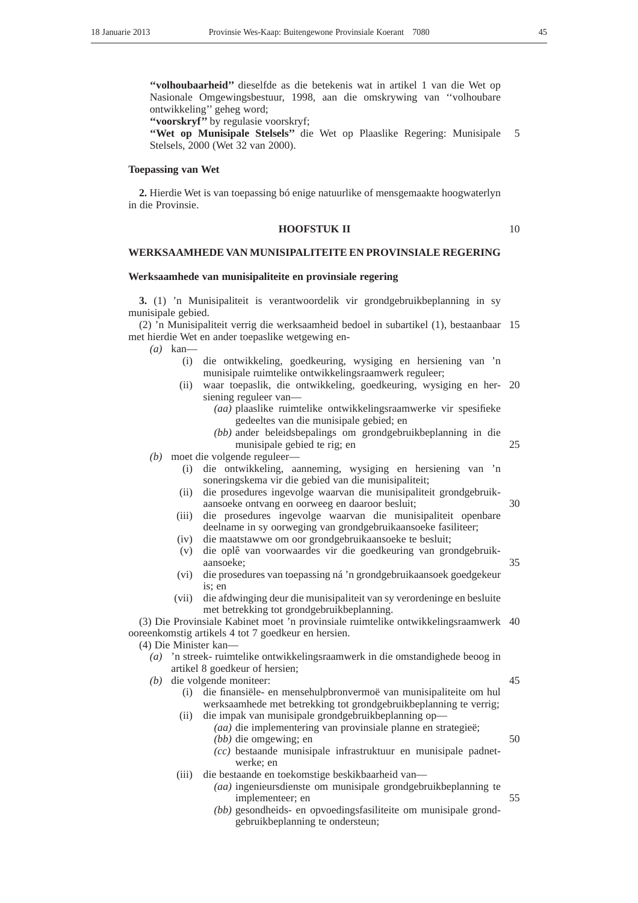**''volhoubaarheid''** dieselfde as die betekenis wat in artikel 1 van die Wet op Nasionale Omgewingsbestuur, 1998, aan die omskrywing van ''volhoubare ontwikkeling'' geheg word;

**''voorskryf''** by regulasie voorskryf;

**''Wet op Munisipale Stelsels''** die Wet op Plaaslike Regering: Munisipale Stelsels, 2000 (Wet 32 van 2000). 5

## **Toepassing van Wet**

**2.** Hierdie Wet is van toepassing bó enige natuurlike of mensgemaakte hoogwaterlyn in die Provinsie.

# **HOOFSTUK II**

10

# **WERKSAAMHEDE VAN MUNISIPALITEITE EN PROVINSIALE REGERING**

# **Werksaamhede van munisipaliteite en provinsiale regering**

**3.** (1) 'n Munisipaliteit is verantwoordelik vir grondgebruikbeplanning in sy munisipale gebied.

(2) 'n Munisipaliteit verrig die werksaamheid bedoel in subartikel (1), bestaanbaar 15 met hierdie Wet en ander toepaslike wetgewing en-

*(a)* kan—

- (i) die ontwikkeling, goedkeuring, wysiging en hersiening van 'n munisipale ruimtelike ontwikkelingsraamwerk reguleer;
- (ii) waar toepaslik, die ontwikkeling, goedkeuring, wysiging en her-20 siening reguleer van—
	- *(aa)* plaaslike ruimtelike ontwikkelingsraamwerke vir spesifieke gedeeltes van die munisipale gebied; en
	- *(bb)* ander beleidsbepalings om grondgebruikbeplanning in die munisipale gebied te rig; en 25
- *(b)* moet die volgende reguleer—
	- (i) die ontwikkeling, aanneming, wysiging en hersiening van 'n soneringskema vir die gebied van die munisipaliteit;
	- (ii) die prosedures ingevolge waarvan die munisipaliteit grondgebruikaansoeke ontvang en oorweeg en daaroor besluit;
	- (iii) die prosedures ingevolge waarvan die munisipaliteit openbare deelname in sy oorweging van grondgebruikaansoeke fasiliteer;
	- (iv) die maatstawwe om oor grondgebruikaansoeke te besluit;
	- (v) die oplê van voorwaardes vir die goedkeuring van grondgebruikaansoeke; 35
	- (vi) die prosedures van toepassing ná 'n grondgebruikaansoek goedgekeur is; en
	- (vii) die afdwinging deur die munisipaliteit van sy verordeninge en besluite met betrekking tot grondgebruikbeplanning.

(3) Die Provinsiale Kabinet moet 'n provinsiale ruimtelike ontwikkelingsraamwerk 40 ooreenkomstig artikels 4 tot 7 goedkeur en hersien.

(4) Die Minister kan—

- *(a)* 'n streek- ruimtelike ontwikkelingsraamwerk in die omstandighede beoog in artikel 8 goedkeur of hersien;
- *(b)* die volgende moniteer:

45

- (i) die finansiële- en mensehulpbronvermoë van munisipaliteite om hul werksaamhede met betrekking tot grondgebruikbeplanning te verrig; (ii) die impak van munisipale grondgebruikbeplanning op—
	- *(aa)* die implementering van provinsiale planne en strategieë;
	- *(bb)* die omgewing; en
- 50
- *(cc)* bestaande munisipale infrastruktuur en munisipale padnetwerke; en
- (iii) die bestaande en toekomstige beskikbaarheid van—
	- *(aa)* ingenieursdienste om munisipale grondgebruikbeplanning te implementeer; en 55
	- *(bb)* gesondheids- en opvoedingsfasiliteite om munisipale grondgebruikbeplanning te ondersteun;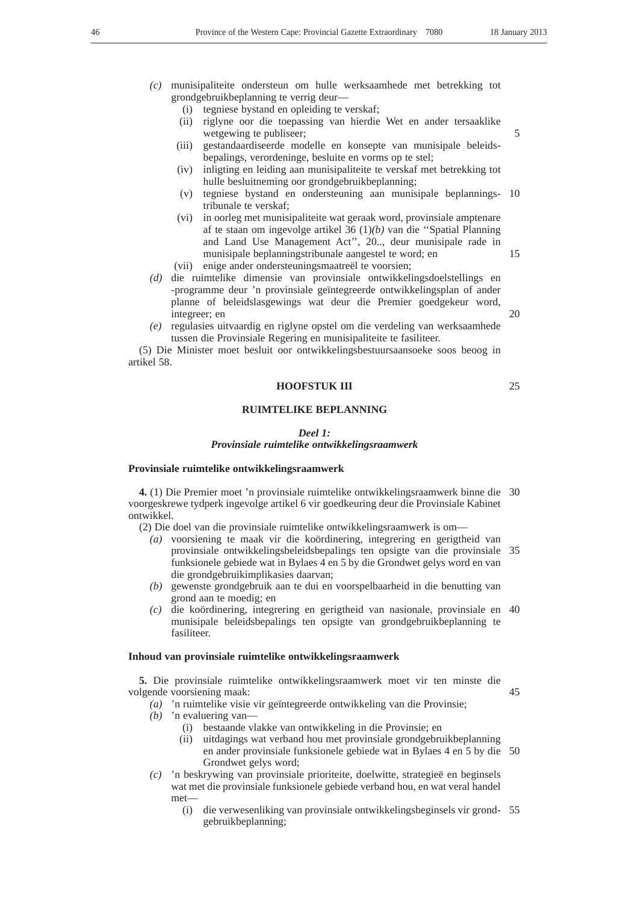- *(c)* munisipaliteite ondersteun om hulle werksaamhede met betrekking tot grondgebruikbeplanning te verrig deur—
	- (i) tegniese bystand en opleiding te verskaf;
	- (ii) riglyne oor die toepassing van hierdie Wet en ander tersaaklike wetgewing te publiseer;
	- (iii) gestandaardiseerde modelle en konsepte van munisipale beleidsbepalings, verordeninge, besluite en vorms op te stel;
	- (iv) inligting en leiding aan munisipaliteite te verskaf met betrekking tot hulle besluitneming oor grondgebruikbeplanning;
	- (v) tegniese bystand en ondersteuning aan munisipale beplannings-10 tribunale te verskaf;
	- (vi) in oorleg met munisipaliteite wat geraak word, provinsiale amptenare af te staan om ingevolge artikel 36 (1)*(b)* van die ''Spatial Planning and Land Use Management Act'', 20.., deur munisipale rade in munisipale beplanningstribunale aangestel te word; en (vii) enige ander ondersteuningsmaatreël te voorsien;
- *(d)* die ruimtelike dimensie van provinsiale ontwikkelingsdoelstellings en -programme deur 'n provinsiale geïntegreerde ontwikkelingsplan of ander
- planne of beleidslasgewings wat deur die Premier goedgekeur word, integreer; en
- *(e)* regulasies uitvaardig en riglyne opstel om die verdeling van werksaamhede tussen die Provinsiale Regering en munisipaliteite te fasiliteer.

(5) Die Minister moet besluit oor ontwikkelingsbestuursaansoeke soos beoog in artikel 58.

## **HOOFSTUK III**

**RUIMTELIKE BEPLANNING**

#### *Deel 1:*

# *Provinsiale ruimtelike ontwikkelingsraamwerk*

#### **Provinsiale ruimtelike ontwikkelingsraamwerk**

**4.** (1) Die Premier moet 'n provinsiale ruimtelike ontwikkelingsraamwerk binne die 30 voorgeskrewe tydperk ingevolge artikel 6 vir goedkeuring deur die Provinsiale Kabinet ontwikkel.

(2) Die doel van die provinsiale ruimtelike ontwikkelingsraamwerk is om—

- *(a)* voorsiening te maak vir die koördinering, integrering en gerigtheid van provinsiale ontwikkelingsbeleidsbepalings ten opsigte van die provinsiale 35 funksionele gebiede wat in Bylaes 4 en 5 by die Grondwet gelys word en van die grondgebruikimplikasies daarvan;
- *(b)* gewenste grondgebruik aan te dui en voorspelbaarheid in die benutting van grond aan te moedig; en
- *(c)* die koördinering, integrering en gerigtheid van nasionale, provinsiale en 40 munisipale beleidsbepalings ten opsigte van grondgebruikbeplanning te fasiliteer.

## **Inhoud van provinsiale ruimtelike ontwikkelingsraamwerk**

**5.** Die provinsiale ruimtelike ontwikkelingsraamwerk moet vir ten minste die volgende voorsiening maak: 45

*(a)* 'n ruimtelike visie vir geïntegreerde ontwikkeling van die Provinsie;

- *(b)* 'n evaluering van—
	- (i) bestaande vlakke van ontwikkeling in die Provinsie; en
	- (ii) uitdagings wat verband hou met provinsiale grondgebruikbeplanning en ander provinsiale funksionele gebiede wat in Bylaes 4 en 5 by die 50 Grondwet gelys word;
- *(c)* 'n beskrywing van provinsiale prioriteite, doelwitte, strategieë en beginsels wat met die provinsiale funksionele gebiede verband hou, en wat veral handel met-
	- (i) die verwesenliking van provinsiale ontwikkelingsbeginsels vir grond-55gebruikbeplanning;

15

20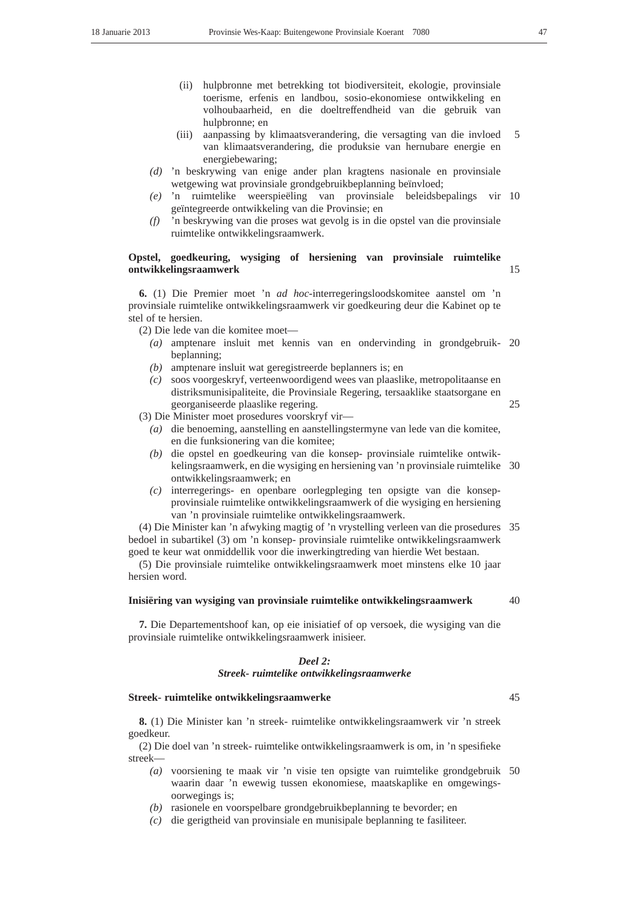- (ii) hulpbronne met betrekking tot biodiversiteit, ekologie, provinsiale toerisme, erfenis en landbou, sosio-ekonomiese ontwikkeling en volhoubaarheid, en die doeltreffendheid van die gebruik van hulpbronne; en
- (iii) aanpassing by klimaatsverandering, die versagting van die invloed van klimaatsverandering, die produksie van hernubare energie en energiebewaring; 5
- *(d)* 'n beskrywing van enige ander plan kragtens nasionale en provinsiale wetgewing wat provinsiale grondgebruikbeplanning beïnvloed;
- *(e)* 'n ruimtelike weerspieëling van provinsiale beleidsbepalings vir 10 geïntegreerde ontwikkeling van die Provinsie; en
- *(f)* 'n beskrywing van die proses wat gevolg is in die opstel van die provinsiale ruimtelike ontwikkelingsraamwerk.

# **Opstel, goedkeuring, wysiging of hersiening van provinsiale ruimtelike ontwikkelingsraamwerk**

**6.** (1) Die Premier moet 'n *ad hoc*-interregeringsloodskomitee aanstel om 'n provinsiale ruimtelike ontwikkelingsraamwerk vir goedkeuring deur die Kabinet op te stel of te hersien.

(2) Die lede van die komitee moet—

- *(a)* amptenare insluit met kennis van en ondervinding in grondgebruik-20 beplanning;
- *(b)* amptenare insluit wat geregistreerde beplanners is; en
- *(c)* soos voorgeskryf, verteenwoordigend wees van plaaslike, metropolitaanse en distriksmunisipaliteite, die Provinsiale Regering, tersaaklike staatsorgane en georganiseerde plaaslike regering. 25

(3) Die Minister moet prosedures voorskryf vir—

- *(a)* die benoeming, aanstelling en aanstellingstermyne van lede van die komitee, en die funksionering van die komitee;
- *(b)* die opstel en goedkeuring van die konsep- provinsiale ruimtelike ontwikkelingsraamwerk, en die wysiging en hersiening van 'n provinsiale ruimtelike 30 ontwikkelingsraamwerk; en
- *(c)* interregerings- en openbare oorlegpleging ten opsigte van die konsepprovinsiale ruimtelike ontwikkelingsraamwerk of die wysiging en hersiening van 'n provinsiale ruimtelike ontwikkelingsraamwerk.

(4) Die Minister kan 'n afwyking magtig of 'n vrystelling verleen van die prosedures 35 bedoel in subartikel (3) om 'n konsep- provinsiale ruimtelike ontwikkelingsraamwerk goed te keur wat onmiddellik voor die inwerkingtreding van hierdie Wet bestaan.

(5) Die provinsiale ruimtelike ontwikkelingsraamwerk moet minstens elke 10 jaar hersien word.

# **Inisiëring van wysiging van provinsiale ruimtelike ontwikkelingsraamwerk**

**7.** Die Departementshoof kan, op eie inisiatief of op versoek, die wysiging van die provinsiale ruimtelike ontwikkelingsraamwerk inisieer.

# *Deel 2:*

## *Streek- ruimtelike ontwikkelingsraamwerke*

# **Streek- ruimtelike ontwikkelingsraamwerke**

**8.** (1) Die Minister kan 'n streek- ruimtelike ontwikkelingsraamwerk vir 'n streek goedkeur.

(2) Die doel van 'n streek- ruimtelike ontwikkelingsraamwerk is om, in 'n spesifieke streek—

- *(a)* voorsiening te maak vir 'n visie ten opsigte van ruimtelike grondgebruik 50waarin daar 'n ewewig tussen ekonomiese, maatskaplike en omgewingsoorwegings is;
- *(b)* rasionele en voorspelbare grondgebruikbeplanning te bevorder; en
- *(c)* die gerigtheid van provinsiale en munisipale beplanning te fasiliteer.

15

45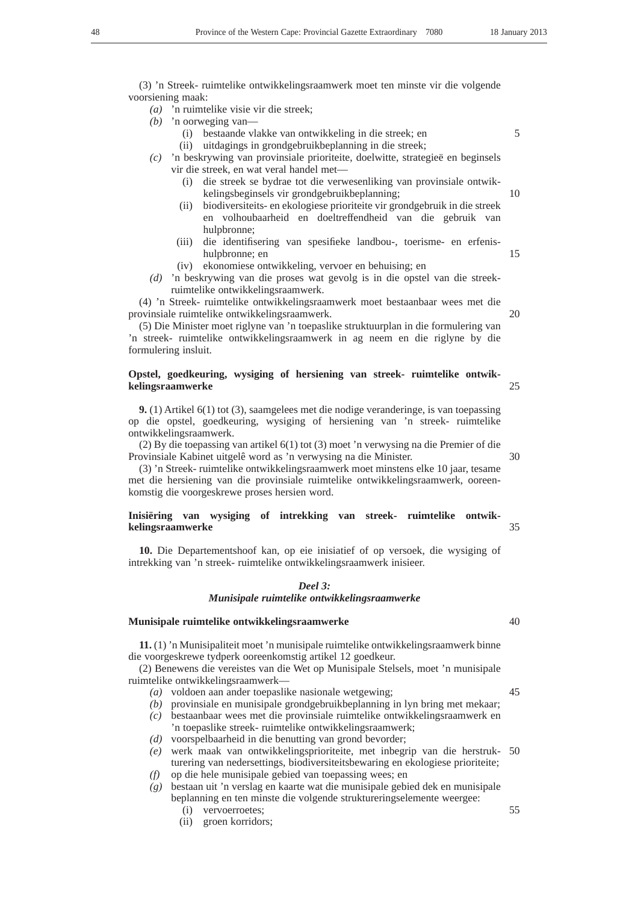(3) 'n Streek- ruimtelike ontwikkelingsraamwerk moet ten minste vir die volgende voorsiening maak:

- *(a)* 'n ruimtelike visie vir die streek;
- *(b)* 'n oorweging van—
	- (i) bestaande vlakke van ontwikkeling in die streek; en
	- (ii) uitdagings in grondgebruikbeplanning in die streek;
- *(c)* 'n beskrywing van provinsiale prioriteite, doelwitte, strategieë en beginsels vir die streek, en wat veral handel met—
	- (i) die streek se bydrae tot die verwesenliking van provinsiale ontwikkelingsbeginsels vir grondgebruikbeplanning;
	- (ii) biodiversiteits- en ekologiese prioriteite vir grondgebruik in die streek en volhoubaarheid en doeltreffendheid van die gebruik van hulpbronne;
	- (iii) die identifisering van spesifieke landbou-, toerisme- en erfenishulpbronne; en
	- (iv) ekonomiese ontwikkeling, vervoer en behuising; en
- *(d)* 'n beskrywing van die proses wat gevolg is in die opstel van die streekruimtelike ontwikkelingsraamwerk.

(4) 'n Streek- ruimtelike ontwikkelingsraamwerk moet bestaanbaar wees met die provinsiale ruimtelike ontwikkelingsraamwerk. 20

(5) Die Minister moet riglyne van 'n toepaslike struktuurplan in die formulering van 'n streek- ruimtelike ontwikkelingsraamwerk in ag neem en die riglyne by die formulering insluit.

# **Opstel, goedkeuring, wysiging of hersiening van streek- ruimtelike ontwikkelingsraamwerke**

25

30

40

45

**9.** (1) Artikel 6(1) tot (3), saamgelees met die nodige veranderinge, is van toepassing op die opstel, goedkeuring, wysiging of hersiening van 'n streek- ruimtelike ontwikkelingsraamwerk.

(2) By die toepassing van artikel 6(1) tot (3) moet 'n verwysing na die Premier of die Provinsiale Kabinet uitgelê word as 'n verwysing na die Minister.

(3) 'n Streek- ruimtelike ontwikkelingsraamwerk moet minstens elke 10 jaar, tesame met die hersiening van die provinsiale ruimtelike ontwikkelingsraamwerk, ooreenkomstig die voorgeskrewe proses hersien word.

#### **Inisiëring van wysiging of intrekking van streek- ruimtelike ontwikkelingsraamwerke** 35

**10.** Die Departementshoof kan, op eie inisiatief of op versoek, die wysiging of intrekking van 'n streek- ruimtelike ontwikkelingsraamwerk inisieer.

#### *Deel 3:*

#### *Munisipale ruimtelike ontwikkelingsraamwerke*

# **Munisipale ruimtelike ontwikkelingsraamwerke**

**11.** (1) 'n Munisipaliteit moet 'n munisipale ruimtelike ontwikkelingsraamwerk binne die voorgeskrewe tydperk ooreenkomstig artikel 12 goedkeur.

(2) Benewens die vereistes van die Wet op Munisipale Stelsels, moet 'n munisipale ruimtelike ontwikkelingsraamwerk—

- *(a)* voldoen aan ander toepaslike nasionale wetgewing;
- *(b)* provinsiale en munisipale grondgebruikbeplanning in lyn bring met mekaar;
- *(c)* bestaanbaar wees met die provinsiale ruimtelike ontwikkelingsraamwerk en 'n toepaslike streek- ruimtelike ontwikkelingsraamwerk;
- *(d)* voorspelbaarheid in die benutting van grond bevorder;
- *(e)* werk maak van ontwikkelingsprioriteite, met inbegrip van die herstruk-50 turering van nedersettings, biodiversiteitsbewaring en ekologiese prioriteite;
- *(f)* op die hele munisipale gebied van toepassing wees; en
- *(g)* bestaan uit 'n verslag en kaarte wat die munisipale gebied dek en munisipale beplanning en ten minste die volgende struktureringselemente weergee:
	- (i) vervoerroetes;
	- (ii) groen korridors;

55

10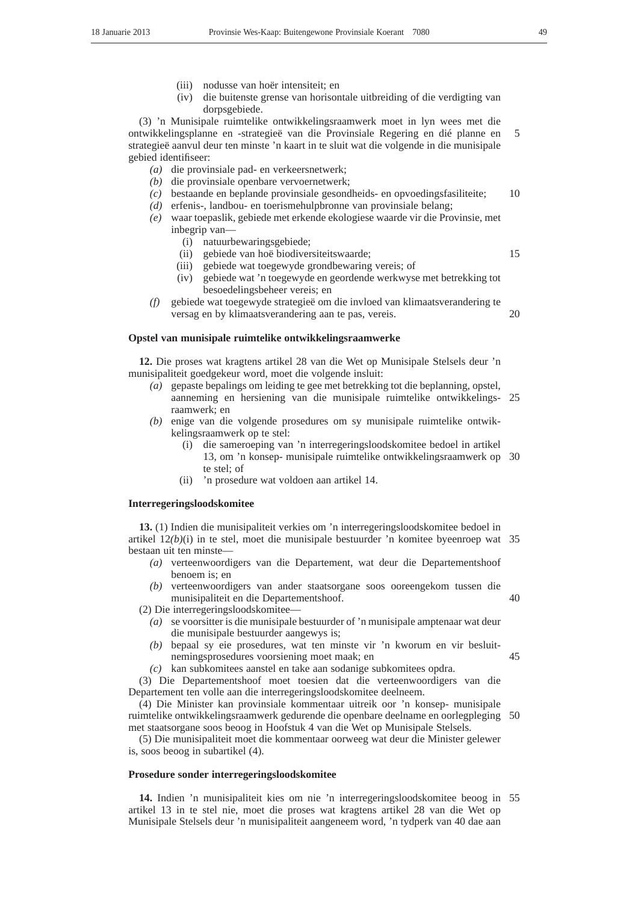- (iii) nodusse van hoër intensiteit; en
- (iv) die buitenste grense van horisontale uitbreiding of die verdigting van dorpsgebiede.

(3) 'n Munisipale ruimtelike ontwikkelingsraamwerk moet in lyn wees met die ontwikkelingsplanne en -strategieë van die Provinsiale Regering en dié planne en strategieë aanvul deur ten minste 'n kaart in te sluit wat die volgende in die munisipale gebied identifiseer: 5

- *(a)* die provinsiale pad- en verkeersnetwerk;
- *(b)* die provinsiale openbare vervoernetwerk;
- *(c)* bestaande en beplande provinsiale gesondheids- en opvoedingsfasiliteite; 10
- *(d)* erfenis-, landbou- en toerismehulpbronne van provinsiale belang;
- *(e)* waar toepaslik, gebiede met erkende ekologiese waarde vir die Provinsie, met inbegrip van—
	- (i) natuurbewaringsgebiede;
	- (ii) gebiede van hoë biodiversiteitswaarde; 15
	- (iii) gebiede wat toegewyde grondbewaring vereis; of
	- (iv) gebiede wat 'n toegewyde en geordende werkwyse met betrekking tot besoedelingsbeheer vereis; en
- *(f)* gebiede wat toegewyde strategieë om die invloed van klimaatsverandering te versag en by klimaatsverandering aan te pas, vereis. 20

# **Opstel van munisipale ruimtelike ontwikkelingsraamwerke**

**12.** Die proses wat kragtens artikel 28 van die Wet op Munisipale Stelsels deur 'n munisipaliteit goedgekeur word, moet die volgende insluit:

- *(a)* gepaste bepalings om leiding te gee met betrekking tot die beplanning, opstel, aanneming en hersiening van die munisipale ruimtelike ontwikkelings-25 raamwerk; en
- *(b)* enige van die volgende prosedures om sy munisipale ruimtelike ontwikkelingsraamwerk op te stel:
	- (i) die sameroeping van 'n interregeringsloodskomitee bedoel in artikel 13, om 'n konsep- munisipale ruimtelike ontwikkelingsraamwerk op 30 te stel; of
	- (ii) 'n prosedure wat voldoen aan artikel 14.

## **Interregeringsloodskomitee**

**13.** (1) Indien die munisipaliteit verkies om 'n interregeringsloodskomitee bedoel in artikel 12*(b)*(i) in te stel, moet die munisipale bestuurder 'n komitee byeenroep wat 35 bestaan uit ten minste—

- *(a)* verteenwoordigers van die Departement, wat deur die Departementshoof benoem is; en
- *(b)* verteenwoordigers van ander staatsorgane soos ooreengekom tussen die munisipaliteit en die Departementshoof. 40

(2) Die interregeringsloodskomitee—

- *(a)* se voorsitter is die munisipale bestuurder of 'n munisipale amptenaar wat deur die munisipale bestuurder aangewys is;
- *(b)* bepaal sy eie prosedures, wat ten minste vir 'n kworum en vir besluitnemingsprosedures voorsiening moet maak; en 45
- *(c)* kan subkomitees aanstel en take aan sodanige subkomitees opdra.

(3) Die Departementshoof moet toesien dat die verteenwoordigers van die Departement ten volle aan die interregeringsloodskomitee deelneem.

(4) Die Minister kan provinsiale kommentaar uitreik oor 'n konsep- munisipale ruimtelike ontwikkelingsraamwerk gedurende die openbare deelname en oorlegpleging 50 met staatsorgane soos beoog in Hoofstuk 4 van die Wet op Munisipale Stelsels.

(5) Die munisipaliteit moet die kommentaar oorweeg wat deur die Minister gelewer is, soos beoog in subartikel (4).

#### **Prosedure sonder interregeringsloodskomitee**

**14.** Indien 'n munisipaliteit kies om nie 'n interregeringsloodskomitee beoog in 55artikel 13 in te stel nie, moet die proses wat kragtens artikel 28 van die Wet op Munisipale Stelsels deur 'n munisipaliteit aangeneem word, 'n tydperk van 40 dae aan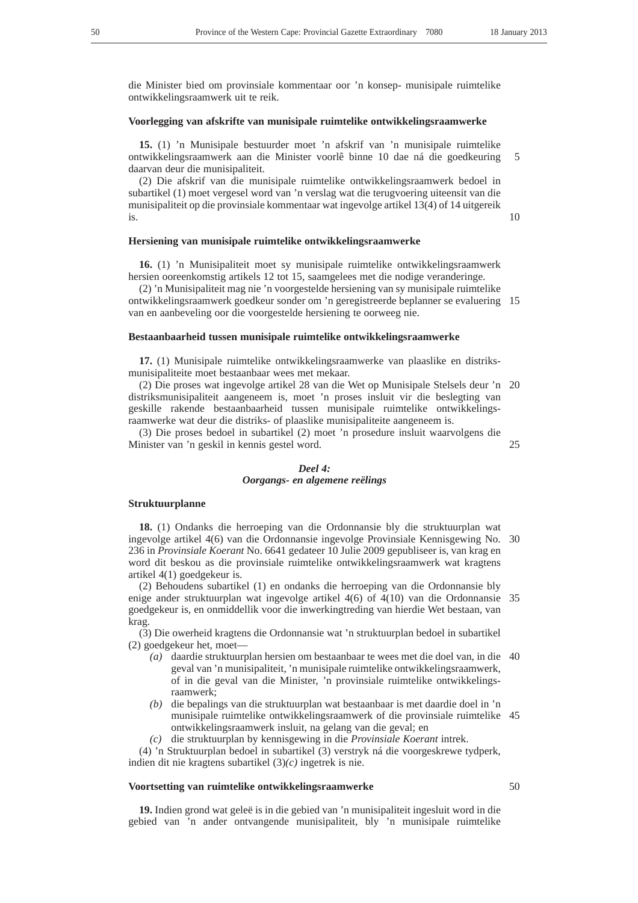10

die Minister bied om provinsiale kommentaar oor 'n konsep- munisipale ruimtelike ontwikkelingsraamwerk uit te reik.

### **Voorlegging van afskrifte van munisipale ruimtelike ontwikkelingsraamwerke**

**15.** (1) 'n Munisipale bestuurder moet 'n afskrif van 'n munisipale ruimtelike ontwikkelingsraamwerk aan die Minister voorlê binne 10 dae ná die goedkeuring daarvan deur die munisipaliteit. 5

(2) Die afskrif van die munisipale ruimtelike ontwikkelingsraamwerk bedoel in subartikel (1) moet vergesel word van 'n verslag wat die terugvoering uiteensit van die munisipaliteit op die provinsiale kommentaar wat ingevolge artikel 13(4) of 14 uitgereik is.

#### **Hersiening van munisipale ruimtelike ontwikkelingsraamwerke**

**16.** (1) 'n Munisipaliteit moet sy munisipale ruimtelike ontwikkelingsraamwerk hersien ooreenkomstig artikels 12 tot 15, saamgelees met die nodige veranderinge.

(2) 'n Munisipaliteit mag nie 'n voorgestelde hersiening van sy munisipale ruimtelike ontwikkelingsraamwerk goedkeur sonder om 'n geregistreerde beplanner se evaluering 15 van en aanbeveling oor die voorgestelde hersiening te oorweeg nie.

### **Bestaanbaarheid tussen munisipale ruimtelike ontwikkelingsraamwerke**

**17.** (1) Munisipale ruimtelike ontwikkelingsraamwerke van plaaslike en distriksmunisipaliteite moet bestaanbaar wees met mekaar.

(2) Die proses wat ingevolge artikel 28 van die Wet op Munisipale Stelsels deur 'n distriksmunisipaliteit aangeneem is, moet 'n proses insluit vir die beslegting van geskille rakende bestaanbaarheid tussen munisipale ruimtelike ontwikkelingsraamwerke wat deur die distriks- of plaaslike munisipaliteite aangeneem is. 20

(3) Die proses bedoel in subartikel (2) moet 'n prosedure insluit waarvolgens die Minister van 'n geskil in kennis gestel word.

25

# *Deel 4: Oorgangs- en algemene reëlings*

#### **Struktuurplanne**

**18.** (1) Ondanks die herroeping van die Ordonnansie bly die struktuurplan wat ingevolge artikel 4(6) van die Ordonnansie ingevolge Provinsiale Kennisgewing No. 236 in *Provinsiale Koerant* No. 6641 gedateer 10 Julie 2009 gepubliseer is, van krag en word dit beskou as die provinsiale ruimtelike ontwikkelingsraamwerk wat kragtens artikel 4(1) goedgekeur is. 30

(2) Behoudens subartikel (1) en ondanks die herroeping van die Ordonnansie bly enige ander struktuurplan wat ingevolge artikel 4(6) of 4(10) van die Ordonnansie 35 goedgekeur is, en onmiddellik voor die inwerkingtreding van hierdie Wet bestaan, van krag.

(3) Die owerheid kragtens die Ordonnansie wat 'n struktuurplan bedoel in subartikel (2) goedgekeur het, moet—

- *(a)* daardie struktuurplan hersien om bestaanbaar te wees met die doel van, in die 40 geval van 'n munisipaliteit, 'n munisipale ruimtelike ontwikkelingsraamwerk, of in die geval van die Minister, 'n provinsiale ruimtelike ontwikkelingsraamwerk;
- *(b)* die bepalings van die struktuurplan wat bestaanbaar is met daardie doel in 'n munisipale ruimtelike ontwikkelingsraamwerk of die provinsiale ruimtelike 45 ontwikkelingsraamwerk insluit, na gelang van die geval; en
- *(c)* die struktuurplan by kennisgewing in die *Provinsiale Koerant* intrek.

(4) 'n Struktuurplan bedoel in subartikel (3) verstryk ná die voorgeskrewe tydperk, indien dit nie kragtens subartikel (3)*(c)* ingetrek is nie.

#### **Voortsetting van ruimtelike ontwikkelingsraamwerke**

50

**19.** Indien grond wat geleë is in die gebied van 'n munisipaliteit ingesluit word in die gebied van 'n ander ontvangende munisipaliteit, bly 'n munisipale ruimtelike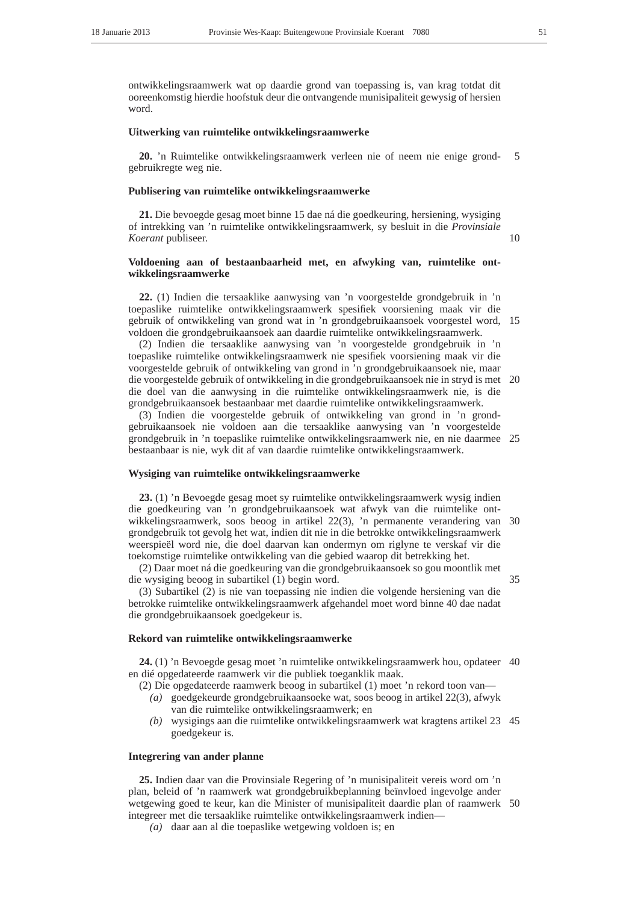ontwikkelingsraamwerk wat op daardie grond van toepassing is, van krag totdat dit ooreenkomstig hierdie hoofstuk deur die ontvangende munisipaliteit gewysig of hersien word.

#### **Uitwerking van ruimtelike ontwikkelingsraamwerke**

**20.** 'n Ruimtelike ontwikkelingsraamwerk verleen nie of neem nie enige grondgebruikregte weg nie. 5

#### **Publisering van ruimtelike ontwikkelingsraamwerke**

**21.** Die bevoegde gesag moet binne 15 dae ná die goedkeuring, hersiening, wysiging of intrekking van 'n ruimtelike ontwikkelingsraamwerk, sy besluit in die *Provinsiale Koerant* publiseer.

10

# **Voldoening aan of bestaanbaarheid met, en afwyking van, ruimtelike ontwikkelingsraamwerke**

**22.** (1) Indien die tersaaklike aanwysing van 'n voorgestelde grondgebruik in 'n toepaslike ruimtelike ontwikkelingsraamwerk spesifiek voorsiening maak vir die gebruik of ontwikkeling van grond wat in 'n grondgebruikaansoek voorgestel word, 15 voldoen die grondgebruikaansoek aan daardie ruimtelike ontwikkelingsraamwerk.

(2) Indien die tersaaklike aanwysing van 'n voorgestelde grondgebruik in 'n toepaslike ruimtelike ontwikkelingsraamwerk nie spesifiek voorsiening maak vir die voorgestelde gebruik of ontwikkeling van grond in 'n grondgebruikaansoek nie, maar die voorgestelde gebruik of ontwikkeling in die grondgebruikaansoek nie in stryd is met 20 die doel van die aanwysing in die ruimtelike ontwikkelingsraamwerk nie, is die grondgebruikaansoek bestaanbaar met daardie ruimtelike ontwikkelingsraamwerk.

(3) Indien die voorgestelde gebruik of ontwikkeling van grond in 'n grondgebruikaansoek nie voldoen aan die tersaaklike aanwysing van 'n voorgestelde grondgebruik in 'n toepaslike ruimtelike ontwikkelingsraamwerk nie, en nie daarmee 25 bestaanbaar is nie, wyk dit af van daardie ruimtelike ontwikkelingsraamwerk.

# **Wysiging van ruimtelike ontwikkelingsraamwerke**

**23.** (1) 'n Bevoegde gesag moet sy ruimtelike ontwikkelingsraamwerk wysig indien die goedkeuring van 'n grondgebruikaansoek wat afwyk van die ruimtelike ontwikkelingsraamwerk, soos beoog in artikel 22(3), 'n permanente verandering van 30 grondgebruik tot gevolg het wat, indien dit nie in die betrokke ontwikkelingsraamwerk weerspieël word nie, die doel daarvan kan ondermyn om riglyne te verskaf vir die toekomstige ruimtelike ontwikkeling van die gebied waarop dit betrekking het.

(2) Daar moet ná die goedkeuring van die grondgebruikaansoek so gou moontlik met die wysiging beoog in subartikel (1) begin word.

35

(3) Subartikel (2) is nie van toepassing nie indien die volgende hersiening van die betrokke ruimtelike ontwikkelingsraamwerk afgehandel moet word binne 40 dae nadat die grondgebruikaansoek goedgekeur is.

# **Rekord van ruimtelike ontwikkelingsraamwerke**

**24.** (1) 'n Bevoegde gesag moet 'n ruimtelike ontwikkelingsraamwerk hou, opdateer 40 en dié opgedateerde raamwerk vir die publiek toeganklik maak.

(2) Die opgedateerde raamwerk beoog in subartikel (1) moet 'n rekord toon van—

- *(a)* goedgekeurde grondgebruikaansoeke wat, soos beoog in artikel 22(3), afwyk van die ruimtelike ontwikkelingsraamwerk; en
- *(b)* wysigings aan die ruimtelike ontwikkelingsraamwerk wat kragtens artikel 23 45 goedgekeur is.

# **Integrering van ander planne**

**25.** Indien daar van die Provinsiale Regering of 'n munisipaliteit vereis word om 'n plan, beleid of 'n raamwerk wat grondgebruikbeplanning beïnvloed ingevolge ander wetgewing goed te keur, kan die Minister of munisipaliteit daardie plan of raamwerk 50integreer met die tersaaklike ruimtelike ontwikkelingsraamwerk indien—

*(a)* daar aan al die toepaslike wetgewing voldoen is; en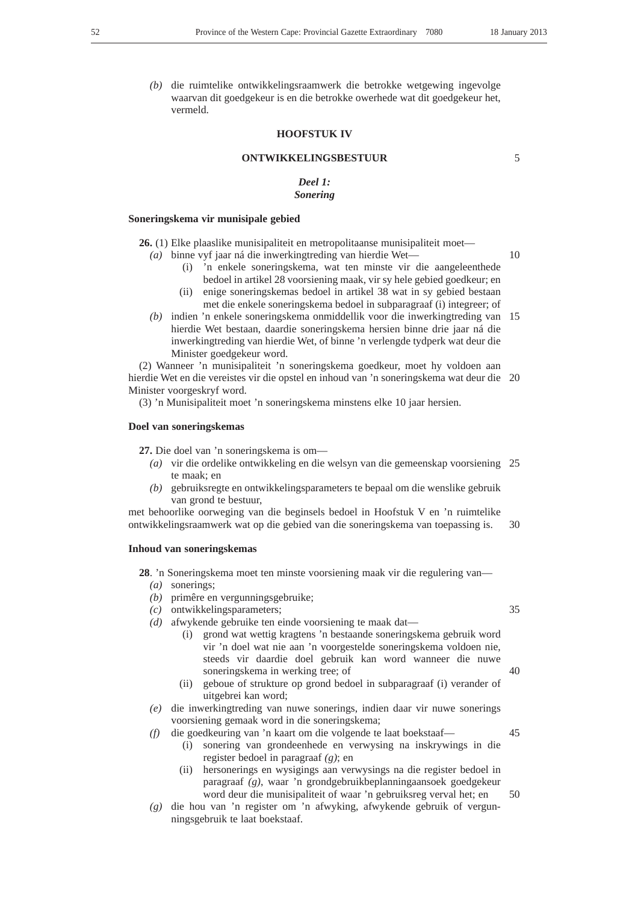*(b)* die ruimtelike ontwikkelingsraamwerk die betrokke wetgewing ingevolge waarvan dit goedgekeur is en die betrokke owerhede wat dit goedgekeur het, vermeld.

# **HOOFSTUK IV**

# **ONTWIKKELINGSBESTUUR**

# *Deel 1: Sonering*

# **Soneringskema vir munisipale gebied**

**26.** (1) Elke plaaslike munisipaliteit en metropolitaanse munisipaliteit moet—

- *(a)* binne vyf jaar ná die inwerkingtreding van hierdie Wet—
	- (i) 'n enkele soneringskema, wat ten minste vir die aangeleenthede bedoel in artikel 28 voorsiening maak, vir sy hele gebied goedkeur; en (ii) enige soneringskemas bedoel in artikel 38 wat in sy gebied bestaan
	- met die enkele soneringskema bedoel in subparagraaf (i) integreer; of
- *(b)* indien 'n enkele soneringskema onmiddellik voor die inwerkingtreding van hierdie Wet bestaan, daardie soneringskema hersien binne drie jaar ná die inwerkingtreding van hierdie Wet, of binne 'n verlengde tydperk wat deur die Minister goedgekeur word. 15

(2) Wanneer 'n munisipaliteit 'n soneringskema goedkeur, moet hy voldoen aan hierdie Wet en die vereistes vir die opstel en inhoud van 'n soneringskema wat deur die 20 Minister voorgeskryf word.

(3) 'n Munisipaliteit moet 'n soneringskema minstens elke 10 jaar hersien.

#### **Doel van soneringskemas**

**27.** Die doel van 'n soneringskema is om—

- *(a)* vir die ordelike ontwikkeling en die welsyn van die gemeenskap voorsiening 25 te maak; en
- *(b)* gebruiksregte en ontwikkelingsparameters te bepaal om die wenslike gebruik van grond te bestuur,

met behoorlike oorweging van die beginsels bedoel in Hoofstuk V en 'n ruimtelike ontwikkelingsraamwerk wat op die gebied van die soneringskema van toepassing is. 30

## **Inhoud van soneringskemas**

**28**. 'n Soneringskema moet ten minste voorsiening maak vir die regulering van—

- *(a)* sonerings;
- *(b)* primêre en vergunningsgebruike;
- *(c)* ontwikkelingsparameters;
- *(d)* afwykende gebruike ten einde voorsiening te maak dat—
	- (i) grond wat wettig kragtens 'n bestaande soneringskema gebruik word vir 'n doel wat nie aan 'n voorgestelde soneringskema voldoen nie, steeds vir daardie doel gebruik kan word wanneer die nuwe soneringskema in werking tree; of
	- (ii) geboue of strukture op grond bedoel in subparagraaf (i) verander of uitgebrei kan word;
- *(e)* die inwerkingtreding van nuwe sonerings, indien daar vir nuwe sonerings voorsiening gemaak word in die soneringskema;
- *(f)* die goedkeuring van 'n kaart om die volgende te laat boekstaaf— (i) sonering van grondeenhede en verwysing na inskrywings in die
	- register bedoel in paragraaf *(g)*; en (ii) hersonerings en wysigings aan verwysings na die register bedoel in paragraaf *(g)*, waar 'n grondgebruikbeplanningaansoek goedgekeur word deur die munisipaliteit of waar 'n gebruiksreg verval het; en
- *(g)* die hou van 'n register om 'n afwyking, afwykende gebruik of vergunningsgebruik te laat boekstaaf.

5

10

35

40

45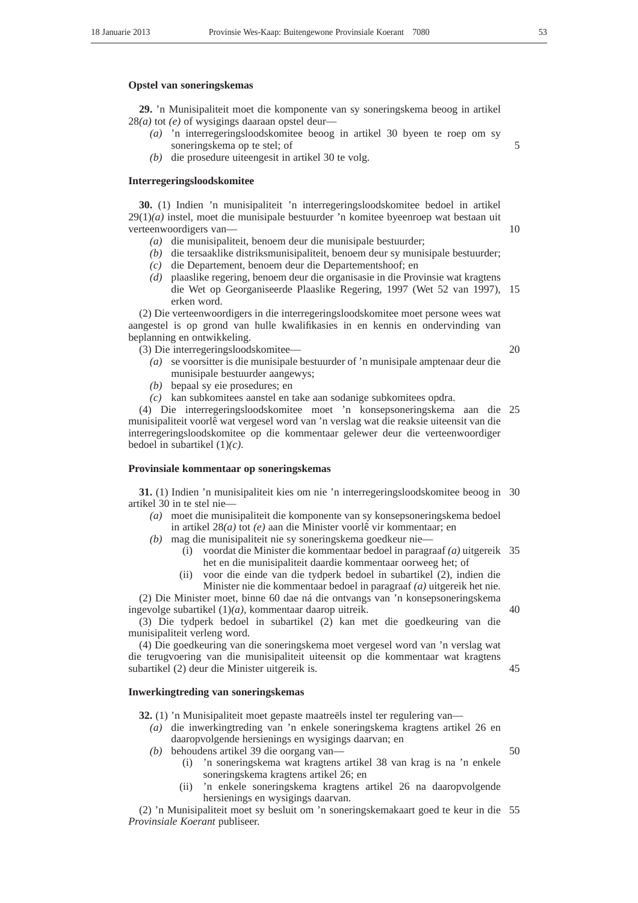#### **Opstel van soneringskemas**

**29.** 'n Munisipaliteit moet die komponente van sy soneringskema beoog in artikel 28*(a)* tot *(e)* of wysigings daaraan opstel deur—

- *(a)* 'n interregeringsloodskomitee beoog in artikel 30 byeen te roep om sy soneringskema op te stel; of
- *(b)* die prosedure uiteengesit in artikel 30 te volg.

#### **Interregeringsloodskomitee**

**30.** (1) Indien 'n munisipaliteit 'n interregeringsloodskomitee bedoel in artikel 29(1)*(a)* instel, moet die munisipale bestuurder 'n komitee byeenroep wat bestaan uit verteenwoordigers van—

- *(a)* die munisipaliteit, benoem deur die munisipale bestuurder;
- *(b)* die tersaaklike distriksmunisipaliteit, benoem deur sy munisipale bestuurder;
- *(c)* die Departement, benoem deur die Departementshoof; en
- *(d)* plaaslike regering, benoem deur die organisasie in die Provinsie wat kragtens die Wet op Georganiseerde Plaaslike Regering, 1997 (Wet 52 van 1997), 15 erken word.

(2) Die verteenwoordigers in die interregeringsloodskomitee moet persone wees wat aangestel is op grond van hulle kwalifikasies in en kennis en ondervinding van beplanning en ontwikkeling.

(3) Die interregeringsloodskomitee—

- *(a)* se voorsitter is die munisipale bestuurder of 'n munisipale amptenaar deur die munisipale bestuurder aangewys;
- *(b)* bepaal sy eie prosedures; en
- *(c)* kan subkomitees aanstel en take aan sodanige subkomitees opdra.

(4) Die interregeringsloodskomitee moet 'n konsepsoneringskema aan die 25 munisipaliteit voorlê wat vergesel word van 'n verslag wat die reaksie uiteensit van die interregeringsloodskomitee op die kommentaar gelewer deur die verteenwoordiger bedoel in subartikel (1)*(c)*.

#### **Provinsiale kommentaar op soneringskemas**

**31.** (1) Indien 'n munisipaliteit kies om nie 'n interregeringsloodskomitee beoog in 30 artikel 30 in te stel nie—

- *(a)* moet die munisipaliteit die komponente van sy konsepsoneringskema bedoel in artikel 28*(a)* tot *(e)* aan die Minister voorlê vir kommentaar; en
- *(b)* mag die munisipaliteit nie sy soneringskema goedkeur nie—
	- (i) voordat die Minister die kommentaar bedoel in paragraaf *(a)* uitgereik 35 het en die munisipaliteit daardie kommentaar oorweeg het; of
	- (ii) voor die einde van die tydperk bedoel in subartikel (2), indien die Minister nie die kommentaar bedoel in paragraaf *(a)* uitgereik het nie.

(2) Die Minister moet, binne 60 dae ná die ontvangs van 'n konsepsoneringskema ingevolge subartikel (1)*(a)*, kommentaar daarop uitreik. 40

(3) Die tydperk bedoel in subartikel (2) kan met die goedkeuring van die munisipaliteit verleng word.

(4) Die goedkeuring van die soneringskema moet vergesel word van 'n verslag wat die terugvoering van die munisipaliteit uiteensit op die kommentaar wat kragtens subartikel (2) deur die Minister uitgereik is.

## **Inwerkingtreding van soneringskemas**

**32.** (1) 'n Munisipaliteit moet gepaste maatreëls instel ter regulering van—

- *(a)* die inwerkingtreding van 'n enkele soneringskema kragtens artikel 26 en daaropvolgende hersienings en wysigings daarvan; en
- *(b)* behoudens artikel 39 die oorgang van—
	- (i) 'n soneringskema wat kragtens artikel 38 van krag is na 'n enkele soneringskema kragtens artikel 26; en
	- (ii) 'n enkele soneringskema kragtens artikel 26 na daaropvolgende hersienings en wysigings daarvan.

(2) 'n Munisipaliteit moet sy besluit om 'n soneringskemakaart goed te keur in die 55*Provinsiale Koerant* publiseer.

5

10

20

45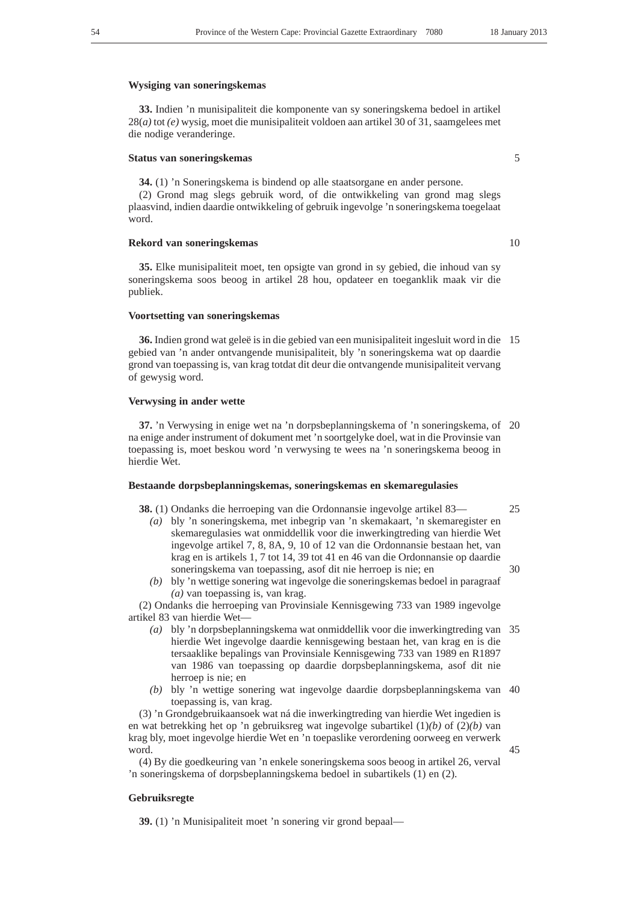#### **Wysiging van soneringskemas**

**33.** Indien 'n munisipaliteit die komponente van sy soneringskema bedoel in artikel 28(*a)* tot *(e)* wysig, moet die munisipaliteit voldoen aan artikel 30 of 31, saamgelees met die nodige veranderinge.

#### **Status van soneringskemas**

**34.** (1) 'n Soneringskema is bindend op alle staatsorgane en ander persone.

(2) Grond mag slegs gebruik word, of die ontwikkeling van grond mag slegs plaasvind, indien daardie ontwikkeling of gebruik ingevolge 'n soneringskema toegelaat word.

# **Rekord van soneringskemas**

**35.** Elke munisipaliteit moet, ten opsigte van grond in sy gebied, die inhoud van sy soneringskema soos beoog in artikel 28 hou, opdateer en toeganklik maak vir die publiek.

#### **Voortsetting van soneringskemas**

**36.** Indien grond wat geleë is in die gebied van een munisipaliteit ingesluit word in die 15 gebied van 'n ander ontvangende munisipaliteit, bly 'n soneringskema wat op daardie grond van toepassing is, van krag totdat dit deur die ontvangende munisipaliteit vervang of gewysig word.

#### **Verwysing in ander wette**

**37.** 'n Verwysing in enige wet na 'n dorpsbeplanningskema of 'n soneringskema, of 20 na enige ander instrument of dokument met 'n soortgelyke doel, wat in die Provinsie van toepassing is, moet beskou word 'n verwysing te wees na 'n soneringskema beoog in hierdie Wet.

# **Bestaande dorpsbeplanningskemas, soneringskemas en skemaregulasies**

**38.** (1) Ondanks die herroeping van die Ordonnansie ingevolge artikel 83—

- *(a)* bly 'n soneringskema, met inbegrip van 'n skemakaart, 'n skemaregister en skemaregulasies wat onmiddellik voor die inwerkingtreding van hierdie Wet ingevolge artikel 7, 8, 8A, 9, 10 of 12 van die Ordonnansie bestaan het, van krag en is artikels 1, 7 tot 14, 39 tot 41 en 46 van die Ordonnansie op daardie soneringskema van toepassing, asof dit nie herroep is nie; en
- *(b)* bly 'n wettige sonering wat ingevolge die soneringskemas bedoel in paragraaf *(a)* van toepassing is, van krag.

(2) Ondanks die herroeping van Provinsiale Kennisgewing 733 van 1989 ingevolge artikel 83 van hierdie Wet—

- *(a)* bly 'n dorpsbeplanningskema wat onmiddellik voor die inwerkingtreding van 35 hierdie Wet ingevolge daardie kennisgewing bestaan het, van krag en is die tersaaklike bepalings van Provinsiale Kennisgewing 733 van 1989 en R1897 van 1986 van toepassing op daardie dorpsbeplanningskema, asof dit nie herroep is nie; en
- *(b)* bly 'n wettige sonering wat ingevolge daardie dorpsbeplanningskema van 40 toepassing is, van krag.

(3) 'n Grondgebruikaansoek wat ná die inwerkingtreding van hierdie Wet ingedien is en wat betrekking het op 'n gebruiksreg wat ingevolge subartikel (1)*(b)* of (2)*(b)* van krag bly, moet ingevolge hierdie Wet en 'n toepaslike verordening oorweeg en verwerk word.

(4) By die goedkeuring van 'n enkele soneringskema soos beoog in artikel 26, verval 'n soneringskema of dorpsbeplanningskema bedoel in subartikels (1) en (2).

## **Gebruiksregte**

**39.** (1) 'n Munisipaliteit moet 'n sonering vir grond bepaal—

10

45

25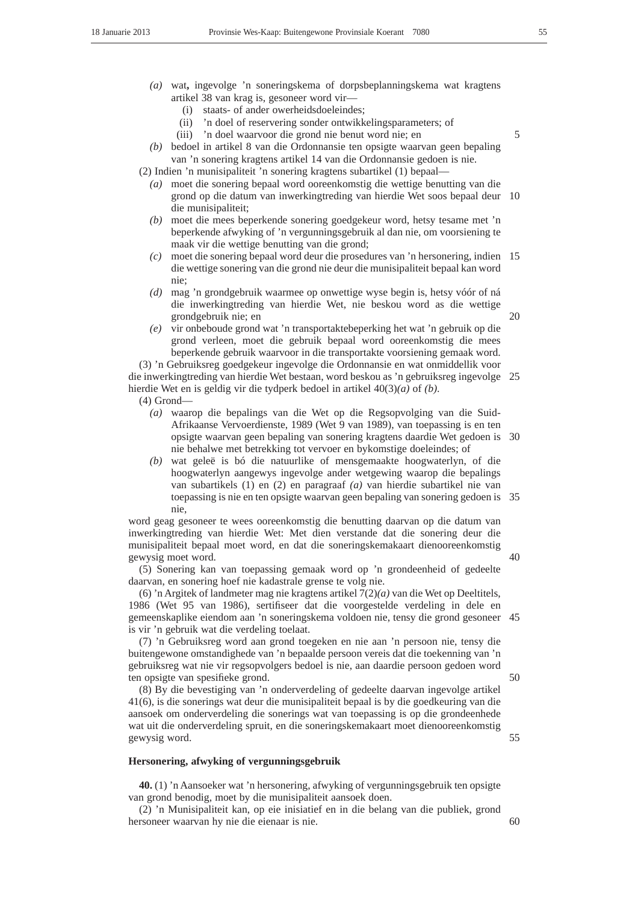- *(a)* wat**,** ingevolge 'n soneringskema of dorpsbeplanningskema wat kragtens artikel 38 van krag is, gesoneer word vir—
	- (i) staats- of ander owerheidsdoeleindes;
	- (ii) 'n doel of reservering sonder ontwikkelingsparameters; of
	- (iii) 'n doel waarvoor die grond nie benut word nie; en

5

20

*(b)* bedoel in artikel 8 van die Ordonnansie ten opsigte waarvan geen bepaling van 'n sonering kragtens artikel 14 van die Ordonnansie gedoen is nie.

(2) Indien 'n munisipaliteit 'n sonering kragtens subartikel (1) bepaal—

- *(a)* moet die sonering bepaal word ooreenkomstig die wettige benutting van die grond op die datum van inwerkingtreding van hierdie Wet soos bepaal deur 10 die munisipaliteit;
- *(b)* moet die mees beperkende sonering goedgekeur word, hetsy tesame met 'n beperkende afwyking of 'n vergunningsgebruik al dan nie, om voorsiening te maak vir die wettige benutting van die grond;
- *(c)* moet die sonering bepaal word deur die prosedures van 'n hersonering, indien 15 die wettige sonering van die grond nie deur die munisipaliteit bepaal kan word nie;
- *(d)* mag 'n grondgebruik waarmee op onwettige wyse begin is, hetsy vóór of ná die inwerkingtreding van hierdie Wet, nie beskou word as die wettige grondgebruik nie; en
- *(e)* vir onbeboude grond wat 'n transportaktebeperking het wat 'n gebruik op die grond verleen, moet die gebruik bepaal word ooreenkomstig die mees beperkende gebruik waarvoor in die transportakte voorsiening gemaak word.

(3) 'n Gebruiksreg goedgekeur ingevolge die Ordonnansie en wat onmiddellik voor die inwerkingtreding van hierdie Wet bestaan, word beskou as 'n gebruiksreg ingevolge 25 hierdie Wet en is geldig vir die tydperk bedoel in artikel 40(3)*(a)* of *(b)*.

(4) Grond—

- *(a)* waarop die bepalings van die Wet op die Regsopvolging van die Suid-Afrikaanse Vervoerdienste, 1989 (Wet 9 van 1989), van toepassing is en ten opsigte waarvan geen bepaling van sonering kragtens daardie Wet gedoen is 30 nie behalwe met betrekking tot vervoer en bykomstige doeleindes; of
- *(b)* wat geleë is bó die natuurlike of mensgemaakte hoogwaterlyn, of die hoogwaterlyn aangewys ingevolge ander wetgewing waarop die bepalings van subartikels (1) en (2) en paragraaf *(a)* van hierdie subartikel nie van toepassing is nie en ten opsigte waarvan geen bepaling van sonering gedoen is 35 nie,

word geag gesoneer te wees ooreenkomstig die benutting daarvan op die datum van inwerkingtreding van hierdie Wet: Met dien verstande dat die sonering deur die munisipaliteit bepaal moet word, en dat die soneringskemakaart dienooreenkomstig gewysig moet word.

(5) Sonering kan van toepassing gemaak word op 'n grondeenheid of gedeelte daarvan, en sonering hoef nie kadastrale grense te volg nie.

(6) 'n Argitek of landmeter mag nie kragtens artikel 7(2)*(a)* van die Wet op Deeltitels, 1986 (Wet 95 van 1986), sertifiseer dat die voorgestelde verdeling in dele en gemeenskaplike eiendom aan 'n soneringskema voldoen nie, tensy die grond gesoneer 45 is vir 'n gebruik wat die verdeling toelaat.

(7) 'n Gebruiksreg word aan grond toegeken en nie aan 'n persoon nie, tensy die buitengewone omstandighede van 'n bepaalde persoon vereis dat die toekenning van 'n gebruiksreg wat nie vir regsopvolgers bedoel is nie, aan daardie persoon gedoen word ten opsigte van spesifieke grond.

(8) By die bevestiging van 'n onderverdeling of gedeelte daarvan ingevolge artikel 41(6), is die sonerings wat deur die munisipaliteit bepaal is by die goedkeuring van die aansoek om onderverdeling die sonerings wat van toepassing is op die grondeenhede wat uit die onderverdeling spruit, en die soneringskemakaart moet dienooreenkomstig gewysig word.

## **Hersonering, afwyking of vergunningsgebruik**

**40.** (1) 'n Aansoeker wat 'n hersonering, afwyking of vergunningsgebruik ten opsigte van grond benodig, moet by die munisipaliteit aansoek doen.

(2) 'n Munisipaliteit kan, op eie inisiatief en in die belang van die publiek, grond hersoneer waarvan hy nie die eienaar is nie.

60

40

50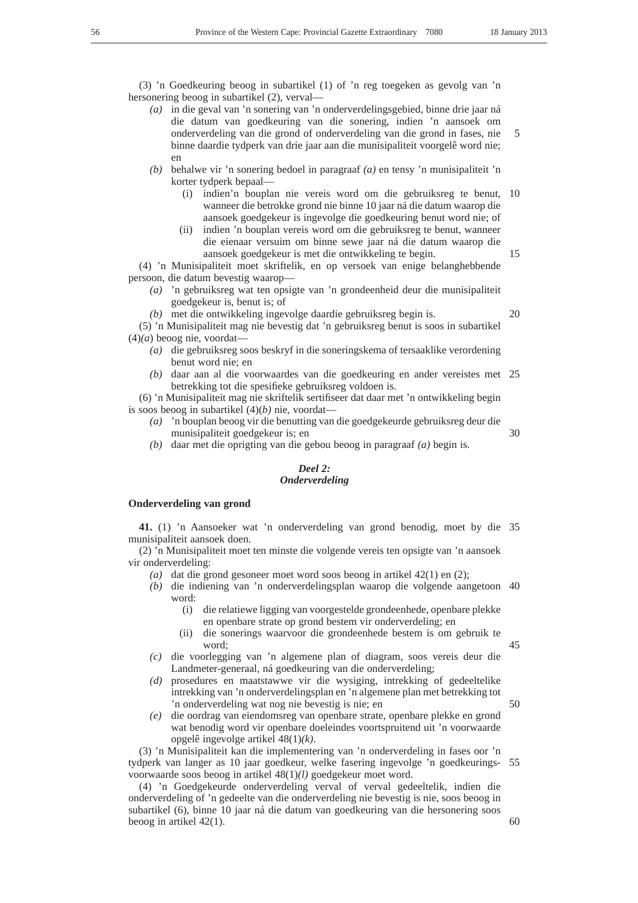(3) 'n Goedkeuring beoog in subartikel (1) of 'n reg toegeken as gevolg van 'n hersonering beoog in subartikel (2), verval—

- *(a)* in die geval van 'n sonering van 'n onderverdelingsgebied, binne drie jaar ná die datum van goedkeuring van die sonering, indien 'n aansoek om onderverdeling van die grond of onderverdeling van die grond in fases, nie binne daardie tydperk van drie jaar aan die munisipaliteit voorgelê word nie; en 5
- *(b)* behalwe vir 'n sonering bedoel in paragraaf *(a)* en tensy 'n munisipaliteit 'n korter tydperk bepaal—
	- (i) indien'n bouplan nie vereis word om die gebruiksreg te benut, wanneer die betrokke grond nie binne 10 jaar ná die datum waarop die aansoek goedgekeur is ingevolge die goedkeuring benut word nie; of 10
	- (ii) indien 'n bouplan vereis word om die gebruiksreg te benut, wanneer die eienaar versuim om binne sewe jaar ná die datum waarop die aansoek goedgekeur is met die ontwikkeling te begin.

(4) 'n Munisipaliteit moet skriftelik, en op versoek van enige belanghebbende persoon, die datum bevestig waarop—

- *(a)* 'n gebruiksreg wat ten opsigte van 'n grondeenheid deur die munisipaliteit goedgekeur is, benut is; of
- *(b)* met die ontwikkeling ingevolge daardie gebruiksreg begin is.

20

30

15

- (5) 'n Munisipaliteit mag nie bevestig dat 'n gebruiksreg benut is soos in subartikel (4)*(a*) beoog nie, voordat—
	- *(a)* die gebruiksreg soos beskryf in die soneringskema of tersaaklike verordening benut word nie; en
	- *(b)* daar aan al die voorwaardes van die goedkeuring en ander vereistes met 25 betrekking tot die spesifieke gebruiksreg voldoen is.

(6) 'n Munisipaliteit mag nie skriftelik sertifiseer dat daar met 'n ontwikkeling begin is soos beoog in subartikel (4)(*b)* nie, voordat—

- *(a)* 'n bouplan beoog vir die benutting van die goedgekeurde gebruiksreg deur die munisipaliteit goedgekeur is; en
- *(b)* daar met die oprigting van die gebou beoog in paragraaf *(a)* begin is.

## *Deel 2: Onderverdeling*

#### **Onderverdeling van grond**

**41.** (1) 'n Aansoeker wat 'n onderverdeling van grond benodig, moet by die 35 munisipaliteit aansoek doen.

(2) 'n Munisipaliteit moet ten minste die volgende vereis ten opsigte van 'n aansoek vir onderverdeling:

- *(a)* dat die grond gesoneer moet word soos beoog in artikel 42(1) en (2);
- *(b)* die indiening van 'n onderverdelingsplan waarop die volgende aangetoon 40 word:
	- (i) die relatiewe ligging van voorgestelde grondeenhede, openbare plekke en openbare strate op grond bestem vir onderverdeling; en
	- (ii) die sonerings waarvoor die grondeenhede bestem is om gebruik te word;
- *(c)* die voorlegging van 'n algemene plan of diagram, soos vereis deur die Landmeter-generaal, ná goedkeuring van die onderverdeling;
- *(d)* prosedures en maatstawwe vir die wysiging, intrekking of gedeeltelike intrekking van 'n onderverdelingsplan en 'n algemene plan met betrekking tot 'n onderverdeling wat nog nie bevestig is nie; en
- *(e)* die oordrag van eiendomsreg van openbare strate, openbare plekke en grond wat benodig word vir openbare doeleindes voortspruitend uit 'n voorwaarde opgelê ingevolge artikel 48(1)*(k)*.

(3) 'n Munisipaliteit kan die implementering van 'n onderverdeling in fases oor 'n tydperk van langer as 10 jaar goedkeur, welke fasering ingevolge 'n goedkeurings-55 voorwaarde soos beoog in artikel 48(1)*(l)* goedgekeur moet word.

(4) 'n Goedgekeurde onderverdeling verval of verval gedeeltelik, indien die onderverdeling of 'n gedeelte van die onderverdeling nie bevestig is nie, soos beoog in subartikel (6), binne 10 jaar ná die datum van goedkeuring van die hersonering soos beoog in artikel 42(1).

45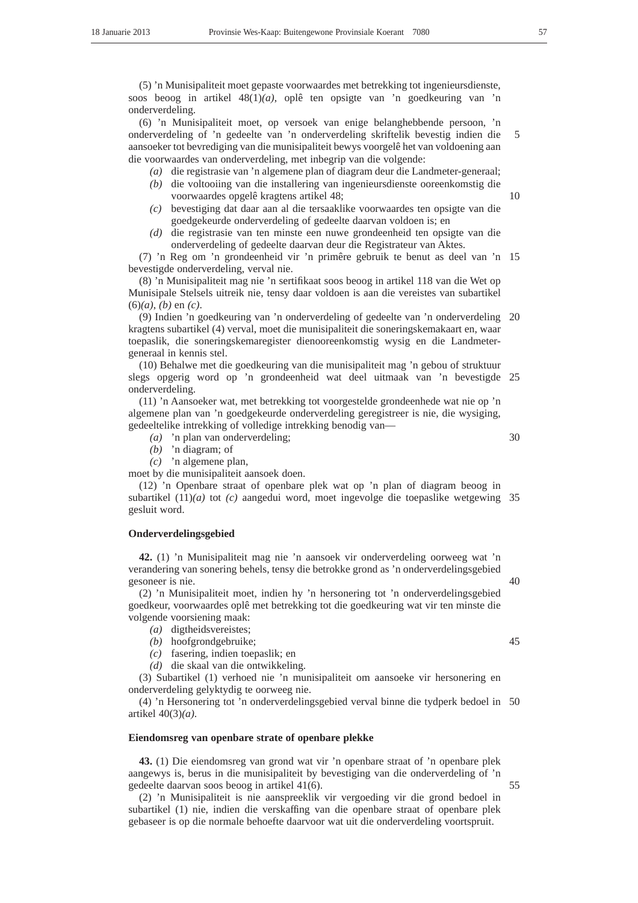(5) 'n Munisipaliteit moet gepaste voorwaardes met betrekking tot ingenieursdienste, soos beoog in artikel 48(1)*(a)*, oplê ten opsigte van 'n goedkeuring van 'n onderverdeling.

(6) 'n Munisipaliteit moet, op versoek van enige belanghebbende persoon, 'n onderverdeling of 'n gedeelte van 'n onderverdeling skriftelik bevestig indien die aansoeker tot bevrediging van die munisipaliteit bewys voorgelê het van voldoening aan die voorwaardes van onderverdeling, met inbegrip van die volgende: 5

- *(a)* die registrasie van 'n algemene plan of diagram deur die Landmeter-generaal;
- *(b)* die voltooiing van die installering van ingenieursdienste ooreenkomstig die voorwaardes opgelê kragtens artikel 48;
- *(c)* bevestiging dat daar aan al die tersaaklike voorwaardes ten opsigte van die goedgekeurde onderverdeling of gedeelte daarvan voldoen is; en
- *(d)* die registrasie van ten minste een nuwe grondeenheid ten opsigte van die onderverdeling of gedeelte daarvan deur die Registrateur van Aktes.

(7) 'n Reg om 'n grondeenheid vir 'n primêre gebruik te benut as deel van 'n 15 bevestigde onderverdeling, verval nie.

(8) 'n Munisipaliteit mag nie 'n sertifikaat soos beoog in artikel 118 van die Wet op Munisipale Stelsels uitreik nie, tensy daar voldoen is aan die vereistes van subartikel (6)*(a)*, *(b)* en *(c)*.

(9) Indien 'n goedkeuring van 'n onderverdeling of gedeelte van 'n onderverdeling 20 kragtens subartikel (4) verval, moet die munisipaliteit die soneringskemakaart en, waar toepaslik, die soneringskemaregister dienooreenkomstig wysig en die Landmetergeneraal in kennis stel.

(10) Behalwe met die goedkeuring van die munisipaliteit mag 'n gebou of struktuur slegs opgerig word op 'n grondeenheid wat deel uitmaak van 'n bevestigde 25 onderverdeling.

(11) 'n Aansoeker wat, met betrekking tot voorgestelde grondeenhede wat nie op 'n algemene plan van 'n goedgekeurde onderverdeling geregistreer is nie, die wysiging, gedeeltelike intrekking of volledige intrekking benodig van—

*(a)* 'n plan van onderverdeling;

*(b)* 'n diagram; of

*(c)* 'n algemene plan,

moet by die munisipaliteit aansoek doen.

(12) 'n Openbare straat of openbare plek wat op 'n plan of diagram beoog in subartikel  $(11)(a)$  tot  $(c)$  aangedui word, moet ingevolge die toepaslike wetgewing 35 gesluit word.

## **Onderverdelingsgebied**

**42.** (1) 'n Munisipaliteit mag nie 'n aansoek vir onderverdeling oorweeg wat 'n verandering van sonering behels, tensy die betrokke grond as 'n onderverdelingsgebied gesoneer is nie.

(2) 'n Munisipaliteit moet, indien hy 'n hersonering tot 'n onderverdelingsgebied goedkeur, voorwaardes oplê met betrekking tot die goedkeuring wat vir ten minste die volgende voorsiening maak:

- *(a)* digtheidsvereistes;
- *(b)* hoofgrondgebruike;
- *(c)* fasering, indien toepaslik; en

*(d)* die skaal van die ontwikkeling.

(3) Subartikel (1) verhoed nie 'n munisipaliteit om aansoeke vir hersonering en onderverdeling gelyktydig te oorweeg nie.

(4) 'n Hersonering tot 'n onderverdelingsgebied verval binne die tydperk bedoel in 50 artikel 40(3)*(a)*.

#### **Eiendomsreg van openbare strate of openbare plekke**

**43.** (1) Die eiendomsreg van grond wat vir 'n openbare straat of 'n openbare plek aangewys is, berus in die munisipaliteit by bevestiging van die onderverdeling of 'n gedeelte daarvan soos beoog in artikel 41(6).

(2) 'n Munisipaliteit is nie aanspreeklik vir vergoeding vir die grond bedoel in subartikel (1) nie, indien die verskaffing van die openbare straat of openbare plek gebaseer is op die normale behoefte daarvoor wat uit die onderverdeling voortspruit.

10

40

30

45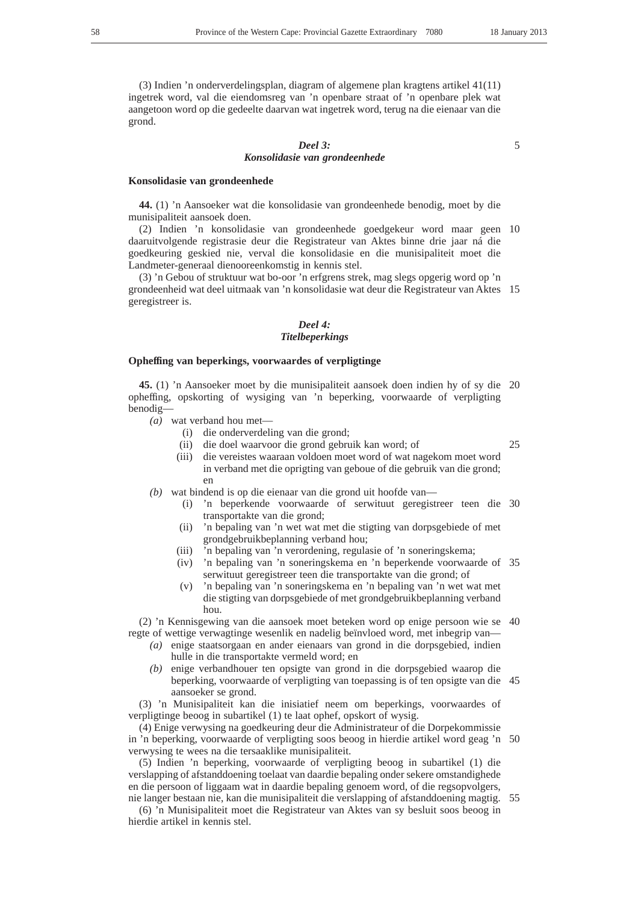(3) Indien 'n onderverdelingsplan, diagram of algemene plan kragtens artikel 41(11) ingetrek word, val die eiendomsreg van 'n openbare straat of 'n openbare plek wat aangetoon word op die gedeelte daarvan wat ingetrek word, terug na die eienaar van die grond.

# *Deel 3: Konsolidasie van grondeenhede*

5

# **Konsolidasie van grondeenhede**

**44.** (1) 'n Aansoeker wat die konsolidasie van grondeenhede benodig, moet by die munisipaliteit aansoek doen.

(2) Indien 'n konsolidasie van grondeenhede goedgekeur word maar geen 10 daaruitvolgende registrasie deur die Registrateur van Aktes binne drie jaar ná die goedkeuring geskied nie, verval die konsolidasie en die munisipaliteit moet die Landmeter-generaal dienooreenkomstig in kennis stel.

(3) 'n Gebou of struktuur wat bo-oor 'n erfgrens strek, mag slegs opgerig word op 'n grondeenheid wat deel uitmaak van 'n konsolidasie wat deur die Registrateur van Aktes 15 geregistreer is.

# *Deel 4: Titelbeperkings*

# **Opheffing van beperkings, voorwaardes of verpligtinge**

**45.** (1) 'n Aansoeker moet by die munisipaliteit aansoek doen indien hy of sy die 20 opheffing, opskorting of wysiging van 'n beperking, voorwaarde of verpligting benodig—

- *(a)* wat verband hou met—
	- (i) die onderverdeling van die grond;

(ii) die doel waarvoor die grond gebruik kan word; of

25

- (iii) die vereistes waaraan voldoen moet word of wat nagekom moet word in verband met die oprigting van geboue of die gebruik van die grond; en
- *(b)* wat bindend is op die eienaar van die grond uit hoofde van—
	- (i) 'n beperkende voorwaarde of serwituut geregistreer teen die 30 transportakte van die grond;
	- (ii) 'n bepaling van 'n wet wat met die stigting van dorpsgebiede of met grondgebruikbeplanning verband hou;
	- (iii) 'n bepaling van 'n verordening, regulasie of 'n soneringskema;
	- (iv) 'n bepaling van 'n soneringskema en 'n beperkende voorwaarde of 35 serwituut geregistreer teen die transportakte van die grond; of
	- (v) 'n bepaling van 'n soneringskema en 'n bepaling van 'n wet wat met die stigting van dorpsgebiede of met grondgebruikbeplanning verband hou.

(2) 'n Kennisgewing van die aansoek moet beteken word op enige persoon wie se 40 regte of wettige verwagtinge wesenlik en nadelig beïnvloed word, met inbegrip van—

- *(a)* enige staatsorgaan en ander eienaars van grond in die dorpsgebied, indien hulle in die transportakte vermeld word; en
- *(b)* enige verbandhouer ten opsigte van grond in die dorpsgebied waarop die beperking, voorwaarde of verpligting van toepassing is of ten opsigte van die 45 aansoeker se grond.

(3) 'n Munisipaliteit kan die inisiatief neem om beperkings, voorwaardes of verpligtinge beoog in subartikel (1) te laat ophef, opskort of wysig.

(4) Enige verwysing na goedkeuring deur die Administrateur of die Dorpekommissie in 'n beperking, voorwaarde of verpligting soos beoog in hierdie artikel word geag 'n 50 verwysing te wees na die tersaaklike munisipaliteit.

(5) Indien 'n beperking, voorwaarde of verpligting beoog in subartikel (1) die verslapping of afstanddoening toelaat van daardie bepaling onder sekere omstandighede en die persoon of liggaam wat in daardie bepaling genoem word, of die regsopvolgers, nie langer bestaan nie, kan die munisipaliteit die verslapping of afstanddoening magtig. 55

(6) 'n Munisipaliteit moet die Registrateur van Aktes van sy besluit soos beoog in hierdie artikel in kennis stel.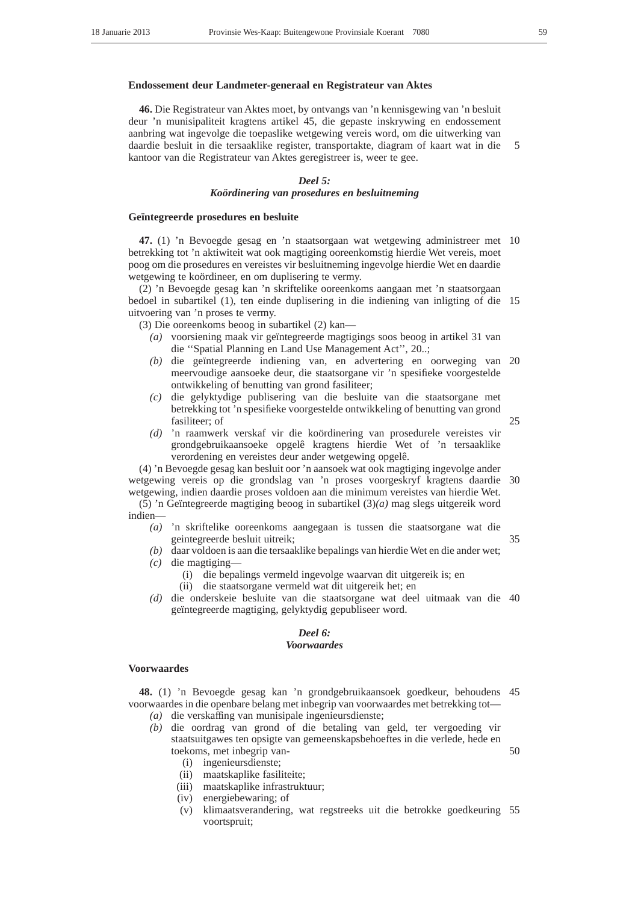#### **Endossement deur Landmeter-generaal en Registrateur van Aktes**

**46.** Die Registrateur van Aktes moet, by ontvangs van 'n kennisgewing van 'n besluit deur 'n munisipaliteit kragtens artikel 45, die gepaste inskrywing en endossement aanbring wat ingevolge die toepaslike wetgewing vereis word, om die uitwerking van daardie besluit in die tersaaklike register, transportakte, diagram of kaart wat in die kantoor van die Registrateur van Aktes geregistreer is, weer te gee. 5

## *Deel 5:*

## *Koördinering van prosedures en besluitneming*

## **Geïntegreerde prosedures en besluite**

**47.** (1) 'n Bevoegde gesag en 'n staatsorgaan wat wetgewing administreer met 10 betrekking tot 'n aktiwiteit wat ook magtiging ooreenkomstig hierdie Wet vereis, moet poog om die prosedures en vereistes vir besluitneming ingevolge hierdie Wet en daardie wetgewing te koördineer, en om duplisering te vermy.

(2) 'n Bevoegde gesag kan 'n skriftelike ooreenkoms aangaan met 'n staatsorgaan bedoel in subartikel (1), ten einde duplisering in die indiening van inligting of die 15 uitvoering van 'n proses te vermy.

(3) Die ooreenkoms beoog in subartikel (2) kan—

- *(a)* voorsiening maak vir geïntegreerde magtigings soos beoog in artikel 31 van die ''Spatial Planning en Land Use Management Act'', 20..;
- *(b)* die geïntegreerde indiening van, en advertering en oorweging van meervoudige aansoeke deur, die staatsorgane vir 'n spesifieke voorgestelde ontwikkeling of benutting van grond fasiliteer; 20
- *(c)* die gelyktydige publisering van die besluite van die staatsorgane met betrekking tot 'n spesifieke voorgestelde ontwikkeling of benutting van grond fasiliteer; of
- *(d)* 'n raamwerk verskaf vir die koördinering van prosedurele vereistes vir grondgebruikaansoeke opgelê kragtens hierdie Wet of 'n tersaaklike 25
	- verordening en vereistes deur ander wetgewing opgelê.

(4) 'n Bevoegde gesag kan besluit oor 'n aansoek wat ook magtiging ingevolge ander wetgewing vereis op die grondslag van 'n proses voorgeskryf kragtens daardie wetgewing, indien daardie proses voldoen aan die minimum vereistes van hierdie Wet. 30

(5) 'n Geïntegreerde magtiging beoog in subartikel (3)*(a)* mag slegs uitgereik word indien—

- *(a)* 'n skriftelike ooreenkoms aangegaan is tussen die staatsorgane wat die geintegreerde besluit uitreik; 35
- *(b)* daar voldoen is aan die tersaaklike bepalings van hierdie Wet en die ander wet; *(c)* die magtiging—
	- (i) die bepalings vermeld ingevolge waarvan dit uitgereik is; en
	- (ii) die staatsorgane vermeld wat dit uitgereik het; en
- *(d)* die onderskeie besluite van die staatsorgane wat deel uitmaak van die 40 geïntegreerde magtiging, gelyktydig gepubliseer word.

#### *Deel 6:*

#### *Voorwaardes*

#### **Voorwaardes**

**48.** (1) 'n Bevoegde gesag kan 'n grondgebruikaansoek goedkeur, behoudens 45 voorwaardes in die openbare belang met inbegrip van voorwaardes met betrekking tot—

- *(a)* die verskaffing van munisipale ingenieursdienste;
- *(b)* die oordrag van grond of die betaling van geld, ter vergoeding vir staatsuitgawes ten opsigte van gemeenskapsbehoeftes in die verlede, hede en toekoms, met inbegrip van-
	- (i) ingenieursdienste;
	- (ii) maatskaplike fasiliteite;
	- (iii) maatskaplike infrastruktuur;
	- (iv) energiebewaring; of
	- (v) klimaatsverandering, wat regstreeks uit die betrokke goedkeuring 55voortspruit;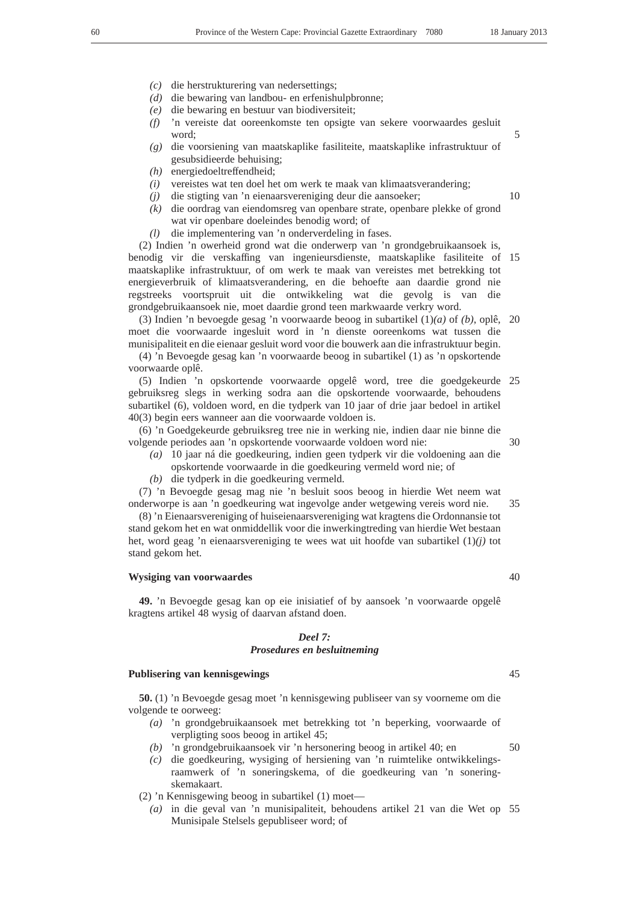- *(c)* die herstrukturering van nedersettings;
- *(d)* die bewaring van landbou- en erfenishulpbronne;
- *(e)* die bewaring en bestuur van biodiversiteit;
- *(f)* 'n vereiste dat ooreenkomste ten opsigte van sekere voorwaardes gesluit word;
- *(g)* die voorsiening van maatskaplike fasiliteite, maatskaplike infrastruktuur of gesubsidieerde behuising;
- *(h)* energiedoeltreffendheid;
- *(i)* vereistes wat ten doel het om werk te maak van klimaatsverandering;
- *(j)* die stigting van 'n eienaarsvereniging deur die aansoeker;
- *(k)* die oordrag van eiendomsreg van openbare strate, openbare plekke of grond wat vir openbare doeleindes benodig word; of
- *(l)* die implementering van 'n onderverdeling in fases.

(2) Indien 'n owerheid grond wat die onderwerp van 'n grondgebruikaansoek is, benodig vir die verskaffing van ingenieursdienste, maatskaplike fasiliteite of 15 maatskaplike infrastruktuur, of om werk te maak van vereistes met betrekking tot energieverbruik of klimaatsverandering, en die behoefte aan daardie grond nie regstreeks voortspruit uit die ontwikkeling wat die gevolg is van die grondgebruikaansoek nie, moet daardie grond teen markwaarde verkry word.

(3) Indien 'n bevoegde gesag 'n voorwaarde beoog in subartikel (1)*(a)* of *(b)*, oplê, 20 moet die voorwaarde ingesluit word in 'n dienste ooreenkoms wat tussen die munisipaliteit en die eienaar gesluit word voor die bouwerk aan die infrastruktuur begin.

(4) 'n Bevoegde gesag kan 'n voorwaarde beoog in subartikel (1) as 'n opskortende voorwaarde oplê.

(5) Indien 'n opskortende voorwaarde opgelê word, tree die goedgekeurde 25 gebruiksreg slegs in werking sodra aan die opskortende voorwaarde, behoudens subartikel (6), voldoen word, en die tydperk van 10 jaar of drie jaar bedoel in artikel 40(3) begin eers wanneer aan die voorwaarde voldoen is.

(6) 'n Goedgekeurde gebruiksreg tree nie in werking nie, indien daar nie binne die volgende periodes aan 'n opskortende voorwaarde voldoen word nie:

- *(a)* 10 jaar ná die goedkeuring, indien geen tydperk vir die voldoening aan die opskortende voorwaarde in die goedkeuring vermeld word nie; of
- *(b)* die tydperk in die goedkeuring vermeld.

(7) 'n Bevoegde gesag mag nie 'n besluit soos beoog in hierdie Wet neem wat onderworpe is aan 'n goedkeuring wat ingevolge ander wetgewing vereis word nie. 35

(8) 'n Eienaarsvereniging of huiseienaarsvereniging wat kragtens die Ordonnansie tot stand gekom het en wat onmiddellik voor die inwerkingtreding van hierdie Wet bestaan het, word geag 'n eienaarsvereniging te wees wat uit hoofde van subartikel (1)*(j)* tot stand gekom het.

#### **Wysiging van voorwaardes**

**49.** 'n Bevoegde gesag kan op eie inisiatief of by aansoek 'n voorwaarde opgelê kragtens artikel 48 wysig of daarvan afstand doen.

# *Deel 7:*

#### *Prosedures en besluitneming*

# **Publisering van kennisgewings**

**50.** (1) 'n Bevoegde gesag moet 'n kennisgewing publiseer van sy voorneme om die volgende te oorweeg:

*(b)* 'n grondgebruikaansoek vir 'n hersonering beoog in artikel 40; en

- *(a)* 'n grondgebruikaansoek met betrekking tot 'n beperking, voorwaarde of verpligting soos beoog in artikel 45;
- 50

45

- *(c)* die goedkeuring, wysiging of hersiening van 'n ruimtelike ontwikkelings-
- raamwerk of 'n soneringskema, of die goedkeuring van 'n soneringskemakaart.

(2) 'n Kennisgewing beoog in subartikel (1) moet—

*(a)* in die geval van 'n munisipaliteit, behoudens artikel 21 van die Wet op 55Munisipale Stelsels gepubliseer word; of

10

40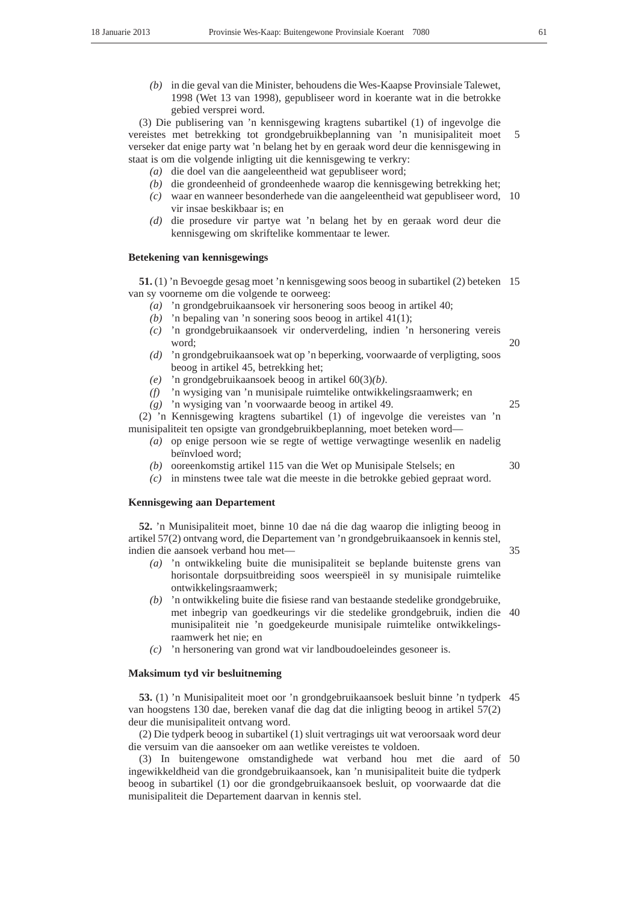*(b)* in die geval van die Minister, behoudens die Wes-Kaapse Provinsiale Talewet, 1998 (Wet 13 van 1998), gepubliseer word in koerante wat in die betrokke gebied versprei word.

(3) Die publisering van 'n kennisgewing kragtens subartikel (1) of ingevolge die vereistes met betrekking tot grondgebruikbeplanning van 'n munisipaliteit moet verseker dat enige party wat 'n belang het by en geraak word deur die kennisgewing in staat is om die volgende inligting uit die kennisgewing te verkry: 5

- *(a)* die doel van die aangeleentheid wat gepubliseer word;
- *(b)* die grondeenheid of grondeenhede waarop die kennisgewing betrekking het;
- *(c)* waar en wanneer besonderhede van die aangeleentheid wat gepubliseer word, 10 vir insae beskikbaar is; en
- *(d)* die prosedure vir partye wat 'n belang het by en geraak word deur die kennisgewing om skriftelike kommentaar te lewer.

# **Betekening van kennisgewings**

**51.** (1) 'n Bevoegde gesag moet 'n kennisgewing soos beoog in subartikel (2) beteken 15 van sy voorneme om die volgende te oorweeg:

- *(a)* 'n grondgebruikaansoek vir hersonering soos beoog in artikel 40;
- *(b)* 'n bepaling van 'n sonering soos beoog in artikel 41(1);
- *(c)* 'n grondgebruikaansoek vir onderverdeling, indien 'n hersonering vereis word;
- *(d)* 'n grondgebruikaansoek wat op 'n beperking, voorwaarde of verpligting, soos beoog in artikel 45, betrekking het;
- *(e)* 'n grondgebruikaansoek beoog in artikel 60(3)*(b)*.
- *(f)* 'n wysiging van 'n munisipale ruimtelike ontwikkelingsraamwerk; en
- *(g)* 'n wysiging van 'n voorwaarde beoog in artikel 49.

(2) 'n Kennisgewing kragtens subartikel (1) of ingevolge die vereistes van 'n munisipaliteit ten opsigte van grondgebruikbeplanning, moet beteken word—

- *(a)* op enige persoon wie se regte of wettige verwagtinge wesenlik en nadelig beïnvloed word;
- *(b)* ooreenkomstig artikel 115 van die Wet op Munisipale Stelsels; en
- *(c)* in minstens twee tale wat die meeste in die betrokke gebied gepraat word.

#### **Kennisgewing aan Departement**

**52.** 'n Munisipaliteit moet, binne 10 dae ná die dag waarop die inligting beoog in artikel 57(2) ontvang word, die Departement van 'n grondgebruikaansoek in kennis stel, indien die aansoek verband hou met—

- *(a)* 'n ontwikkeling buite die munisipaliteit se beplande buitenste grens van horisontale dorpsuitbreiding soos weerspieël in sy munisipale ruimtelike ontwikkelingsraamwerk;
- *(b)* 'n ontwikkeling buite die fisiese rand van bestaande stedelike grondgebruike, met inbegrip van goedkeurings vir die stedelike grondgebruik, indien die 40 munisipaliteit nie 'n goedgekeurde munisipale ruimtelike ontwikkelingsraamwerk het nie; en
- *(c)* 'n hersonering van grond wat vir landboudoeleindes gesoneer is.

# **Maksimum tyd vir besluitneming**

**53.** (1) 'n Munisipaliteit moet oor 'n grondgebruikaansoek besluit binne 'n tydperk 45 van hoogstens 130 dae, bereken vanaf die dag dat die inligting beoog in artikel 57(2) deur die munisipaliteit ontvang word.

(2) Die tydperk beoog in subartikel (1) sluit vertragings uit wat veroorsaak word deur die versuim van die aansoeker om aan wetlike vereistes te voldoen.

(3) In buitengewone omstandighede wat verband hou met die aard of 50ingewikkeldheid van die grondgebruikaansoek, kan 'n munisipaliteit buite die tydperk beoog in subartikel (1) oor die grondgebruikaansoek besluit, op voorwaarde dat die munisipaliteit die Departement daarvan in kennis stel.

30

35

20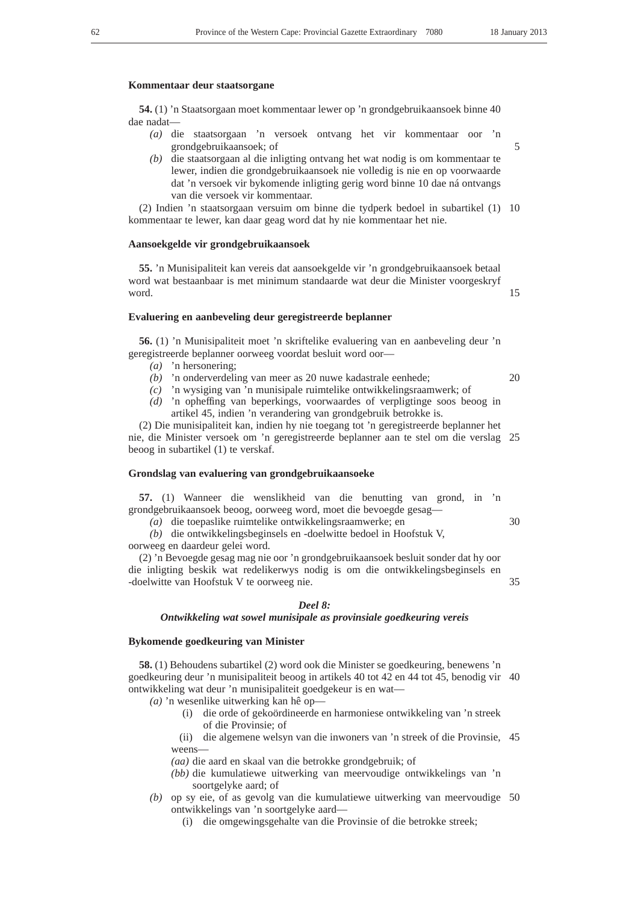## **Kommentaar deur staatsorgane**

**54.** (1) 'n Staatsorgaan moet kommentaar lewer op 'n grondgebruikaansoek binne 40 dae nadat—

- *(a)* die staatsorgaan 'n versoek ontvang het vir kommentaar oor 'n grondgebruikaansoek; of
- *(b)* die staatsorgaan al die inligting ontvang het wat nodig is om kommentaar te lewer, indien die grondgebruikaansoek nie volledig is nie en op voorwaarde dat 'n versoek vir bykomende inligting gerig word binne 10 dae ná ontvangs van die versoek vir kommentaar.

(2) Indien 'n staatsorgaan versuim om binne die tydperk bedoel in subartikel (1) 10 kommentaar te lewer, kan daar geag word dat hy nie kommentaar het nie.

# **Aansoekgelde vir grondgebruikaansoek**

**55.** 'n Munisipaliteit kan vereis dat aansoekgelde vir 'n grondgebruikaansoek betaal word wat bestaanbaar is met minimum standaarde wat deur die Minister voorgeskryf word.

#### **Evaluering en aanbeveling deur geregistreerde beplanner**

**56.** (1) 'n Munisipaliteit moet 'n skriftelike evaluering van en aanbeveling deur 'n geregistreerde beplanner oorweeg voordat besluit word oor—

- *(a)* 'n hersonering;
- *(b)* 'n onderverdeling van meer as 20 nuwe kadastrale eenhede;

*(c)* 'n wysiging van 'n munisipale ruimtelike ontwikkelingsraamwerk; of *(d)* 'n opheffing van beperkings, voorwaardes of verpligtinge soos beoog in

artikel 45, indien 'n verandering van grondgebruik betrokke is.

(2) Die munisipaliteit kan, indien hy nie toegang tot 'n geregistreerde beplanner het nie, die Minister versoek om 'n geregistreerde beplanner aan te stel om die verslag 25 beoog in subartikel (1) te verskaf.

# **Grondslag van evaluering van grondgebruikaansoeke**

**57.** (1) Wanneer die wenslikheid van die benutting van grond, in 'n grondgebruikaansoek beoog, oorweeg word, moet die bevoegde gesag—

*(a)* die toepaslike ruimtelike ontwikkelingsraamwerke; en

*(b)* die ontwikkelingsbeginsels en -doelwitte bedoel in Hoofstuk V, oorweeg en daardeur gelei word.

(2) 'n Bevoegde gesag mag nie oor 'n grondgebruikaansoek besluit sonder dat hy oor die inligting beskik wat redelikerwys nodig is om die ontwikkelingsbeginsels en -doelwitte van Hoofstuk V te oorweeg nie. 35

## *Deel 8:*

# *Ontwikkeling wat sowel munisipale as provinsiale goedkeuring vereis*

# **Bykomende goedkeuring van Minister**

**58.** (1) Behoudens subartikel (2) word ook die Minister se goedkeuring, benewens 'n goedkeuring deur 'n munisipaliteit beoog in artikels 40 tot 42 en 44 tot 45, benodig vir 40 ontwikkeling wat deur 'n munisipaliteit goedgekeur is en wat—

*(a)* 'n wesenlike uitwerking kan hê op—

(i) die orde of gekoördineerde en harmoniese ontwikkeling van 'n streek of die Provinsie; of

(ii) die algemene welsyn van die inwoners van 'n streek of die Provinsie, 45 weens—

*(aa)* die aard en skaal van die betrokke grondgebruik; of

- *(bb)* die kumulatiewe uitwerking van meervoudige ontwikkelings van 'n soortgelyke aard; of
- *(b)* op sy eie, of as gevolg van die kumulatiewe uitwerking van meervoudige 50ontwikkelings van 'n soortgelyke aard—
	- (i) die omgewingsgehalte van die Provinsie of die betrokke streek;

15

20

30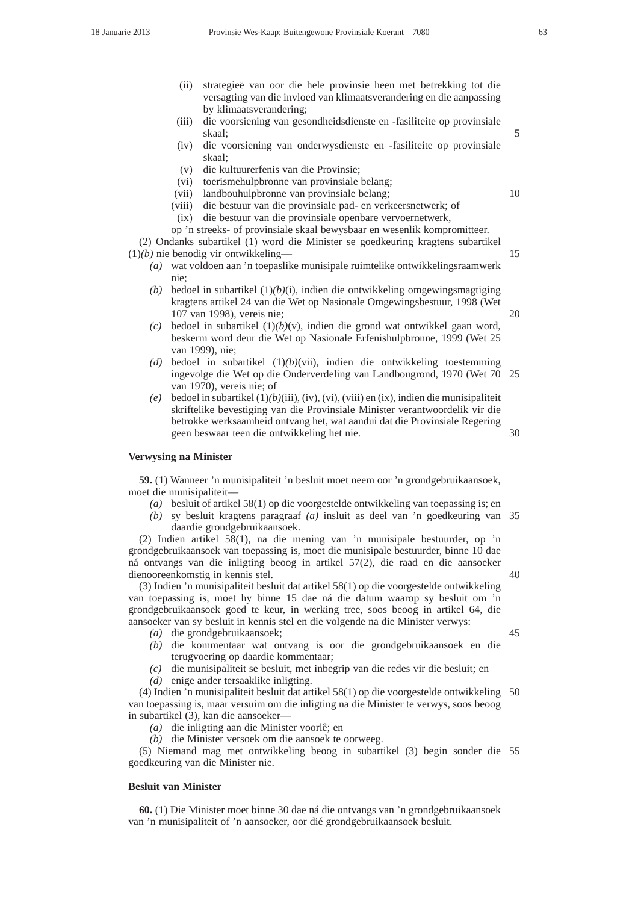- (ii) strategieë van oor die hele provinsie heen met betrekking tot die versagting van die invloed van klimaatsverandering en die aanpassing by klimaatsverandering;
- (iii) die voorsiening van gesondheidsdienste en -fasiliteite op provinsiale skaal;
- (iv) die voorsiening van onderwysdienste en -fasiliteite op provinsiale skaal;
- (v) die kultuurerfenis van die Provinsie;
- (vi) toerismehulpbronne van provinsiale belang;
- (vii) landbouhulpbronne van provinsiale belang;
- (viii) die bestuur van die provinsiale pad- en verkeersnetwerk; of
- (ix) die bestuur van die provinsiale openbare vervoernetwerk,
- op 'n streeks- of provinsiale skaal bewysbaar en wesenlik kompromitteer.

(2) Ondanks subartikel (1) word die Minister se goedkeuring kragtens subartikel

(1)*(b)* nie benodig vir ontwikkeling—

- *(a)* wat voldoen aan 'n toepaslike munisipale ruimtelike ontwikkelingsraamwerk nie;
- *(b)* bedoel in subartikel (1)*(b)*(i), indien die ontwikkeling omgewingsmagtiging kragtens artikel 24 van die Wet op Nasionale Omgewingsbestuur, 1998 (Wet 107 van 1998), vereis nie;
- *(c)* bedoel in subartikel (1)*(b)*(v), indien die grond wat ontwikkel gaan word, beskerm word deur die Wet op Nasionale Erfenishulpbronne, 1999 (Wet 25 van 1999), nie;
- *(d)* bedoel in subartikel (1)*(b)*(vii), indien die ontwikkeling toestemming ingevolge die Wet op die Onderverdeling van Landbougrond, 1970 (Wet 70 25 van 1970), vereis nie; of
- *(e)* bedoel in subartikel (1)*(b)*(iii), (iv), (vi), (viii) en (ix), indien die munisipaliteit skriftelike bevestiging van die Provinsiale Minister verantwoordelik vir die betrokke werksaamheid ontvang het, wat aandui dat die Provinsiale Regering geen beswaar teen die ontwikkeling het nie. 30

#### **Verwysing na Minister**

**59.** (1) Wanneer 'n munisipaliteit 'n besluit moet neem oor 'n grondgebruikaansoek, moet die munisipaliteit—

- *(a)* besluit of artikel 58(1) op die voorgestelde ontwikkeling van toepassing is; en
- *(b)* sy besluit kragtens paragraaf *(a)* insluit as deel van 'n goedkeuring van daardie grondgebruikaansoek. 35

(2) Indien artikel 58(1), na die mening van 'n munisipale bestuurder, op 'n grondgebruikaansoek van toepassing is, moet die munisipale bestuurder, binne 10 dae ná ontvangs van die inligting beoog in artikel 57(2), die raad en die aansoeker dienooreenkomstig in kennis stel.

(3) Indien 'n munisipaliteit besluit dat artikel 58(1) op die voorgestelde ontwikkeling van toepassing is, moet hy binne 15 dae ná die datum waarop sy besluit om 'n grondgebruikaansoek goed te keur, in werking tree, soos beoog in artikel 64, die aansoeker van sy besluit in kennis stel en die volgende na die Minister verwys:

- *(a)* die grondgebruikaansoek;
- *(b)* die kommentaar wat ontvang is oor die grondgebruikaansoek en die terugvoering op daardie kommentaar;
- *(c)* die munisipaliteit se besluit, met inbegrip van die redes vir die besluit; en
- *(d)* enige ander tersaaklike inligting.

(4) Indien 'n munisipaliteit besluit dat artikel 58(1) op die voorgestelde ontwikkeling 50 van toepassing is, maar versuim om die inligting na die Minister te verwys, soos beoog in subartikel (3), kan die aansoeker—

*(a)* die inligting aan die Minister voorlê; en

*(b)* die Minister versoek om die aansoek te oorweeg.

(5) Niemand mag met ontwikkeling beoog in subartikel (3) begin sonder die 55goedkeuring van die Minister nie.

## **Besluit van Minister**

**60.** (1) Die Minister moet binne 30 dae ná die ontvangs van 'n grondgebruikaansoek van 'n munisipaliteit of 'n aansoeker, oor dié grondgebruikaansoek besluit.

10

15

5

20

40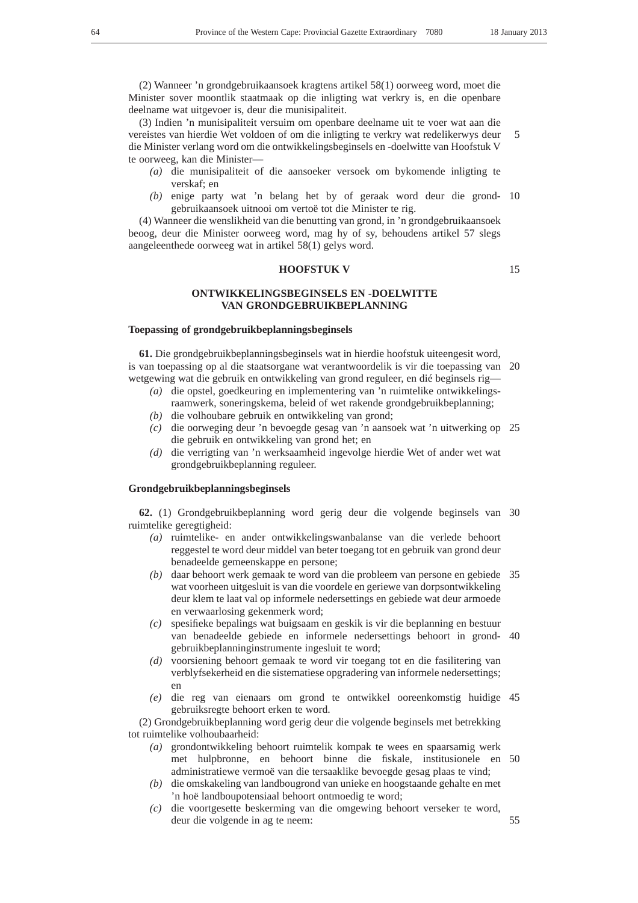(2) Wanneer 'n grondgebruikaansoek kragtens artikel 58(1) oorweeg word, moet die Minister sover moontlik staatmaak op die inligting wat verkry is, en die openbare deelname wat uitgevoer is, deur die munisipaliteit.

(3) Indien 'n munisipaliteit versuim om openbare deelname uit te voer wat aan die vereistes van hierdie Wet voldoen of om die inligting te verkry wat redelikerwys deur die Minister verlang word om die ontwikkelingsbeginsels en -doelwitte van Hoofstuk V te oorweeg, kan die Minister— 5

- *(a)* die munisipaliteit of die aansoeker versoek om bykomende inligting te verskaf; en
- *(b)* enige party wat 'n belang het by of geraak word deur die grond-10 gebruikaansoek uitnooi om vertoë tot die Minister te rig.

(4) Wanneer die wenslikheid van die benutting van grond, in 'n grondgebruikaansoek beoog, deur die Minister oorweeg word, mag hy of sy, behoudens artikel 57 slegs aangeleenthede oorweeg wat in artikel 58(1) gelys word.

# **HOOFSTUK V**

# **ONTWIKKELINGSBEGINSELS EN -DOELWITTE VAN GRONDGEBRUIKBEPLANNING**

# **Toepassing of grondgebruikbeplanningsbeginsels**

**61.** Die grondgebruikbeplanningsbeginsels wat in hierdie hoofstuk uiteengesit word, is van toepassing op al die staatsorgane wat verantwoordelik is vir die toepassing van 20 wetgewing wat die gebruik en ontwikkeling van grond reguleer, en dié beginsels rig—

- *(a)* die opstel, goedkeuring en implementering van 'n ruimtelike ontwikkelingsraamwerk, soneringskema, beleid of wet rakende grondgebruikbeplanning;
- *(b)* die volhoubare gebruik en ontwikkeling van grond;
- *(c)* die oorweging deur 'n bevoegde gesag van 'n aansoek wat 'n uitwerking op 25 die gebruik en ontwikkeling van grond het; en
- *(d)* die verrigting van 'n werksaamheid ingevolge hierdie Wet of ander wet wat grondgebruikbeplanning reguleer.

# **Grondgebruikbeplanningsbeginsels**

**62.** (1) Grondgebruikbeplanning word gerig deur die volgende beginsels van 30 ruimtelike geregtigheid:

- *(a)* ruimtelike- en ander ontwikkelingswanbalanse van die verlede behoort reggestel te word deur middel van beter toegang tot en gebruik van grond deur benadeelde gemeenskappe en persone;
- *(b)* daar behoort werk gemaak te word van die probleem van persone en gebiede 35 wat voorheen uitgesluit is van die voordele en geriewe van dorpsontwikkeling deur klem te laat val op informele nedersettings en gebiede wat deur armoede en verwaarlosing gekenmerk word;
- *(c)* spesifieke bepalings wat buigsaam en geskik is vir die beplanning en bestuur van benadeelde gebiede en informele nedersettings behoort in grond-40 gebruikbeplanninginstrumente ingesluit te word;
- *(d)* voorsiening behoort gemaak te word vir toegang tot en die fasilitering van verblyfsekerheid en die sistematiese opgradering van informele nedersettings; en
- *(e)* die reg van eienaars om grond te ontwikkel ooreenkomstig huidige 45 gebruiksregte behoort erken te word.

(2) Grondgebruikbeplanning word gerig deur die volgende beginsels met betrekking tot ruimtelike volhoubaarheid:

- *(a)* grondontwikkeling behoort ruimtelik kompak te wees en spaarsamig werk met hulpbronne, en behoort binne die fiskale, institusionele en 50 administratiewe vermoë van die tersaaklike bevoegde gesag plaas te vind;
- *(b)* die omskakeling van landbougrond van unieke en hoogstaande gehalte en met 'n hoë landboupotensiaal behoort ontmoedig te word;
- *(c)* die voortgesette beskerming van die omgewing behoort verseker te word, deur die volgende in ag te neem: 55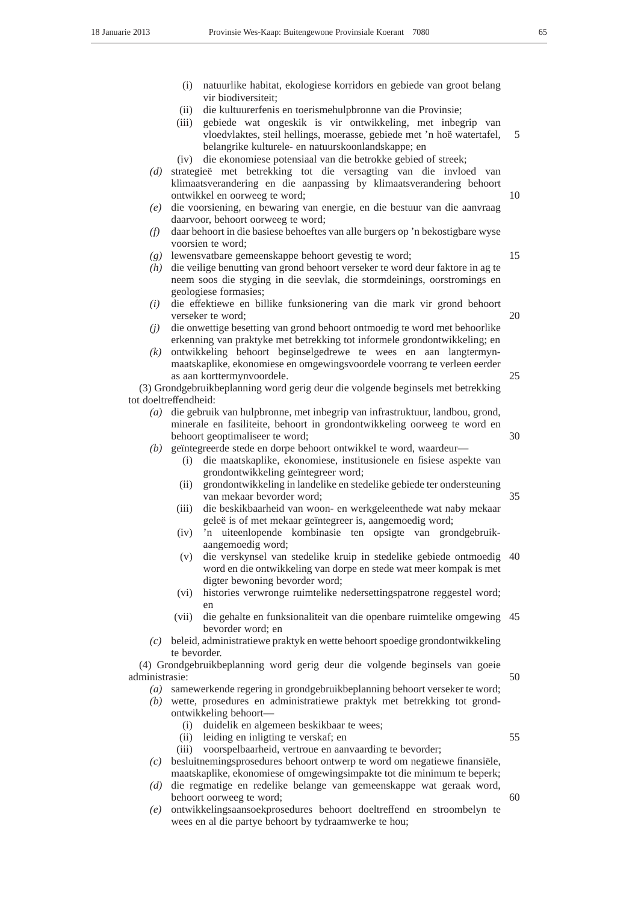- (i) natuurlike habitat, ekologiese korridors en gebiede van groot belang vir biodiversiteit;
- (ii) die kultuurerfenis en toerismehulpbronne van die Provinsie;
- (iii) gebiede wat ongeskik is vir ontwikkeling, met inbegrip van vloedvlaktes, steil hellings, moerasse, gebiede met 'n hoë watertafel, belangrike kulturele- en natuurskoonlandskappe; en 5
- (iv) die ekonomiese potensiaal van die betrokke gebied of streek;
- *(d)* strategieë met betrekking tot die versagting van die invloed van klimaatsverandering en die aanpassing by klimaatsverandering behoort ontwikkel en oorweeg te word;
- *(e)* die voorsiening, en bewaring van energie, en die bestuur van die aanvraag daarvoor, behoort oorweeg te word;
- *(f)* daar behoort in die basiese behoeftes van alle burgers op 'n bekostigbare wyse voorsien te word;
- *(g)* lewensvatbare gemeenskappe behoort gevestig te word;
- *(h)* die veilige benutting van grond behoort verseker te word deur faktore in ag te neem soos die styging in die seevlak, die stormdeinings, oorstromings en geologiese formasies;
- *(i)* die effektiewe en billike funksionering van die mark vir grond behoort verseker te word; 20
- *(j)* die onwettige besetting van grond behoort ontmoedig te word met behoorlike erkenning van praktyke met betrekking tot informele grondontwikkeling; en
- *(k)* ontwikkeling behoort beginselgedrewe te wees en aan langtermynmaatskaplike, ekonomiese en omgewingsvoordele voorrang te verleen eerder as aan korttermynvoordele.

(3) Grondgebruikbeplanning word gerig deur die volgende beginsels met betrekking tot doeltreffendheid:

- *(a)* die gebruik van hulpbronne, met inbegrip van infrastruktuur, landbou, grond, minerale en fasiliteite, behoort in grondontwikkeling oorweeg te word en behoort geoptimaliseer te word;
- *(b)* geïntegreerde stede en dorpe behoort ontwikkel te word, waardeur—
	- (i) die maatskaplike, ekonomiese, institusionele en fisiese aspekte van grondontwikkeling geïntegreer word;
	- (ii) grondontwikkeling in landelike en stedelike gebiede ter ondersteuning van mekaar bevorder word;
	- (iii) die beskikbaarheid van woon- en werkgeleenthede wat naby mekaar geleë is of met mekaar geïntegreer is, aangemoedig word;
	- (iv) 'n uiteenlopende kombinasie ten opsigte van grondgebruikaangemoedig word;
	- (v) die verskynsel van stedelike kruip in stedelike gebiede ontmoedig 40 word en die ontwikkeling van dorpe en stede wat meer kompak is met digter bewoning bevorder word;
	- (vi) histories verwronge ruimtelike nedersettingspatrone reggestel word; en
	- (vii) die gehalte en funksionaliteit van die openbare ruimtelike omgewing 45 bevorder word; en
- *(c)* beleid, administratiewe praktyk en wette behoort spoedige grondontwikkeling te bevorder.

(4) Grondgebruikbeplanning word gerig deur die volgende beginsels van goeie administrasie: 50

- *(a)* samewerkende regering in grondgebruikbeplanning behoort verseker te word;
- *(b)* wette, prosedures en administratiewe praktyk met betrekking tot grondontwikkeling behoort—
	- (i) duidelik en algemeen beskikbaar te wees;
	- (ii) leiding en inligting te verskaf; en

(iii) voorspelbaarheid, vertroue en aanvaarding te bevorder;

- *(c)* besluitnemingsprosedures behoort ontwerp te word om negatiewe finansiële, maatskaplike, ekonomiese of omgewingsimpakte tot die minimum te beperk;
- *(d)* die regmatige en redelike belange van gemeenskappe wat geraak word, behoort oorweeg te word;
- *(e)* ontwikkelingsaansoekprosedures behoort doeltreffend en stroombelyn te wees en al die partye behoort by tydraamwerke te hou;

15

10

30

35

25

55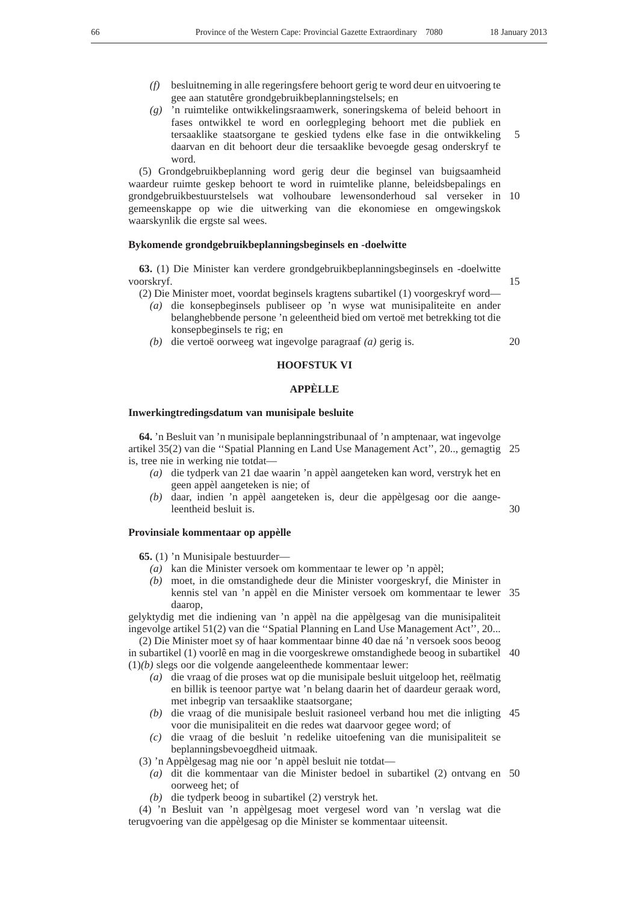- *(f)* besluitneming in alle regeringsfere behoort gerig te word deur en uitvoering te gee aan statutêre grondgebruikbeplanningstelsels; en
- *(g)* 'n ruimtelike ontwikkelingsraamwerk, soneringskema of beleid behoort in fases ontwikkel te word en oorlegpleging behoort met die publiek en tersaaklike staatsorgane te geskied tydens elke fase in die ontwikkeling daarvan en dit behoort deur die tersaaklike bevoegde gesag onderskryf te word. 5

(5) Grondgebruikbeplanning word gerig deur die beginsel van buigsaamheid waardeur ruimte geskep behoort te word in ruimtelike planne, beleidsbepalings en grondgebruikbestuurstelsels wat volhoubare lewensonderhoud sal verseker in 10 gemeenskappe op wie die uitwerking van die ekonomiese en omgewingskok waarskynlik die ergste sal wees.

# **Bykomende grondgebruikbeplanningsbeginsels en -doelwitte**

**63.** (1) Die Minister kan verdere grondgebruikbeplanningsbeginsels en -doelwitte voorskryf.

(2) Die Minister moet, voordat beginsels kragtens subartikel (1) voorgeskryf word—

- *(a)* die konsepbeginsels publiseer op 'n wyse wat munisipaliteite en ander belanghebbende persone 'n geleentheid bied om vertoë met betrekking tot die konsepbeginsels te rig; en
- *(b)* die vertoë oorweeg wat ingevolge paragraaf *(a)* gerig is.

# **HOOFSTUK VI**

# **APPÈLLE**

#### **Inwerkingtredingsdatum van munisipale besluite**

**64.** 'n Besluit van 'n munisipale beplanningstribunaal of 'n amptenaar, wat ingevolge artikel 35(2) van die ''Spatial Planning en Land Use Management Act'', 20.., gemagtig 25 is, tree nie in werking nie totdat—

- *(a)* die tydperk van 21 dae waarin 'n appèl aangeteken kan word, verstryk het en geen appèl aangeteken is nie; of
- *(b)* daar, indien 'n appèl aangeteken is, deur die appèlgesag oor die aangeleentheid besluit is.

## **Provinsiale kommentaar op appèlle**

**65.** (1) 'n Munisipale bestuurder—

- *(a)* kan die Minister versoek om kommentaar te lewer op 'n appèl;
- *(b)* moet, in die omstandighede deur die Minister voorgeskryf, die Minister in kennis stel van 'n appèl en die Minister versoek om kommentaar te lewer 35 daarop,

gelyktydig met die indiening van 'n appèl na die appèlgesag van die munisipaliteit ingevolge artikel 51(2) van die ''Spatial Planning en Land Use Management Act'', 20...

(2) Die Minister moet sy of haar kommentaar binne 40 dae ná 'n versoek soos beoog in subartikel (1) voorlê en mag in die voorgeskrewe omstandighede beoog in subartikel 40 (1)*(b)* slegs oor die volgende aangeleenthede kommentaar lewer:

- *(a)* die vraag of die proses wat op die munisipale besluit uitgeloop het, reëlmatig en billik is teenoor partye wat 'n belang daarin het of daardeur geraak word, met inbegrip van tersaaklike staatsorgane;
- *(b)* die vraag of die munisipale besluit rasioneel verband hou met die inligting 45 voor die munisipaliteit en die redes wat daarvoor gegee word; of
- *(c)* die vraag of die besluit 'n redelike uitoefening van die munisipaliteit se beplanningsbevoegdheid uitmaak.

(3) 'n Appèlgesag mag nie oor 'n appèl besluit nie totdat—

- *(a)* dit die kommentaar van die Minister bedoel in subartikel (2) ontvang en 50oorweeg het; of
- *(b)* die tydperk beoog in subartikel (2) verstryk het.

(4) 'n Besluit van 'n appèlgesag moet vergesel word van 'n verslag wat die terugvoering van die appèlgesag op die Minister se kommentaar uiteensit.

15

20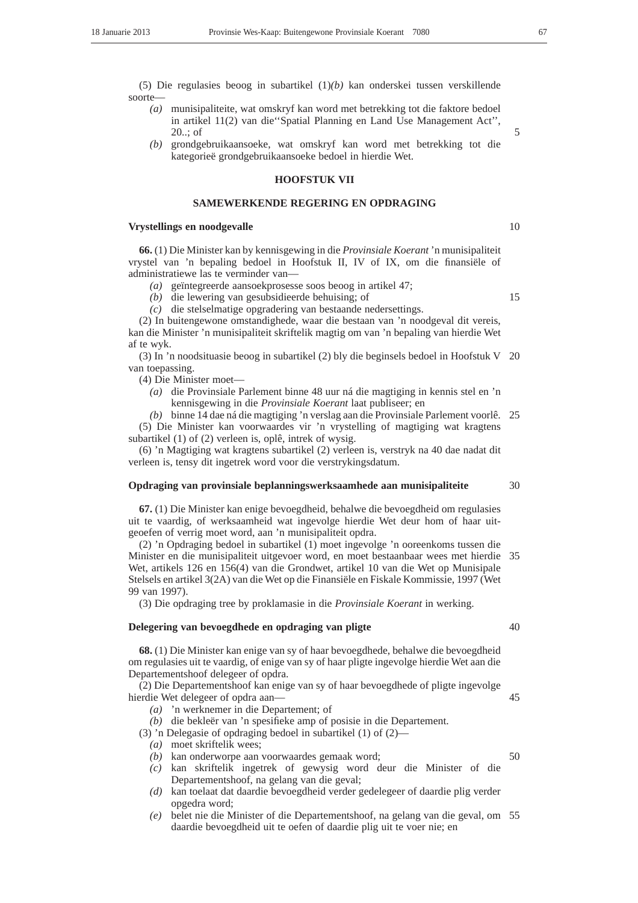(5) Die regulasies beoog in subartikel (1)*(b)* kan onderskei tussen verskillende soorte—

- *(a)* munisipaliteite, wat omskryf kan word met betrekking tot die faktore bedoel in artikel 11(2) van die''Spatial Planning en Land Use Management Act'', 20..; of
- *(b)* grondgebruikaansoeke, wat omskryf kan word met betrekking tot die kategorieë grondgebruikaansoeke bedoel in hierdie Wet.

#### **HOOFSTUK VII**

## **SAMEWERKENDE REGERING EN OPDRAGING**

## **Vrystellings en noodgevalle**

**66.** (1) Die Minister kan by kennisgewing in die *Provinsiale Koerant* 'n munisipaliteit vrystel van 'n bepaling bedoel in Hoofstuk II, IV of IX, om die finansiële of administratiewe las te verminder van—

- *(a)* geïntegreerde aansoekprosesse soos beoog in artikel 47;
- *(b)* die lewering van gesubsidieerde behuising; of

*(c)* die stelselmatige opgradering van bestaande nedersettings.

(2) In buitengewone omstandighede, waar die bestaan van 'n noodgeval dit vereis, kan die Minister 'n munisipaliteit skriftelik magtig om van 'n bepaling van hierdie Wet af te wyk.

(3) In 'n noodsituasie beoog in subartikel (2) bly die beginsels bedoel in Hoofstuk V 20 van toepassing.

(4) Die Minister moet—

*(a)* die Provinsiale Parlement binne 48 uur ná die magtiging in kennis stel en 'n kennisgewing in die *Provinsiale Koerant* laat publiseer; en

*(b)* binne 14 dae ná die magtiging 'n verslag aan die Provinsiale Parlement voorlê. 25 (5) Die Minister kan voorwaardes vir 'n vrystelling of magtiging wat kragtens subartikel (1) of (2) verleen is, oplê, intrek of wysig.

(6) 'n Magtiging wat kragtens subartikel (2) verleen is, verstryk na 40 dae nadat dit verleen is, tensy dit ingetrek word voor die verstrykingsdatum.

# **Opdraging van provinsiale beplanningswerksaamhede aan munisipaliteite**

**67.** (1) Die Minister kan enige bevoegdheid, behalwe die bevoegdheid om regulasies uit te vaardig, of werksaamheid wat ingevolge hierdie Wet deur hom of haar uitgeoefen of verrig moet word, aan 'n munisipaliteit opdra.

(2) 'n Opdraging bedoel in subartikel (1) moet ingevolge 'n ooreenkoms tussen die Minister en die munisipaliteit uitgevoer word, en moet bestaanbaar wees met hierdie 35 Wet, artikels 126 en 156(4) van die Grondwet, artikel 10 van die Wet op Munisipale Stelsels en artikel 3(2A) van die Wet op die Finansiële en Fiskale Kommissie, 1997 (Wet 99 van 1997).

(3) Die opdraging tree by proklamasie in die *Provinsiale Koerant* in werking.

# **Delegering van bevoegdhede en opdraging van pligte**

**68.** (1) Die Minister kan enige van sy of haar bevoegdhede, behalwe die bevoegdheid om regulasies uit te vaardig, of enige van sy of haar pligte ingevolge hierdie Wet aan die Departementshoof delegeer of opdra.

(2) Die Departementshoof kan enige van sy of haar bevoegdhede of pligte ingevolge hierdie Wet delegeer of opdra aan—

*(a)* 'n werknemer in die Departement; of

*(b)* die bekleër van 'n spesifieke amp of posisie in die Departement.

(3) 'n Delegasie of opdraging bedoel in subartikel (1) of (2)—

*(a)* moet skriftelik wees;

- *(b)* kan onderworpe aan voorwaardes gemaak word;
- *(c)* kan skriftelik ingetrek of gewysig word deur die Minister of die Departementshoof, na gelang van die geval;
- *(d)* kan toelaat dat daardie bevoegdheid verder gedelegeer of daardie plig verder opgedra word;
- *(e)* belet nie die Minister of die Departementshoof, na gelang van die geval, om 55daardie bevoegdheid uit te oefen of daardie plig uit te voer nie; en

5

10

15

40

30

50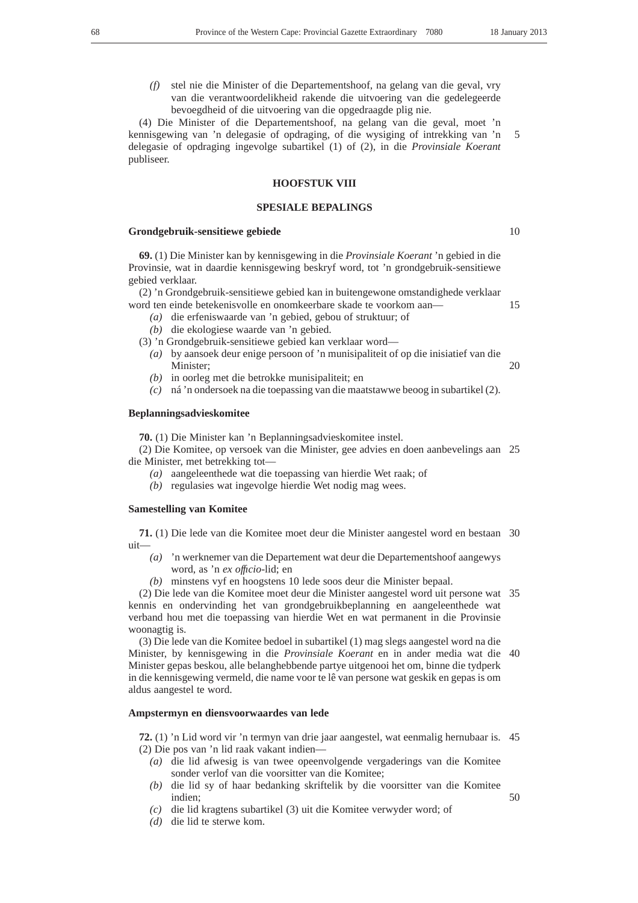*(f)* stel nie die Minister of die Departementshoof, na gelang van die geval, vry van die verantwoordelikheid rakende die uitvoering van die gedelegeerde bevoegdheid of die uitvoering van die opgedraagde plig nie.

(4) Die Minister of die Departementshoof, na gelang van die geval, moet 'n kennisgewing van 'n delegasie of opdraging, of die wysiging of intrekking van 'n delegasie of opdraging ingevolge subartikel (1) of (2), in die *Provinsiale Koerant* publiseer. 5

## **HOOFSTUK VIII**

# **SPESIALE BEPALINGS**

# **Grondgebruik-sensitiewe gebiede**

**69.** (1) Die Minister kan by kennisgewing in die *Provinsiale Koerant* 'n gebied in die Provinsie, wat in daardie kennisgewing beskryf word, tot 'n grondgebruik-sensitiewe gebied verklaar.

(2) 'n Grondgebruik-sensitiewe gebied kan in buitengewone omstandighede verklaar word ten einde betekenisvolle en onomkeerbare skade te voorkom aan—

- *(a)* die erfeniswaarde van 'n gebied, gebou of struktuur; of
- *(b)* die ekologiese waarde van 'n gebied.

(3) 'n Grondgebruik-sensitiewe gebied kan verklaar word—

- *(a)* by aansoek deur enige persoon of 'n munisipaliteit of op die inisiatief van die Minister; 20
- *(b)* in oorleg met die betrokke munisipaliteit; en
- *(c)* ná 'n ondersoek na die toepassing van die maatstawwe beoog in subartikel (2).

#### **Beplanningsadvieskomitee**

**70.** (1) Die Minister kan 'n Beplanningsadvieskomitee instel.

(2) Die Komitee, op versoek van die Minister, gee advies en doen aanbevelings aan 25 die Minister, met betrekking tot—

- *(a)* aangeleenthede wat die toepassing van hierdie Wet raak; of
- *(b)* regulasies wat ingevolge hierdie Wet nodig mag wees.

# **Samestelling van Komitee**

**71.** (1) Die lede van die Komitee moet deur die Minister aangestel word en bestaan 30 uit—

- *(a)* 'n werknemer van die Departement wat deur die Departementshoof aangewys word, as 'n *ex offıcio*-lid; en
- *(b)* minstens vyf en hoogstens 10 lede soos deur die Minister bepaal.

(2) Die lede van die Komitee moet deur die Minister aangestel word uit persone wat 35 kennis en ondervinding het van grondgebruikbeplanning en aangeleenthede wat verband hou met die toepassing van hierdie Wet en wat permanent in die Provinsie woonagtig is.

(3) Die lede van die Komitee bedoel in subartikel (1) mag slegs aangestel word na die Minister, by kennisgewing in die *Provinsiale Koerant* en in ander media wat die 40 Minister gepas beskou, alle belanghebbende partye uitgenooi het om, binne die tydperk in die kennisgewing vermeld, die name voor te lê van persone wat geskik en gepas is om aldus aangestel te word.

# **Ampstermyn en diensvoorwaardes van lede**

**72.** (1) 'n Lid word vir 'n termyn van drie jaar aangestel, wat eenmalig hernubaar is. 45 (2) Die pos van 'n lid raak vakant indien—

- *(a)* die lid afwesig is van twee opeenvolgende vergaderings van die Komitee sonder verlof van die voorsitter van die Komitee;
- *(b)* die lid sy of haar bedanking skriftelik by die voorsitter van die Komitee indien;
- *(c)* die lid kragtens subartikel (3) uit die Komitee verwyder word; of
- *(d)* die lid te sterwe kom.

10

15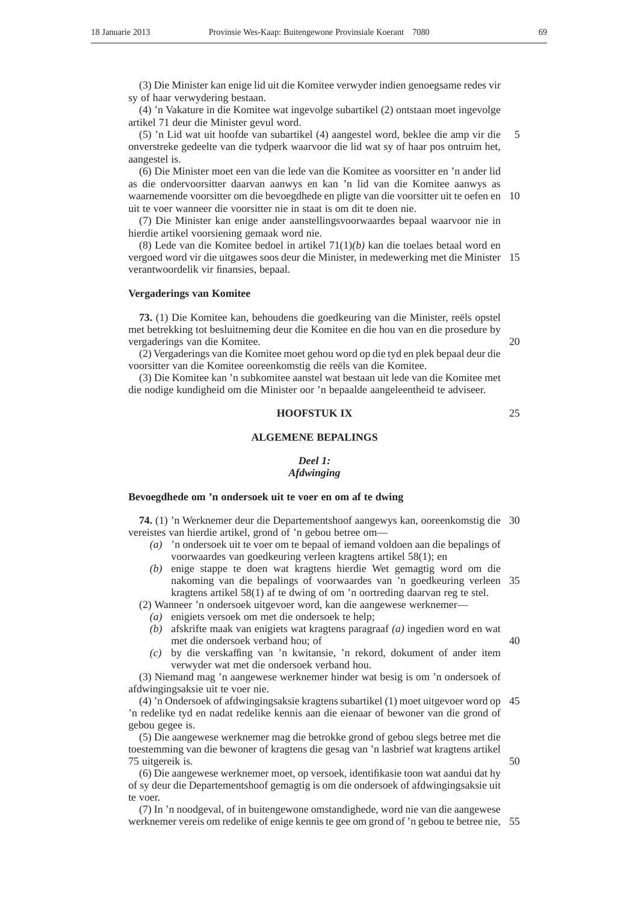(3) Die Minister kan enige lid uit die Komitee verwyder indien genoegsame redes vir sy of haar verwydering bestaan.

(4) 'n Vakature in die Komitee wat ingevolge subartikel (2) ontstaan moet ingevolge artikel 71 deur die Minister gevul word.

(5) 'n Lid wat uit hoofde van subartikel (4) aangestel word, beklee die amp vir die onverstreke gedeelte van die tydperk waarvoor die lid wat sy of haar pos ontruim het, aangestel is. 5

(6) Die Minister moet een van die lede van die Komitee as voorsitter en 'n ander lid as die ondervoorsitter daarvan aanwys en kan 'n lid van die Komitee aanwys as waarnemende voorsitter om die bevoegdhede en pligte van die voorsitter uit te oefen en 10 uit te voer wanneer die voorsitter nie in staat is om dit te doen nie.

(7) Die Minister kan enige ander aanstellingsvoorwaardes bepaal waarvoor nie in hierdie artikel voorsiening gemaak word nie.

(8) Lede van die Komitee bedoel in artikel 71(1)*(b)* kan die toelaes betaal word en vergoed word vir die uitgawes soos deur die Minister, in medewerking met die Minister 15 verantwoordelik vir finansies, bepaal.

#### **Vergaderings van Komitee**

**73.** (1) Die Komitee kan, behoudens die goedkeuring van die Minister, reëls opstel met betrekking tot besluitneming deur die Komitee en die hou van en die prosedure by vergaderings van die Komitee.

(2) Vergaderings van die Komitee moet gehou word op die tyd en plek bepaal deur die voorsitter van die Komitee ooreenkomstig die reëls van die Komitee.

(3) Die Komitee kan 'n subkomitee aanstel wat bestaan uit lede van die Komitee met die nodige kundigheid om die Minister oor 'n bepaalde aangeleentheid te adviseer.

## **HOOFSTUK IX**

# **ALGEMENE BEPALINGS**

*Deel 1:*

# *Afdwinging*

## **Bevoegdhede om 'n ondersoek uit te voer en om af te dwing**

**74.** (1) 'n Werknemer deur die Departementshoof aangewys kan, ooreenkomstig die 30 vereistes van hierdie artikel, grond of 'n gebou betree om—

- *(a)* 'n ondersoek uit te voer om te bepaal of iemand voldoen aan die bepalings of voorwaardes van goedkeuring verleen kragtens artikel 58(1); en
- *(b)* enige stappe te doen wat kragtens hierdie Wet gemagtig word om die nakoming van die bepalings of voorwaardes van 'n goedkeuring verleen 35 kragtens artikel 58(1) af te dwing of om 'n oortreding daarvan reg te stel.

(2) Wanneer 'n ondersoek uitgevoer word, kan die aangewese werknemer—

- *(a)* enigiets versoek om met die ondersoek te help;
- *(b)* afskrifte maak van enigiets wat kragtens paragraaf *(a)* ingedien word en wat met die ondersoek verband hou; of
- *(c)* by die verskaffing van 'n kwitansie, 'n rekord, dokument of ander item verwyder wat met die ondersoek verband hou.

(3) Niemand mag 'n aangewese werknemer hinder wat besig is om 'n ondersoek of afdwingingsaksie uit te voer nie.

(4) 'n Ondersoek of afdwingingsaksie kragtens subartikel (1) moet uitgevoer word op 45 'n redelike tyd en nadat redelike kennis aan die eienaar of bewoner van die grond of gebou gegee is.

(5) Die aangewese werknemer mag die betrokke grond of gebou slegs betree met die toestemming van die bewoner of kragtens die gesag van 'n lasbrief wat kragtens artikel 75 uitgereik is.

(6) Die aangewese werknemer moet, op versoek, identifikasie toon wat aandui dat hy of sy deur die Departementshoof gemagtig is om die ondersoek of afdwingingsaksie uit te voer.

(7) In 'n noodgeval, of in buitengewone omstandighede, word nie van die aangewese werknemer vereis om redelike of enige kennis te gee om grond of 'n gebou te betree nie, 55

40

25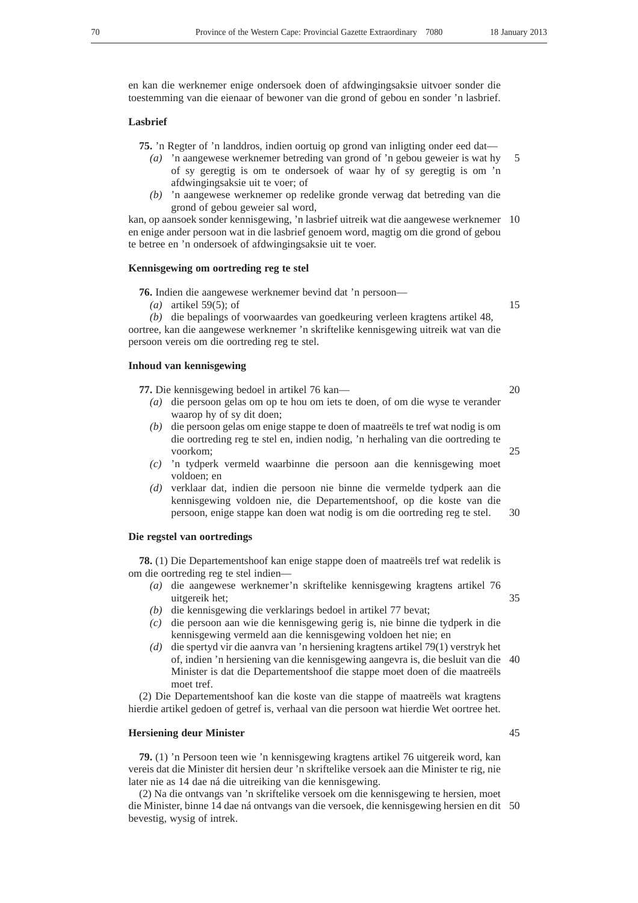en kan die werknemer enige ondersoek doen of afdwingingsaksie uitvoer sonder die toestemming van die eienaar of bewoner van die grond of gebou en sonder 'n lasbrief.

# **Lasbrief**

**75.** 'n Regter of 'n landdros, indien oortuig op grond van inligting onder eed dat—

- *(a)* 'n aangewese werknemer betreding van grond of 'n gebou geweier is wat hy of sy geregtig is om te ondersoek of waar hy of sy geregtig is om 'n afdwingingsaksie uit te voer; of 5
- *(b)* 'n aangewese werknemer op redelike gronde verwag dat betreding van die grond of gebou geweier sal word,

kan, op aansoek sonder kennisgewing, 'n lasbrief uitreik wat die aangewese werknemer 10 en enige ander persoon wat in die lasbrief genoem word, magtig om die grond of gebou te betree en 'n ondersoek of afdwingingsaksie uit te voer.

# **Kennisgewing om oortreding reg te stel**

**76.** Indien die aangewese werknemer bevind dat 'n persoon—

*(a)* artikel 59(5); of

*(b)* die bepalings of voorwaardes van goedkeuring verleen kragtens artikel 48, oortree, kan die aangewese werknemer 'n skriftelike kennisgewing uitreik wat van die persoon vereis om die oortreding reg te stel.

# **Inhoud van kennisgewing**

**77.** Die kennisgewing bedoel in artikel 76 kan—

- *(a)* die persoon gelas om op te hou om iets te doen, of om die wyse te verander waarop hy of sy dit doen;
- *(b)* die persoon gelas om enige stappe te doen of maatreëls te tref wat nodig is om die oortreding reg te stel en, indien nodig, 'n herhaling van die oortreding te voorkom;
- *(c)* 'n tydperk vermeld waarbinne die persoon aan die kennisgewing moet voldoen; en
- *(d)* verklaar dat, indien die persoon nie binne die vermelde tydperk aan die kennisgewing voldoen nie, die Departementshoof, op die koste van die persoon, enige stappe kan doen wat nodig is om die oortreding reg te stel. 30

# **Die regstel van oortredings**

**78.** (1) Die Departementshoof kan enige stappe doen of maatreëls tref wat redelik is om die oortreding reg te stel indien—

- *(a)* die aangewese werknemer'n skriftelike kennisgewing kragtens artikel 76 uitgereik het; 35
- *(b)* die kennisgewing die verklarings bedoel in artikel 77 bevat;
- *(c)* die persoon aan wie die kennisgewing gerig is, nie binne die tydperk in die kennisgewing vermeld aan die kennisgewing voldoen het nie; en
- *(d)* die spertyd vir die aanvra van 'n hersiening kragtens artikel 79(1) verstryk het of, indien 'n hersiening van die kennisgewing aangevra is, die besluit van die 40 Minister is dat die Departementshoof die stappe moet doen of die maatreëls moet tref.

(2) Die Departementshoof kan die koste van die stappe of maatreëls wat kragtens hierdie artikel gedoen of getref is, verhaal van die persoon wat hierdie Wet oortree het.

## **Hersiening deur Minister**

**79.** (1) 'n Persoon teen wie 'n kennisgewing kragtens artikel 76 uitgereik word, kan vereis dat die Minister dit hersien deur 'n skriftelike versoek aan die Minister te rig, nie later nie as 14 dae ná die uitreiking van die kennisgewing.

(2) Na die ontvangs van 'n skriftelike versoek om die kennisgewing te hersien, moet die Minister, binne 14 dae ná ontvangs van die versoek, die kennisgewing hersien en dit 50bevestig, wysig of intrek.

15

20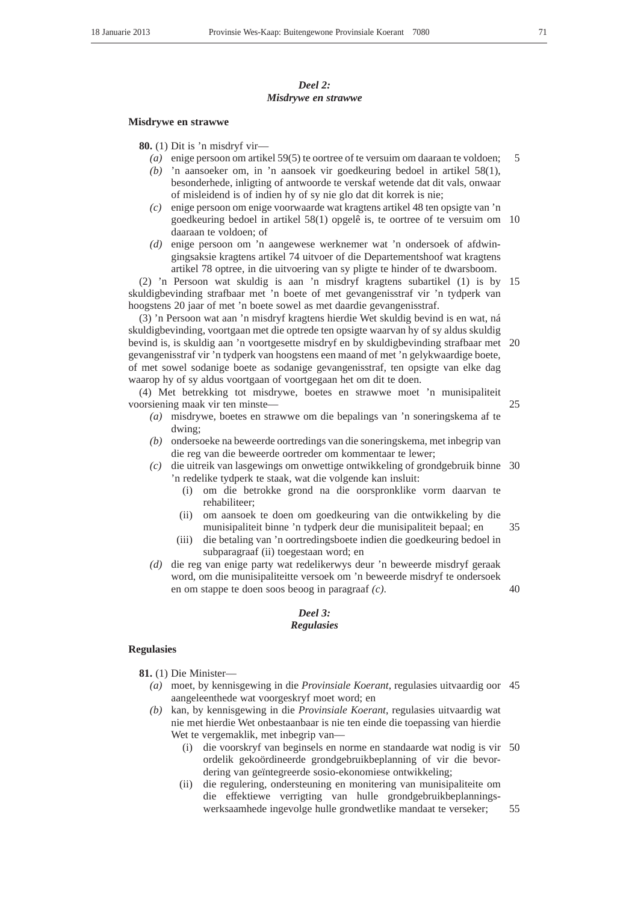# *Deel 2: Misdrywe en strawwe*

#### **Misdrywe en strawwe**

**80.** (1) Dit is 'n misdryf vir—

- *(a)* enige persoon om artikel 59(5) te oortree of te versuim om daaraan te voldoen; 5
- *(b)* 'n aansoeker om, in 'n aansoek vir goedkeuring bedoel in artikel 58(1), besonderhede, inligting of antwoorde te verskaf wetende dat dit vals, onwaar of misleidend is of indien hy of sy nie glo dat dit korrek is nie;
- *(c)* enige persoon om enige voorwaarde wat kragtens artikel 48 ten opsigte van 'n goedkeuring bedoel in artikel 58(1) opgelê is, te oortree of te versuim om 10 daaraan te voldoen; of
- *(d)* enige persoon om 'n aangewese werknemer wat 'n ondersoek of afdwingingsaksie kragtens artikel 74 uitvoer of die Departementshoof wat kragtens artikel 78 optree, in die uitvoering van sy pligte te hinder of te dwarsboom.

(2) 'n Persoon wat skuldig is aan 'n misdryf kragtens subartikel (1) is by 15 skuldigbevinding strafbaar met 'n boete of met gevangenisstraf vir 'n tydperk van hoogstens 20 jaar of met 'n boete sowel as met daardie gevangenisstraf.

(3) 'n Persoon wat aan 'n misdryf kragtens hierdie Wet skuldig bevind is en wat, ná skuldigbevinding, voortgaan met die optrede ten opsigte waarvan hy of sy aldus skuldig bevind is, is skuldig aan 'n voortgesette misdryf en by skuldigbevinding strafbaar met 20 gevangenisstraf vir 'n tydperk van hoogstens een maand of met 'n gelykwaardige boete, of met sowel sodanige boete as sodanige gevangenisstraf, ten opsigte van elke dag waarop hy of sy aldus voortgaan of voortgegaan het om dit te doen.

(4) Met betrekking tot misdrywe, boetes en strawwe moet 'n munisipaliteit voorsiening maak vir ten minste—

- *(a)* misdrywe, boetes en strawwe om die bepalings van 'n soneringskema af te dwing;
- *(b)* ondersoeke na beweerde oortredings van die soneringskema, met inbegrip van die reg van die beweerde oortreder om kommentaar te lewer;
- *(c)* die uitreik van lasgewings om onwettige ontwikkeling of grondgebruik binne 30 'n redelike tydperk te staak, wat die volgende kan insluit:
	- (i) om die betrokke grond na die oorspronklike vorm daarvan te rehabiliteer;
	- (ii) om aansoek te doen om goedkeuring van die ontwikkeling by die munisipaliteit binne 'n tydperk deur die munisipaliteit bepaal; en 35
	- (iii) die betaling van 'n oortredingsboete indien die goedkeuring bedoel in subparagraaf (ii) toegestaan word; en
- *(d)* die reg van enige party wat redelikerwys deur 'n beweerde misdryf geraak word, om die munisipaliteitte versoek om 'n beweerde misdryf te ondersoek en om stappe te doen soos beoog in paragraaf *(c)*. 40

# *Deel 3: Regulasies*

#### **Regulasies**

**81.** (1) Die Minister—

- *(a)* moet, by kennisgewing in die *Provinsiale Koerant*, regulasies uitvaardig oor 45 aangeleenthede wat voorgeskryf moet word; en
- *(b)* kan, by kennisgewing in die *Provinsiale Koerant*, regulasies uitvaardig wat nie met hierdie Wet onbestaanbaar is nie ten einde die toepassing van hierdie Wet te vergemaklik, met inbegrip van—
	- (i) die voorskryf van beginsels en norme en standaarde wat nodig is vir 50 ordelik gekoördineerde grondgebruikbeplanning of vir die bevordering van geïntegreerde sosio-ekonomiese ontwikkeling;
	- (ii) die regulering, ondersteuning en monitering van munisipaliteite om die effektiewe verrigting van hulle grondgebruikbeplanningswerksaamhede ingevolge hulle grondwetlike mandaat te verseker; 55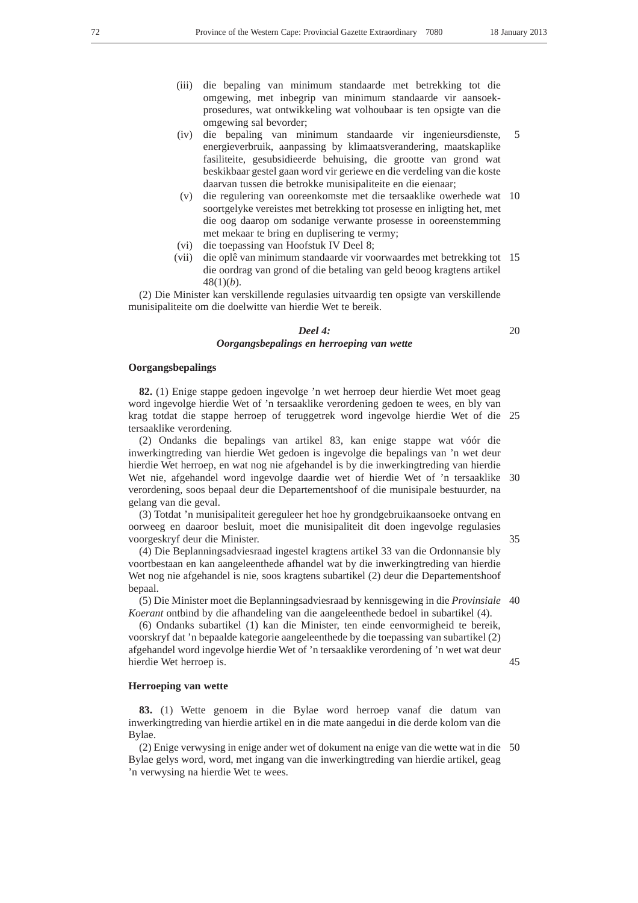- (iii) die bepaling van minimum standaarde met betrekking tot die omgewing, met inbegrip van minimum standaarde vir aansoekprosedures, wat ontwikkeling wat volhoubaar is ten opsigte van die omgewing sal bevorder;
- (iv) die bepaling van minimum standaarde vir ingenieursdienste, energieverbruik, aanpassing by klimaatsverandering, maatskaplike fasiliteite, gesubsidieerde behuising, die grootte van grond wat beskikbaar gestel gaan word vir geriewe en die verdeling van die koste daarvan tussen die betrokke munisipaliteite en die eienaar; 5
- (v) die regulering van ooreenkomste met die tersaaklike owerhede wat 10 soortgelyke vereistes met betrekking tot prosesse en inligting het, met die oog daarop om sodanige verwante prosesse in ooreenstemming met mekaar te bring en duplisering te vermy;
- (vi) die toepassing van Hoofstuk IV Deel 8;
- (vii) die oplê van minimum standaarde vir voorwaardes met betrekking tot 15 die oordrag van grond of die betaling van geld beoog kragtens artikel 48(1)(*b*).

(2) Die Minister kan verskillende regulasies uitvaardig ten opsigte van verskillende munisipaliteite om die doelwitte van hierdie Wet te bereik.

# *Deel 4:*

*Oorgangsbepalings en herroeping van wette*

#### **Oorgangsbepalings**

**82.** (1) Enige stappe gedoen ingevolge 'n wet herroep deur hierdie Wet moet geag word ingevolge hierdie Wet of 'n tersaaklike verordening gedoen te wees, en bly van krag totdat die stappe herroep of teruggetrek word ingevolge hierdie Wet of die 25 tersaaklike verordening.

(2) Ondanks die bepalings van artikel 83, kan enige stappe wat vóór die inwerkingtreding van hierdie Wet gedoen is ingevolge die bepalings van 'n wet deur hierdie Wet herroep, en wat nog nie afgehandel is by die inwerkingtreding van hierdie Wet nie, afgehandel word ingevolge daardie wet of hierdie Wet of 'n tersaaklike 30 verordening, soos bepaal deur die Departementshoof of die munisipale bestuurder, na gelang van die geval.

(3) Totdat 'n munisipaliteit gereguleer het hoe hy grondgebruikaansoeke ontvang en oorweeg en daaroor besluit, moet die munisipaliteit dit doen ingevolge regulasies voorgeskryf deur die Minister.

(4) Die Beplanningsadviesraad ingestel kragtens artikel 33 van die Ordonnansie bly voortbestaan en kan aangeleenthede afhandel wat by die inwerkingtreding van hierdie Wet nog nie afgehandel is nie, soos kragtens subartikel (2) deur die Departementshoof bepaal.

(5) Die Minister moet die Beplanningsadviesraad by kennisgewing in die *Provinsiale* 40 *Koerant* ontbind by die afhandeling van die aangeleenthede bedoel in subartikel (4).

(6) Ondanks subartikel (1) kan die Minister, ten einde eenvormigheid te bereik, voorskryf dat 'n bepaalde kategorie aangeleenthede by die toepassing van subartikel (2) afgehandel word ingevolge hierdie Wet of 'n tersaaklike verordening of 'n wet wat deur hierdie Wet herroep is.

# **Herroeping van wette**

**83.** (1) Wette genoem in die Bylae word herroep vanaf die datum van inwerkingtreding van hierdie artikel en in die mate aangedui in die derde kolom van die Bylae.

(2) Enige verwysing in enige ander wet of dokument na enige van die wette wat in die 50Bylae gelys word, word, met ingang van die inwerkingtreding van hierdie artikel, geag 'n verwysing na hierdie Wet te wees.

35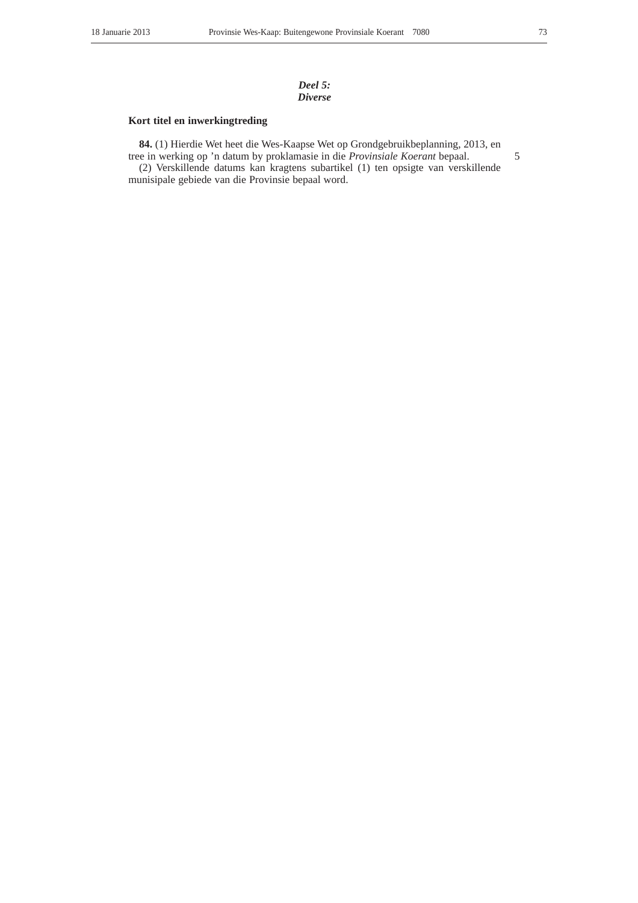*Deel 5: Diverse*

## **Kort titel en inwerkingtreding**

**84.** (1) Hierdie Wet heet die Wes-Kaapse Wet op Grondgebruikbeplanning, 2013, en tree in werking op 'n datum by proklamasie in die *Provinsiale Koerant* bepaal.

(2) Verskillende datums kan kragtens subartikel (1) ten opsigte van verskillende munisipale gebiede van die Provinsie bepaal word.

5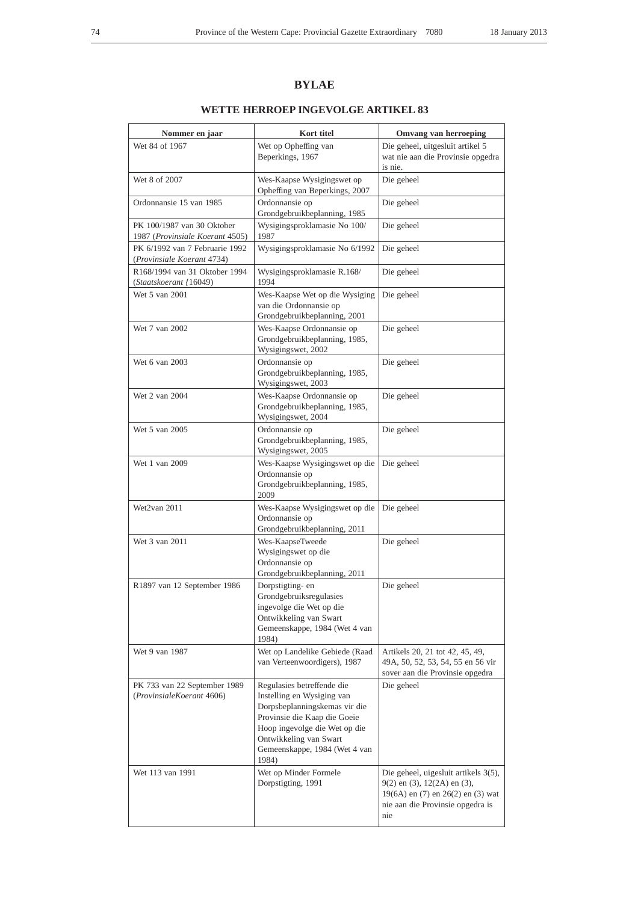# **BYLAE**

## **WETTE HERROEP INGEVOLGE ARTIKEL 83**

| Nommer en jaar                                                | Kort titel                                                                                                                                                                                                                     | Omvang van herroeping                                                                                                                                         |
|---------------------------------------------------------------|--------------------------------------------------------------------------------------------------------------------------------------------------------------------------------------------------------------------------------|---------------------------------------------------------------------------------------------------------------------------------------------------------------|
| Wet 84 of 1967                                                | Wet op Opheffing van<br>Beperkings, 1967                                                                                                                                                                                       | Die geheel, uitgesluit artikel 5<br>wat nie aan die Provinsie opgedra<br>is nie.                                                                              |
| Wet 8 of 2007                                                 | Wes-Kaapse Wysigingswet op<br>Opheffing van Beperkings, 2007                                                                                                                                                                   | Die geheel                                                                                                                                                    |
| Ordonnansie 15 van 1985                                       | Ordonnansie op<br>Grondgebruikbeplanning, 1985                                                                                                                                                                                 | Die geheel                                                                                                                                                    |
| PK 100/1987 van 30 Oktober<br>1987 (Provinsiale Koerant 4505) | Wysigingsproklamasie No 100/<br>1987                                                                                                                                                                                           | Die geheel                                                                                                                                                    |
| PK 6/1992 van 7 Februarie 1992<br>(Provinsiale Koerant 4734)  | Wysigingsproklamasie No 6/1992                                                                                                                                                                                                 | Die geheel                                                                                                                                                    |
| R168/1994 van 31 Oktober 1994<br>(Staatskoerant {16049)       | Wysigingsproklamasie R.168/<br>1994                                                                                                                                                                                            | Die geheel                                                                                                                                                    |
| Wet 5 van 2001                                                | Wes-Kaapse Wet op die Wysiging<br>van die Ordonnansie op<br>Grondgebruikbeplanning, 2001                                                                                                                                       | Die geheel                                                                                                                                                    |
| Wet 7 van 2002                                                | Wes-Kaapse Ordonnansie op<br>Grondgebruikbeplanning, 1985,<br>Wysigingswet, 2002                                                                                                                                               | Die geheel                                                                                                                                                    |
| Wet 6 van 2003                                                | Ordonnansie op<br>Grondgebruikbeplanning, 1985,<br>Wysigingswet, 2003                                                                                                                                                          | Die geheel                                                                                                                                                    |
| Wet 2 van 2004                                                | Wes-Kaapse Ordonnansie op<br>Grondgebruikbeplanning, 1985,<br>Wysigingswet, 2004                                                                                                                                               | Die geheel                                                                                                                                                    |
| Wet 5 van 2005                                                | Ordonnansie op<br>Grondgebruikbeplanning, 1985,<br>Wysigingswet, 2005                                                                                                                                                          | Die geheel                                                                                                                                                    |
| Wet 1 van 2009                                                | Wes-Kaapse Wysigingswet op die<br>Ordonnansie op<br>Grondgebruikbeplanning, 1985,<br>2009                                                                                                                                      | Die geheel                                                                                                                                                    |
| Wet2van 2011                                                  | Wes-Kaapse Wysigingswet op die<br>Ordonnansie op<br>Grondgebruikbeplanning, 2011                                                                                                                                               | Die geheel                                                                                                                                                    |
| Wet 3 van 2011                                                | Wes-KaapseTweede<br>Wysigingswet op die<br>Ordonnansie op<br>Grondgebruikbeplanning, 2011                                                                                                                                      | Die geheel                                                                                                                                                    |
| R1897 van 12 September 1986                                   | Dorpstigting-en<br>Grondgebruiksregulasies<br>ingevolge die Wet op die<br>Ontwikkeling van Swart<br>Gemeenskappe, 1984 (Wet 4 van<br>1984)                                                                                     | Die geheel                                                                                                                                                    |
| Wet 9 van 1987                                                | Wet op Landelike Gebiede (Raad<br>van Verteenwoordigers), 1987                                                                                                                                                                 | Artikels 20, 21 tot 42, 45, 49,<br>49A, 50, 52, 53, 54, 55 en 56 vir<br>sover aan die Provinsie opgedra                                                       |
| PK 733 van 22 September 1989<br>(ProvinsialeKoerant 4606)     | Regulasies betreffende die<br>Instelling en Wysiging van<br>Dorpsbeplanningskemas vir die<br>Provinsie die Kaap die Goeie<br>Hoop ingevolge die Wet op die<br>Ontwikkeling van Swart<br>Gemeenskappe, 1984 (Wet 4 van<br>1984) | Die geheel                                                                                                                                                    |
| Wet 113 van 1991                                              | Wet op Minder Formele<br>Dorpstigting, 1991                                                                                                                                                                                    | Die geheel, uigesluit artikels 3(5),<br>$9(2)$ en (3), 12(2A) en (3),<br>$19(6A)$ en $(7)$ en $26(2)$ en $(3)$ wat<br>nie aan die Provinsie opgedra is<br>nie |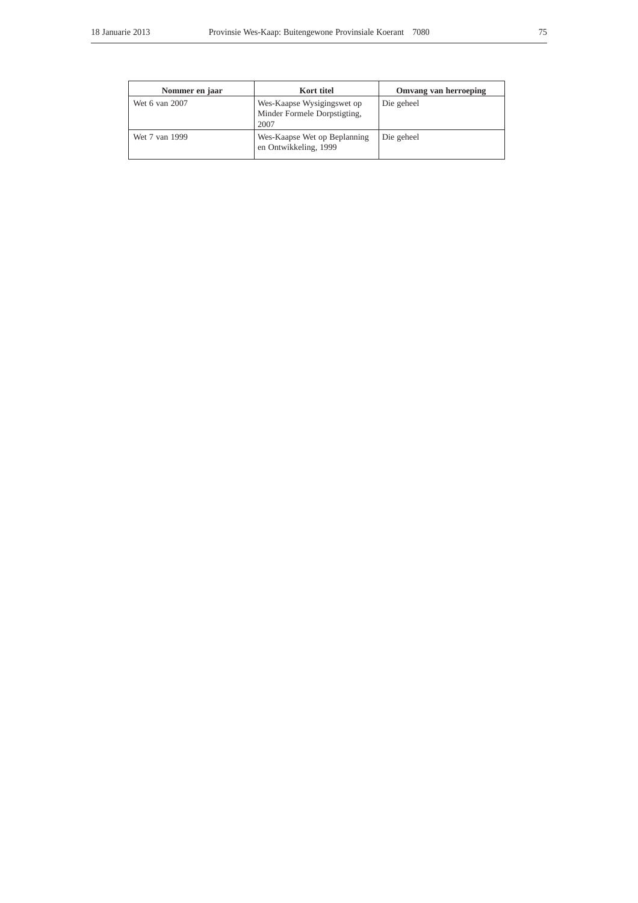| Nommer en jaar | Kort titel                                                         | Omvang van herroeping |
|----------------|--------------------------------------------------------------------|-----------------------|
| Wet 6 van 2007 | Wes-Kaapse Wysigingswet op<br>Minder Formele Dorpstigting,<br>2007 | Die geheel            |
| Wet 7 van 1999 | Wes-Kaapse Wet op Beplanning<br>en Ontwikkeling, 1999              | Die geheel            |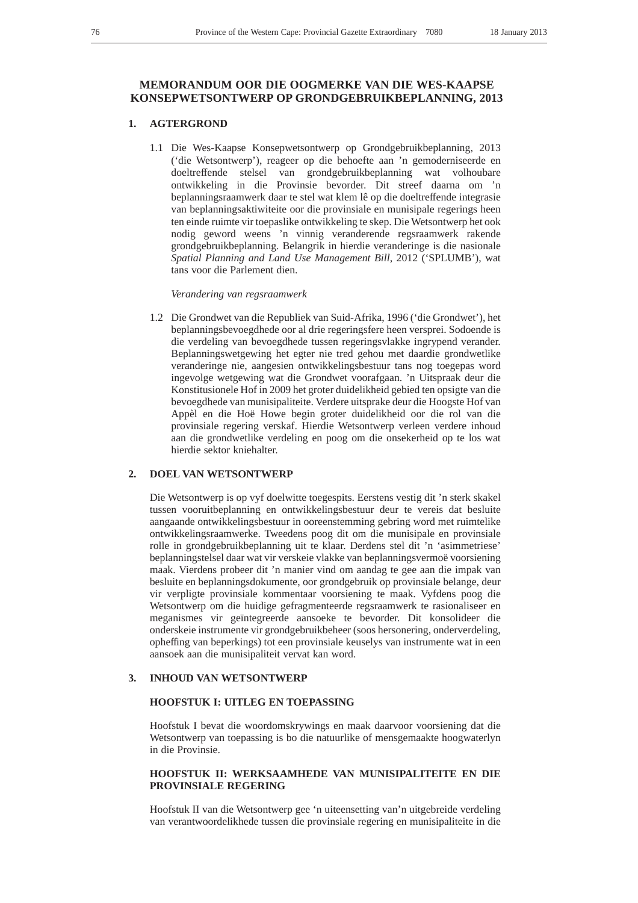## **MEMORANDUM OOR DIE OOGMERKE VAN DIE WES-KAAPSE KONSEPWETSONTWERP OP GRONDGEBRUIKBEPLANNING, 2013**

### **1. AGTERGROND**

1.1 Die Wes-Kaapse Konsepwetsontwerp op Grondgebruikbeplanning, 2013 ('die Wetsontwerp'), reageer op die behoefte aan 'n gemoderniseerde en doeltreffende stelsel van grondgebruikbeplanning wat volhoubare ontwikkeling in die Provinsie bevorder. Dit streef daarna om 'n beplanningsraamwerk daar te stel wat klem lê op die doeltreffende integrasie van beplanningsaktiwiteite oor die provinsiale en munisipale regerings heen ten einde ruimte vir toepaslike ontwikkeling te skep. Die Wetsontwerp het ook nodig geword weens 'n vinnig veranderende regsraamwerk rakende grondgebruikbeplanning. Belangrik in hierdie veranderinge is die nasionale *Spatial Planning and Land Use Management Bill*, 2012 ('SPLUMB'), wat tans voor die Parlement dien.

*Verandering van regsraamwerk*

1.2 Die Grondwet van die Republiek van Suid-Afrika, 1996 ('die Grondwet'), het beplanningsbevoegdhede oor al drie regeringsfere heen versprei. Sodoende is die verdeling van bevoegdhede tussen regeringsvlakke ingrypend verander. Beplanningswetgewing het egter nie tred gehou met daardie grondwetlike veranderinge nie, aangesien ontwikkelingsbestuur tans nog toegepas word ingevolge wetgewing wat die Grondwet voorafgaan. 'n Uitspraak deur die Konstitusionele Hof in 2009 het groter duidelikheid gebied ten opsigte van die bevoegdhede van munisipaliteite. Verdere uitsprake deur die Hoogste Hof van Appèl en die Hoë Howe begin groter duidelikheid oor die rol van die provinsiale regering verskaf. Hierdie Wetsontwerp verleen verdere inhoud aan die grondwetlike verdeling en poog om die onsekerheid op te los wat hierdie sektor kniehalter.

### **2. DOEL VAN WETSONTWERP**

Die Wetsontwerp is op vyf doelwitte toegespits. Eerstens vestig dit 'n sterk skakel tussen vooruitbeplanning en ontwikkelingsbestuur deur te vereis dat besluite aangaande ontwikkelingsbestuur in ooreenstemming gebring word met ruimtelike ontwikkelingsraamwerke. Tweedens poog dit om die munisipale en provinsiale rolle in grondgebruikbeplanning uit te klaar. Derdens stel dit 'n 'asimmetriese' beplanningstelsel daar wat vir verskeie vlakke van beplanningsvermoë voorsiening maak. Vierdens probeer dit 'n manier vind om aandag te gee aan die impak van besluite en beplanningsdokumente, oor grondgebruik op provinsiale belange, deur vir verpligte provinsiale kommentaar voorsiening te maak. Vyfdens poog die Wetsontwerp om die huidige gefragmenteerde regsraamwerk te rasionaliseer en meganismes vir geïntegreerde aansoeke te bevorder. Dit konsolideer die onderskeie instrumente vir grondgebruikbeheer (soos hersonering, onderverdeling, opheffing van beperkings) tot een provinsiale keuselys van instrumente wat in een aansoek aan die munisipaliteit vervat kan word.

#### **3. INHOUD VAN WETSONTWERP**

### **HOOFSTUK I: UITLEG EN TOEPASSING**

Hoofstuk I bevat die woordomskrywings en maak daarvoor voorsiening dat die Wetsontwerp van toepassing is bo die natuurlike of mensgemaakte hoogwaterlyn in die Provinsie.

### **HOOFSTUK II: WERKSAAMHEDE VAN MUNISIPALITEITE EN DIE PROVINSIALE REGERING**

Hoofstuk II van die Wetsontwerp gee 'n uiteensetting van'n uitgebreide verdeling van verantwoordelikhede tussen die provinsiale regering en munisipaliteite in die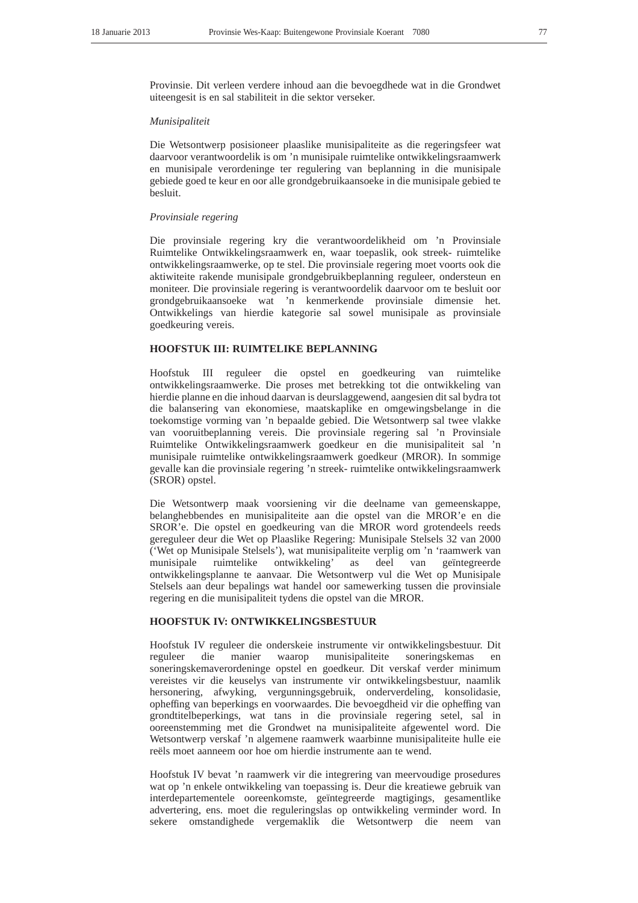Provinsie. Dit verleen verdere inhoud aan die bevoegdhede wat in die Grondwet uiteengesit is en sal stabiliteit in die sektor verseker.

#### *Munisipaliteit*

Die Wetsontwerp posisioneer plaaslike munisipaliteite as die regeringsfeer wat daarvoor verantwoordelik is om 'n munisipale ruimtelike ontwikkelingsraamwerk en munisipale verordeninge ter regulering van beplanning in die munisipale gebiede goed te keur en oor alle grondgebruikaansoeke in die munisipale gebied te besluit.

#### *Provinsiale regering*

Die provinsiale regering kry die verantwoordelikheid om 'n Provinsiale Ruimtelike Ontwikkelingsraamwerk en, waar toepaslik, ook streek- ruimtelike ontwikkelingsraamwerke, op te stel. Die provinsiale regering moet voorts ook die aktiwiteite rakende munisipale grondgebruikbeplanning reguleer, ondersteun en moniteer. Die provinsiale regering is verantwoordelik daarvoor om te besluit oor grondgebruikaansoeke wat 'n kenmerkende provinsiale dimensie het. Ontwikkelings van hierdie kategorie sal sowel munisipale as provinsiale goedkeuring vereis.

#### **HOOFSTUK III: RUIMTELIKE BEPLANNING**

Hoofstuk III reguleer die opstel en goedkeuring van ruimtelike ontwikkelingsraamwerke. Die proses met betrekking tot die ontwikkeling van hierdie planne en die inhoud daarvan is deurslaggewend, aangesien dit sal bydra tot die balansering van ekonomiese, maatskaplike en omgewingsbelange in die toekomstige vorming van 'n bepaalde gebied. Die Wetsontwerp sal twee vlakke van vooruitbeplanning vereis. Die provinsiale regering sal 'n Provinsiale Ruimtelike Ontwikkelingsraamwerk goedkeur en die munisipaliteit sal 'n munisipale ruimtelike ontwikkelingsraamwerk goedkeur (MROR). In sommige gevalle kan die provinsiale regering 'n streek- ruimtelike ontwikkelingsraamwerk (SROR) opstel.

Die Wetsontwerp maak voorsiening vir die deelname van gemeenskappe, belanghebbendes en munisipaliteite aan die opstel van die MROR'e en die SROR'e. Die opstel en goedkeuring van die MROR word grotendeels reeds gereguleer deur die Wet op Plaaslike Regering: Munisipale Stelsels 32 van 2000 ('Wet op Munisipale Stelsels'), wat munisipaliteite verplig om 'n 'raamwerk van munisipale ruimtelike ontwikkeling' as deel van geïntegreerde ontwikkelingsplanne te aanvaar. Die Wetsontwerp vul die Wet op Munisipale Stelsels aan deur bepalings wat handel oor samewerking tussen die provinsiale regering en die munisipaliteit tydens die opstel van die MROR.

### **HOOFSTUK IV: ONTWIKKELINGSBESTUUR**

Hoofstuk IV reguleer die onderskeie instrumente vir ontwikkelingsbestuur. Dit reguleer die manier waarop munisipaliteite soneringskemas en soneringskemaverordeninge opstel en goedkeur. Dit verskaf verder minimum vereistes vir die keuselys van instrumente vir ontwikkelingsbestuur, naamlik hersonering, afwyking, vergunningsgebruik, onderverdeling, konsolidasie, opheffing van beperkings en voorwaardes. Die bevoegdheid vir die opheffing van grondtitelbeperkings, wat tans in die provinsiale regering setel, sal in ooreenstemming met die Grondwet na munisipaliteite afgewentel word. Die Wetsontwerp verskaf 'n algemene raamwerk waarbinne munisipaliteite hulle eie reëls moet aanneem oor hoe om hierdie instrumente aan te wend.

Hoofstuk IV bevat 'n raamwerk vir die integrering van meervoudige prosedures wat op 'n enkele ontwikkeling van toepassing is. Deur die kreatiewe gebruik van interdepartementele ooreenkomste, geïntegreerde magtigings, gesamentlike advertering, ens. moet die reguleringslas op ontwikkeling verminder word. In sekere omstandighede vergemaklik die Wetsontwerp die neem van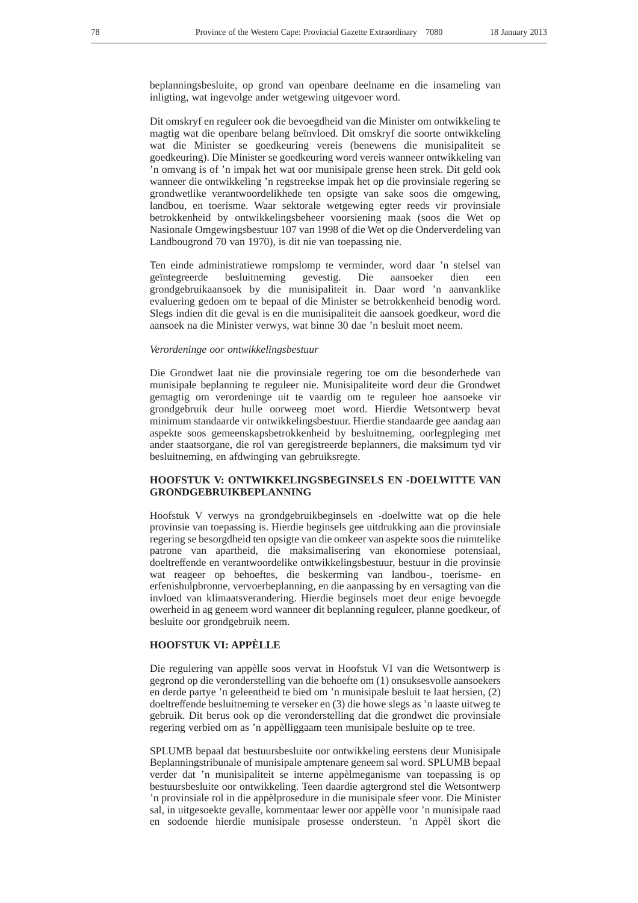beplanningsbesluite, op grond van openbare deelname en die insameling van inligting, wat ingevolge ander wetgewing uitgevoer word.

Dit omskryf en reguleer ook die bevoegdheid van die Minister om ontwikkeling te magtig wat die openbare belang beïnvloed. Dit omskryf die soorte ontwikkeling wat die Minister se goedkeuring vereis (benewens die munisipaliteit se goedkeuring). Die Minister se goedkeuring word vereis wanneer ontwikkeling van 'n omvang is of 'n impak het wat oor munisipale grense heen strek. Dit geld ook wanneer die ontwikkeling 'n regstreekse impak het op die provinsiale regering se grondwetlike verantwoordelikhede ten opsigte van sake soos die omgewing, landbou, en toerisme. Waar sektorale wetgewing egter reeds vir provinsiale betrokkenheid by ontwikkelingsbeheer voorsiening maak (soos die Wet op Nasionale Omgewingsbestuur 107 van 1998 of die Wet op die Onderverdeling van Landbougrond 70 van 1970), is dit nie van toepassing nie.

Ten einde administratiewe rompslomp te verminder, word daar 'n stelsel van geïntegreerde besluitneming gevestig. Die aansoeker dien een grondgebruikaansoek by die munisipaliteit in. Daar word 'n aanvanklike evaluering gedoen om te bepaal of die Minister se betrokkenheid benodig word. Slegs indien dit die geval is en die munisipaliteit die aansoek goedkeur, word die aansoek na die Minister verwys, wat binne 30 dae 'n besluit moet neem.

### *Verordeninge oor ontwikkelingsbestuur*

Die Grondwet laat nie die provinsiale regering toe om die besonderhede van munisipale beplanning te reguleer nie. Munisipaliteite word deur die Grondwet gemagtig om verordeninge uit te vaardig om te reguleer hoe aansoeke vir grondgebruik deur hulle oorweeg moet word. Hierdie Wetsontwerp bevat minimum standaarde vir ontwikkelingsbestuur. Hierdie standaarde gee aandag aan aspekte soos gemeenskapsbetrokkenheid by besluitneming, oorlegpleging met ander staatsorgane, die rol van geregistreerde beplanners, die maksimum tyd vir besluitneming, en afdwinging van gebruiksregte.

#### **HOOFSTUK V: ONTWIKKELINGSBEGINSELS EN -DOELWITTE VAN GRONDGEBRUIKBEPLANNING**

Hoofstuk V verwys na grondgebruikbeginsels en -doelwitte wat op die hele provinsie van toepassing is. Hierdie beginsels gee uitdrukking aan die provinsiale regering se besorgdheid ten opsigte van die omkeer van aspekte soos die ruimtelike patrone van apartheid, die maksimalisering van ekonomiese potensiaal, doeltreffende en verantwoordelike ontwikkelingsbestuur, bestuur in die provinsie wat reageer op behoeftes, die beskerming van landbou-, toerisme- en erfenishulpbronne, vervoerbeplanning, en die aanpassing by en versagting van die invloed van klimaatsverandering. Hierdie beginsels moet deur enige bevoegde owerheid in ag geneem word wanneer dit beplanning reguleer, planne goedkeur, of besluite oor grondgebruik neem.

#### **HOOFSTUK VI: APPÈLLE**

Die regulering van appèlle soos vervat in Hoofstuk VI van die Wetsontwerp is gegrond op die veronderstelling van die behoefte om (1) onsuksesvolle aansoekers en derde partye 'n geleentheid te bied om 'n munisipale besluit te laat hersien, (2) doeltreffende besluitneming te verseker en (3) die howe slegs as 'n laaste uitweg te gebruik. Dit berus ook op die veronderstelling dat die grondwet die provinsiale regering verbied om as 'n appèlliggaam teen munisipale besluite op te tree.

SPLUMB bepaal dat bestuursbesluite oor ontwikkeling eerstens deur Munisipale Beplanningstribunale of munisipale amptenare geneem sal word. SPLUMB bepaal verder dat 'n munisipaliteit se interne appèlmeganisme van toepassing is op bestuursbesluite oor ontwikkeling. Teen daardie agtergrond stel die Wetsontwerp 'n provinsiale rol in die appèlprosedure in die munisipale sfeer voor. Die Minister sal, in uitgesoekte gevalle, kommentaar lewer oor appèlle voor 'n munisipale raad en sodoende hierdie munisipale prosesse ondersteun. 'n Appèl skort die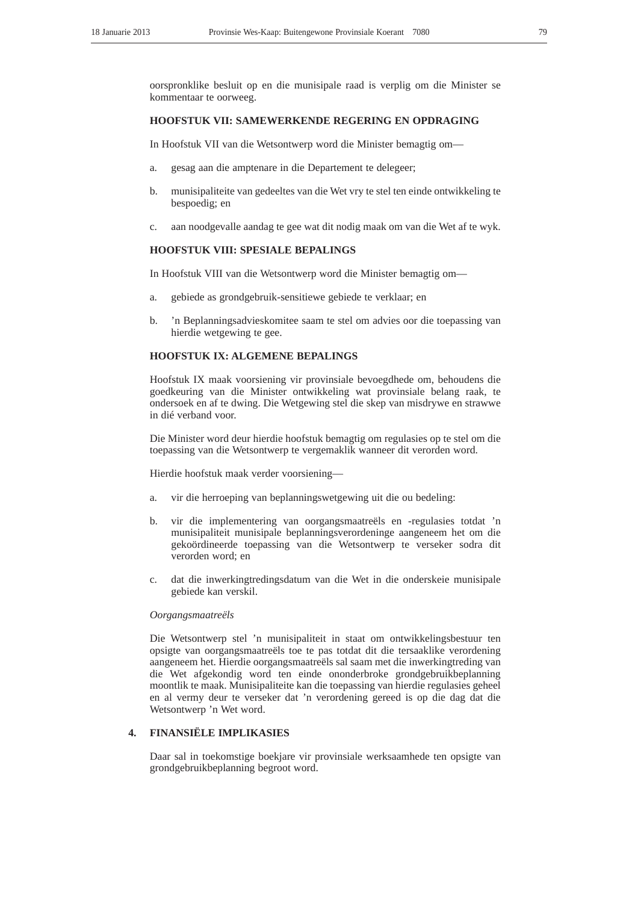oorspronklike besluit op en die munisipale raad is verplig om die Minister se kommentaar te oorweeg.

### **HOOFSTUK VII: SAMEWERKENDE REGERING EN OPDRAGING**

In Hoofstuk VII van die Wetsontwerp word die Minister bemagtig om—

- a. gesag aan die amptenare in die Departement te delegeer;
- b. munisipaliteite van gedeeltes van die Wet vry te stel ten einde ontwikkeling te bespoedig; en
- c. aan noodgevalle aandag te gee wat dit nodig maak om van die Wet af te wyk.

#### **HOOFSTUK VIII: SPESIALE BEPALINGS**

In Hoofstuk VIII van die Wetsontwerp word die Minister bemagtig om—

- a. gebiede as grondgebruik-sensitiewe gebiede te verklaar; en
- b. 'n Beplanningsadvieskomitee saam te stel om advies oor die toepassing van hierdie wetgewing te gee.

#### **HOOFSTUK IX: ALGEMENE BEPALINGS**

Hoofstuk IX maak voorsiening vir provinsiale bevoegdhede om, behoudens die goedkeuring van die Minister ontwikkeling wat provinsiale belang raak, te ondersoek en af te dwing. Die Wetgewing stel die skep van misdrywe en strawwe in dié verband voor.

Die Minister word deur hierdie hoofstuk bemagtig om regulasies op te stel om die toepassing van die Wetsontwerp te vergemaklik wanneer dit verorden word.

Hierdie hoofstuk maak verder voorsiening—

- a. vir die herroeping van beplanningswetgewing uit die ou bedeling:
- b. vir die implementering van oorgangsmaatreëls en -regulasies totdat 'n munisipaliteit munisipale beplanningsverordeninge aangeneem het om die gekoördineerde toepassing van die Wetsontwerp te verseker sodra dit verorden word; en
- c. dat die inwerkingtredingsdatum van die Wet in die onderskeie munisipale gebiede kan verskil.

#### *Oorgangsmaatreëls*

Die Wetsontwerp stel 'n munisipaliteit in staat om ontwikkelingsbestuur ten opsigte van oorgangsmaatreëls toe te pas totdat dit die tersaaklike verordening aangeneem het. Hierdie oorgangsmaatreëls sal saam met die inwerkingtreding van die Wet afgekondig word ten einde ononderbroke grondgebruikbeplanning moontlik te maak. Munisipaliteite kan die toepassing van hierdie regulasies geheel en al vermy deur te verseker dat 'n verordening gereed is op die dag dat die Wetsontwerp 'n Wet word.

## **4. FINANSIËLE IMPLIKASIES**

Daar sal in toekomstige boekjare vir provinsiale werksaamhede ten opsigte van grondgebruikbeplanning begroot word.